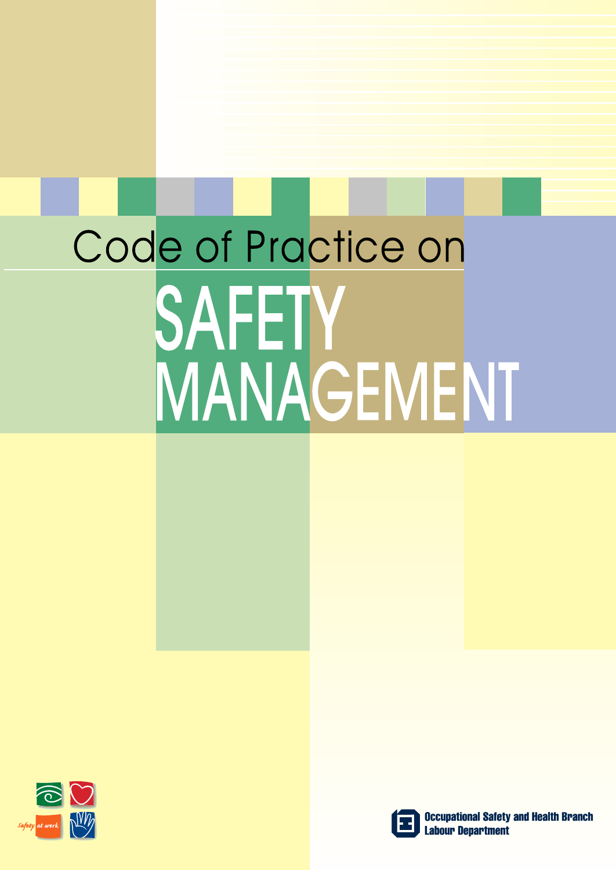# Code of Practice on SAFETY MANAGEMENT





**Occupational Safety and Health Branch Labour Department**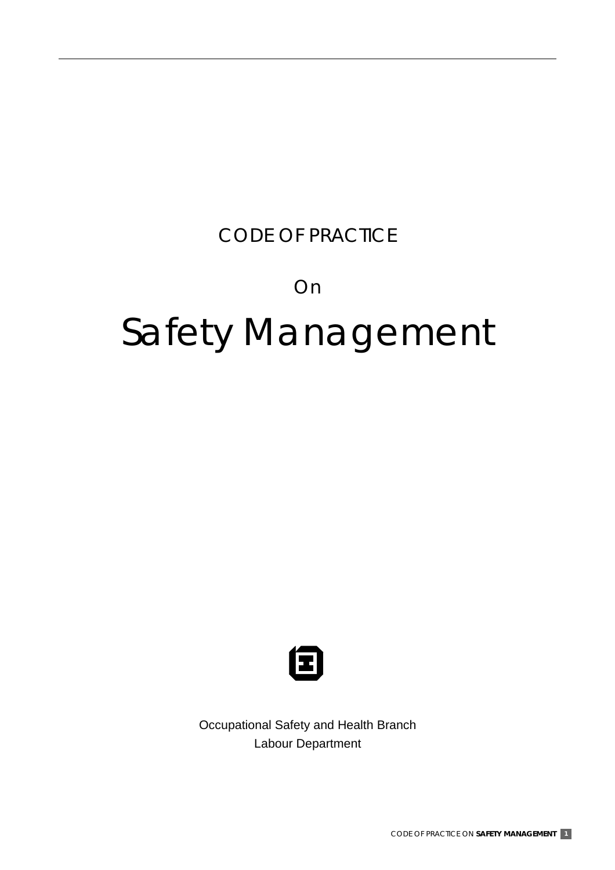#### CODE OF PRACTICE

#### On

# Safety Management



Occupational Safety and Health Branch Labour Department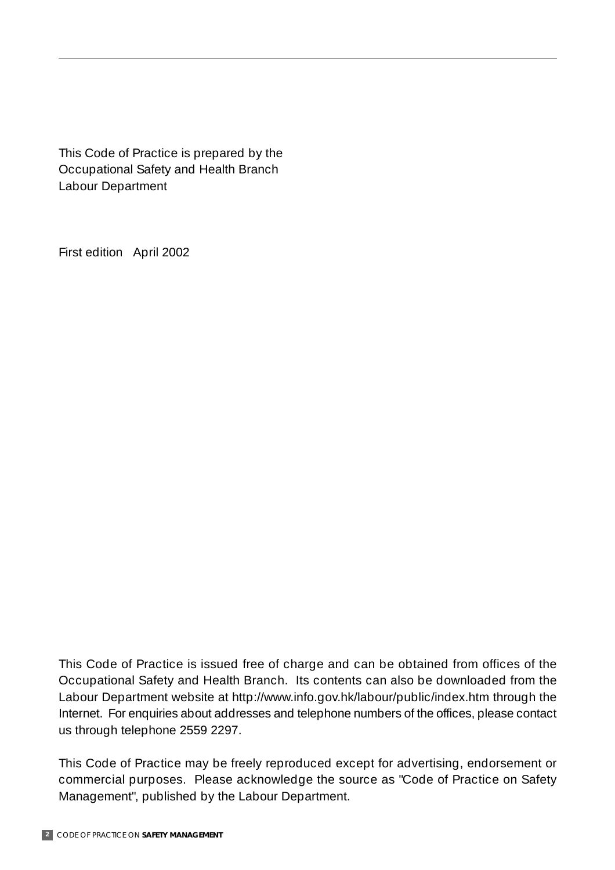This Code of Practice is prepared by the Occupational Safety and Health Branch Labour Department

First edition April 2002

This Code of Practice is issued free of charge and can be obtained from offices of the Occupational Safety and Health Branch. Its contents can also be downloaded from the Labour Department website at http://www.info.gov.hk/labour/public/index.htm through the Internet. For enquiries about addresses and telephone numbers of the offices, please contact us through telephone 2559 2297.

This Code of Practice may be freely reproduced except for advertising, endorsement or commercial purposes. Please acknowledge the source as "Code of Practice on Safety Management", published by the Labour Department.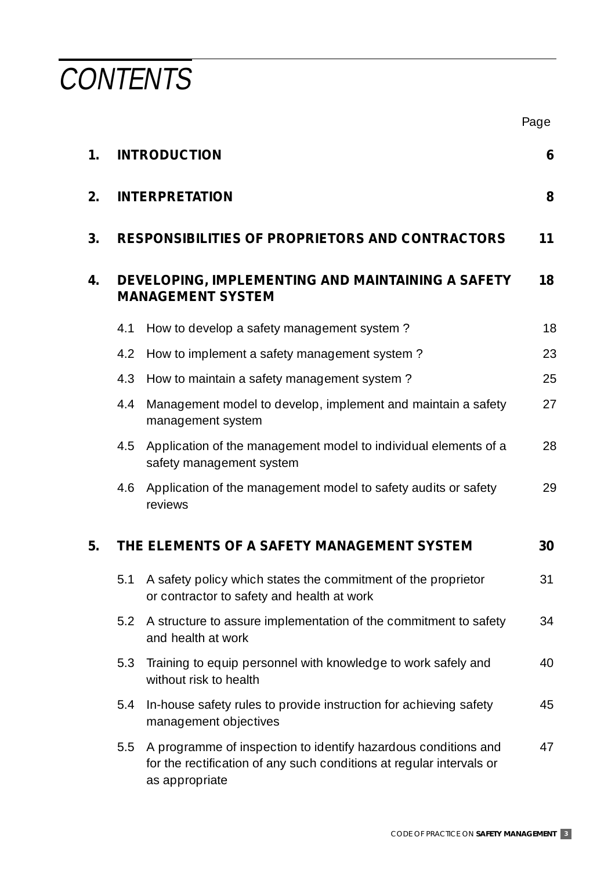**CONTENTS** 

|    |     |                                                                                                                                                          | Page |
|----|-----|----------------------------------------------------------------------------------------------------------------------------------------------------------|------|
| 1. |     | <b>INTRODUCTION</b>                                                                                                                                      | 6    |
| 2. |     | <b>INTERPRETATION</b>                                                                                                                                    | 8    |
| 3. |     | <b>RESPONSIBILITIES OF PROPRIETORS AND CONTRACTORS</b>                                                                                                   | 11   |
| 4. |     | DEVELOPING, IMPLEMENTING AND MAINTAINING A SAFETY<br><b>MANAGEMENT SYSTEM</b>                                                                            | 18   |
|    | 4.1 | How to develop a safety management system?                                                                                                               | 18   |
|    | 4.2 | How to implement a safety management system?                                                                                                             | 23   |
|    | 4.3 | How to maintain a safety management system?                                                                                                              | 25   |
|    | 4.4 | Management model to develop, implement and maintain a safety<br>management system                                                                        | 27   |
|    | 4.5 | Application of the management model to individual elements of a<br>safety management system                                                              | 28   |
|    | 4.6 | Application of the management model to safety audits or safety<br>reviews                                                                                | 29   |
| 5. |     | THE ELEMENTS OF A SAFETY MANAGEMENT SYSTEM                                                                                                               | 30   |
|    |     | 5.1 A safety policy which states the commitment of the proprietor<br>or contractor to safety and health at work                                          | 31   |
|    | 5.2 | A structure to assure implementation of the commitment to safety<br>and health at work                                                                   | 34   |
|    | 5.3 | Training to equip personnel with knowledge to work safely and<br>without risk to health                                                                  | 40   |
|    | 5.4 | In-house safety rules to provide instruction for achieving safety<br>management objectives                                                               | 45   |
|    | 5.5 | A programme of inspection to identify hazardous conditions and<br>for the rectification of any such conditions at regular intervals or<br>as appropriate | 47   |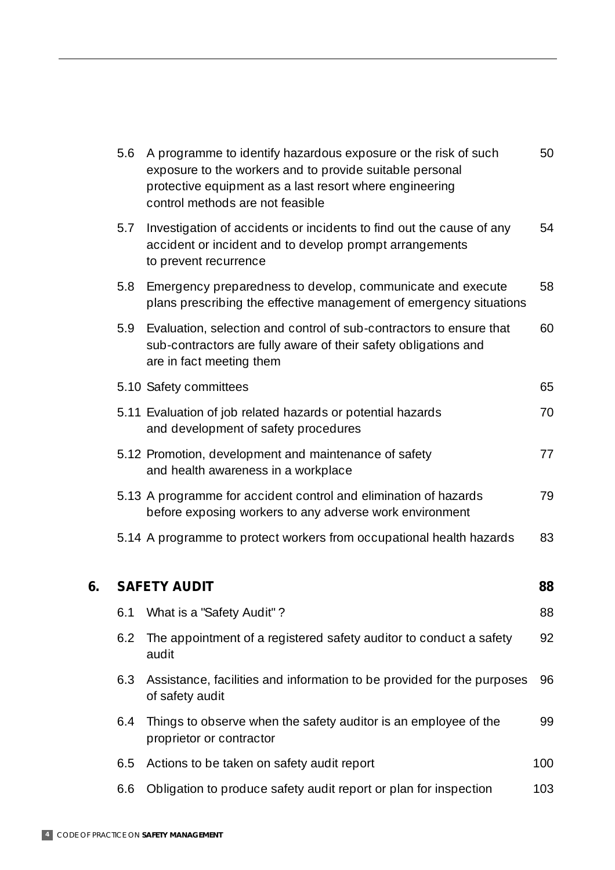|    | 5.6 | A programme to identify hazardous exposure or the risk of such<br>exposure to the workers and to provide suitable personal<br>protective equipment as a last resort where engineering<br>control methods are not feasible | 50  |
|----|-----|---------------------------------------------------------------------------------------------------------------------------------------------------------------------------------------------------------------------------|-----|
|    | 5.7 | Investigation of accidents or incidents to find out the cause of any<br>accident or incident and to develop prompt arrangements<br>to prevent recurrence                                                                  | 54  |
|    | 5.8 | Emergency preparedness to develop, communicate and execute<br>plans prescribing the effective management of emergency situations                                                                                          | 58  |
|    | 5.9 | Evaluation, selection and control of sub-contractors to ensure that<br>sub-contractors are fully aware of their safety obligations and<br>are in fact meeting them                                                        | 60  |
|    |     | 5.10 Safety committees                                                                                                                                                                                                    | 65  |
|    |     | 5.11 Evaluation of job related hazards or potential hazards<br>and development of safety procedures                                                                                                                       | 70  |
|    |     | 5.12 Promotion, development and maintenance of safety<br>and health awareness in a workplace                                                                                                                              | 77  |
|    |     | 5.13 A programme for accident control and elimination of hazards<br>before exposing workers to any adverse work environment                                                                                               | 79  |
|    |     | 5.14 A programme to protect workers from occupational health hazards                                                                                                                                                      | 83  |
| 6. |     | <b>SAFETY AUDIT</b>                                                                                                                                                                                                       | 88  |
|    | 6.1 | What is a "Safety Audit"?                                                                                                                                                                                                 | 88  |
|    | 6.2 | The appointment of a registered safety auditor to conduct a safety<br>audit                                                                                                                                               | 92  |
|    | 6.3 | Assistance, facilities and information to be provided for the purposes<br>of safety audit                                                                                                                                 | 96  |
|    | 6.4 | Things to observe when the safety auditor is an employee of the<br>proprietor or contractor                                                                                                                               | 99  |
|    | 6.5 | Actions to be taken on safety audit report                                                                                                                                                                                | 100 |
|    | 6.6 | Obligation to produce safety audit report or plan for inspection                                                                                                                                                          | 103 |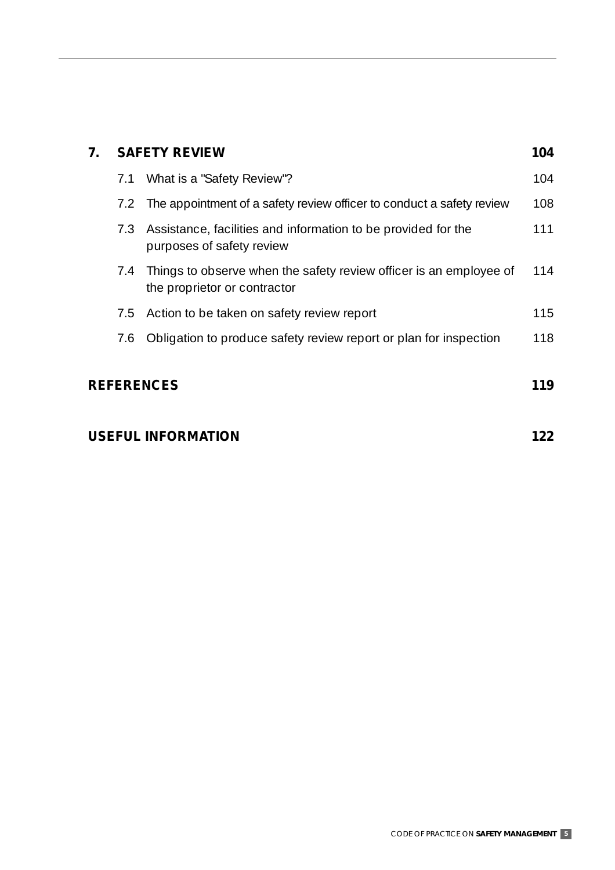| 7.                | <b>SAFETY REVIEW</b> |                                                                                                    |     |  |
|-------------------|----------------------|----------------------------------------------------------------------------------------------------|-----|--|
|                   | 7.1                  | What is a "Safety Review"?                                                                         | 104 |  |
|                   | 7.2                  | The appointment of a safety review officer to conduct a safety review                              | 108 |  |
|                   | 7.3                  | Assistance, facilities and information to be provided for the<br>purposes of safety review         | 111 |  |
|                   | 7.4                  | Things to observe when the safety review officer is an employee of<br>the proprietor or contractor | 114 |  |
|                   | 7.5                  | Action to be taken on safety review report                                                         | 115 |  |
|                   | 7.6                  | Obligation to produce safety review report or plan for inspection                                  | 118 |  |
| <b>REFERENCES</b> |                      |                                                                                                    |     |  |

#### USEFUL INFORMATION **122**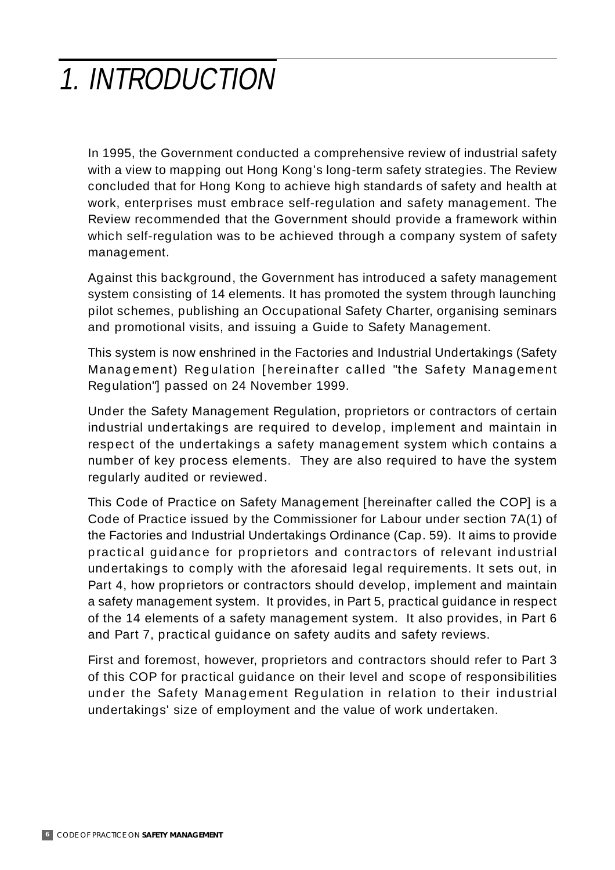# 1. INTRODUCTION

In 1995, the Government conducted a comprehensive review of industrial safety with a view to mapping out Hong Kong's long-term safety strategies. The Review concluded that for Hong Kong to achieve high standards of safety and health at work, enterprises must embrace self-regulation and safety management. The Review recommended that the Government should provide a framework within which self-regulation was to be achieved through a company system of safety management.

Against this background, the Government has introduced a safety management system consisting of 14 elements. It has promoted the system through launching pilot schemes, publishing an Occupational Safety Charter, organising seminars and promotional visits, and issuing a Guide to Safety Management.

This system is now enshrined in the Factories and Industrial Undertakings (Safety Management) Regulation [hereinafter called "the Safety Management Regulation"] passed on 24 November 1999.

Under the Safety Management Regulation, proprietors or contractors of certain industrial undertakings are required to develop, implement and maintain in respect of the undertakings a safety management system which contains a number of key process elements. They are also required to have the system regularly audited or reviewed.

This Code of Practice on Safety Management [hereinafter called the COP] is a Code of Practice issued by the Commissioner for Labour under section 7A(1) of the Factories and Industrial Undertakings Ordinance (Cap. 59). It aims to provide practical guidance for proprietors and contractors of relevant industrial undertakings to comply with the aforesaid legal requirements. It sets out, in Part 4, how proprietors or contractors should develop, implement and maintain a safety management system. It provides, in Part 5, practical guidance in respect of the 14 elements of a safety management system. It also provides, in Part 6 and Part 7, practical guidance on safety audits and safety reviews.

First and foremost, however, proprietors and contractors should refer to Part 3 of this COP for practical guidance on their level and scope of responsibilities under the Safety Management Regulation in relation to their industrial undertakings' size of employment and the value of work undertaken.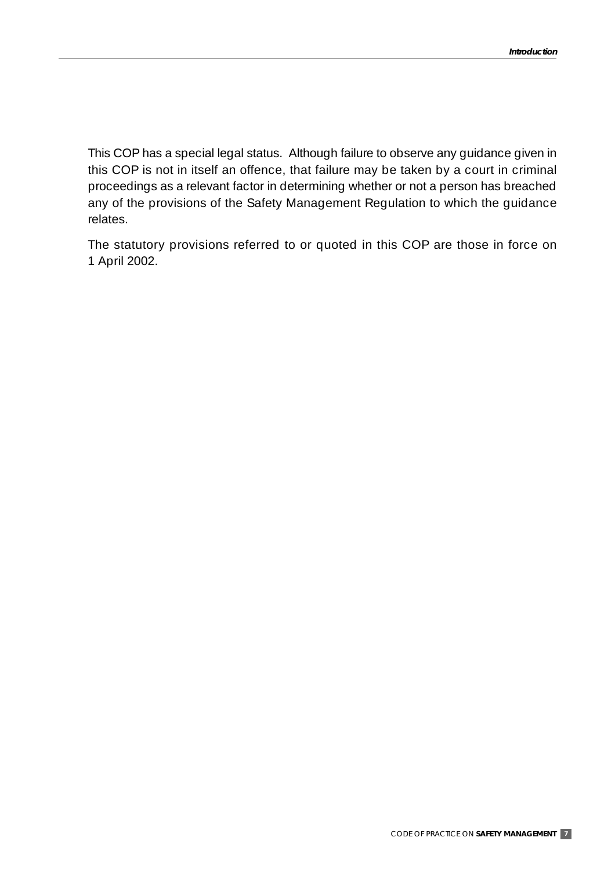This COP has a special legal status. Although failure to observe any guidance given in this COP is not in itself an offence, that failure may be taken by a court in criminal proceedings as a relevant factor in determining whether or not a person has breached any of the provisions of the Safety Management Regulation to which the guidance relates.

The statutory provisions referred to or quoted in this COP are those in force on 1 April 2002.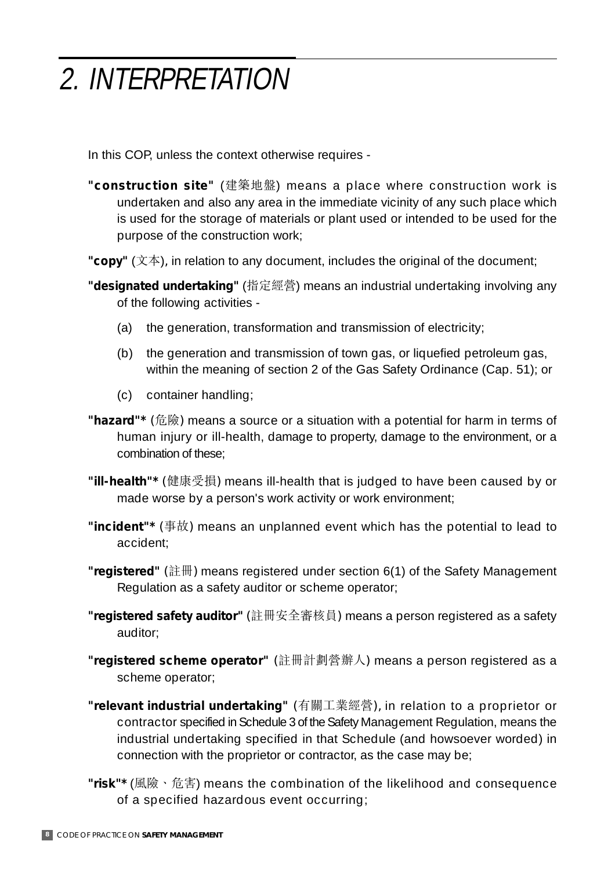# 2. INTERPRETATION

In this COP, unless the context otherwise requires -

- **"construction site"** (建築地盤) means a place where construction work is undertaken and also any area in the immediate vicinity of any such place which is used for the storage of materials or plant used or intended to be used for the purpose of the construction work;
- "copy" (文本), in relation to any document, includes the original of the document;
- "**designated undertaking**" (指定經營) means an industrial undertaking involving any of the following activities -
	- (a) the generation, transformation and transmission of electricity;
	- (b) the generation and transmission of town gas, or liquefied petroleum gas, within the meaning of section 2 of the Gas Safety Ordinance (Cap. 51); or
	- (c) container handling;
- "hazard"\* (危險) means a source or a situation with a potential for harm in terms of human injury or ill-health, damage to property, damage to the environment, or a combination of these;
- "**ill-health"\*** (健康受損) means ill-health that is judged to have been caused by or made worse by a person's work activity or work environment;
- "incident"\* (事故) means an unplanned event which has the potential to lead to accident;
- "**registered**" (註冊) means registered under section 6(1) of the Safety Management Regulation as a safety auditor or scheme operator;
- **"registered safety auditor"** (註冊安全審核員) means a person registered as a safety auditor;
- **"registered scheme operator"** (註冊計劃營辦人) means a person registered as a scheme operator;
- **"relevant industrial undertaking"** (有關工業經營), in relation to a proprietor or contractor specified in Schedule 3 of the Safety Management Regulation, means the industrial undertaking specified in that Schedule (and howsoever worded) in connection with the proprietor or contractor, as the case may be;
- "**risk"\*** (風險、危害) means the combination of the likelihood and consequence of a specified hazardous event occurring;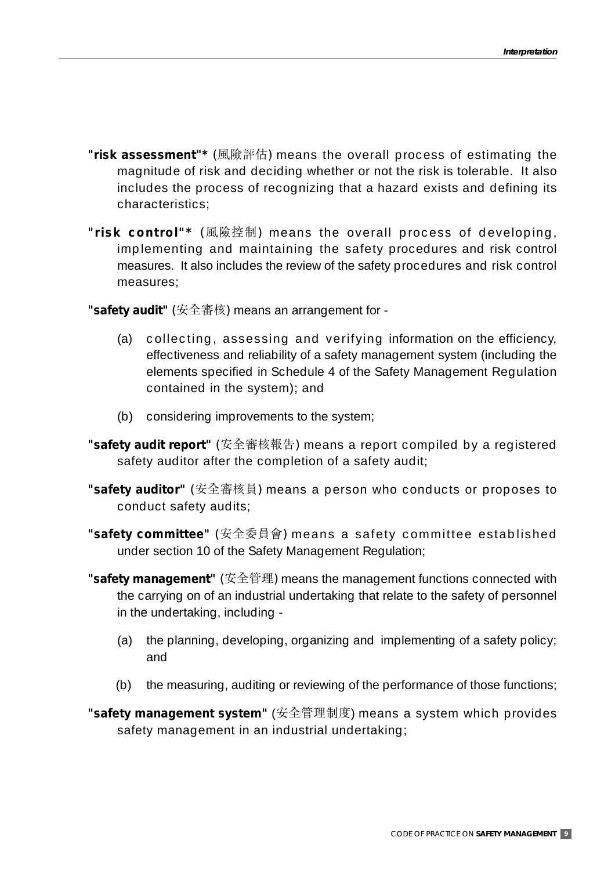- **"risk assessment"\*** (風險評估) means the overall process of estimating the magnitude of risk and deciding whether or not the risk is tolerable. It also includes the process of recognizing that a hazard exists and defining its characteristics;
- **"risk control"\*** (風險控制) means the overall process of developing, implementing and maintaining the safety procedures and risk control measures. It also includes the review of the safety procedures and risk control measures;

**"safety audit"** (安全審核) means an arrangement for -

- (a) collecting, assessing and verifying information on the efficiency, effectiveness and reliability of a safety management system (including the elements specified in Schedule 4 of the Safety Management Regulation contained in the system); and
- (b) considering improvements to the system;
- **"safety audit report"** (安全審核報告) means a report compiled by a registered safety auditor after the completion of a safety audit;
- **"safety auditor"** (安全審核員) means a person who conducts or proposes to conduct safety audits;
- **"safety committee"** (安全委員會) means a safety committee established under section 10 of the Safety Management Regulation;
- **"safety management"** (安全管理) means the management functions connected with the carrying on of an industrial undertaking that relate to the safety of personnel in the undertaking, including -
	- (a) the planning, developing, organizing and implementing of a safety policy; and
	- (b) the measuring, auditing or reviewing of the performance of those functions;
- **"safety management system"** (安全管理制度) means a system which provides safety management in an industrial undertaking;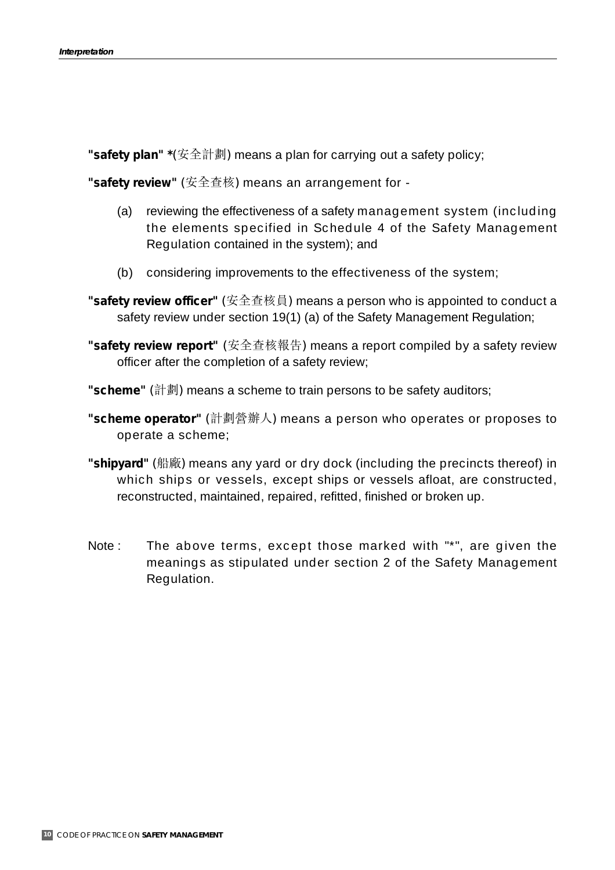"**safety plan" \***(安全計劃) means a plan for carrying out a safety policy;

**"safety review"** (安全查核) means an arrangement for -

- (a) reviewing the effectiveness of a safety management system (including the elements specified in Schedule 4 of the Safety Management Regulation contained in the system); and
- (b) considering improvements to the effectiveness of the system;
- **"safety review officer"** (安全查核員) means a person who is appointed to conduct a safety review under section 19(1) (a) of the Safety Management Regulation;
- **"safety review report"** (安全查核報告) means a report compiled by a safety review officer after the completion of a safety review;
- "scheme" (計劃) means a scheme to train persons to be safety auditors;
- **"scheme operator"** (計劃營辦人) means a person who operates or proposes to operate a scheme;
- "shipyard" (船廠) means any yard or dry dock (including the precincts thereof) in which ships or vessels, except ships or vessels afloat, are constructed, reconstructed, maintained, repaired, refitted, finished or broken up.
- Note : The above terms, except those marked with "\*", are given the meanings as stipulated under section 2 of the Safety Management Regulation.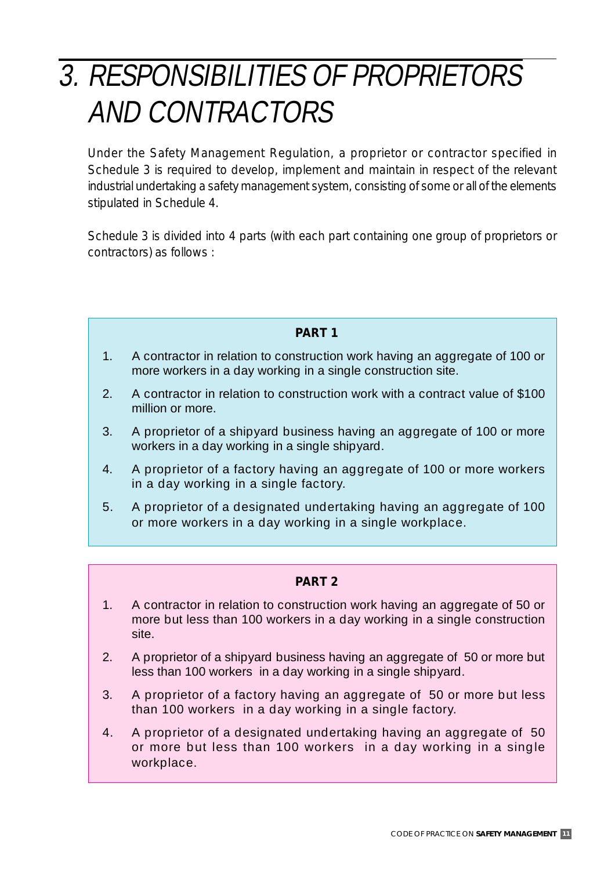# 3. RESPONSIBILITIES OF PROPRIETORS AND CONTRACTORS

Under the Safety Management Regulation, a proprietor or contractor specified in Schedule 3 is required to develop, implement and maintain in respect of the relevant industrial undertaking a safety management system, consisting of some or all of the elements stipulated in Schedule 4.

Schedule 3 is divided into 4 parts (with each part containing one group of proprietors or contractors) as follows :

#### **PART 1**

- 1. A contractor in relation to construction work having an aggregate of 100 or more workers in a day working in a single construction site.
- 2. A contractor in relation to construction work with a contract value of \$100 million or more.
- 3. A proprietor of a shipyard business having an aggregate of 100 or more workers in a day working in a single shipyard.
- 4. A proprietor of a factory having an aggregate of 100 or more workers in a day working in a single factory.
- 5. A proprietor of a designated undertaking having an aggregate of 100 or more workers in a day working in a single workplace.

#### **PART 2**

- 1. A contractor in relation to construction work having an aggregate of 50 or more but less than 100 workers in a day working in a single construction site.
- 2. A proprietor of a shipyard business having an aggregate of 50 or more but less than 100 workers in a day working in a single shipyard.
- 3. A proprietor of a factory having an aggregate of 50 or more but less than 100 workers in a day working in a single factory.
- 4. A proprietor of a designated undertaking having an aggregate of 50 or more but less than 100 workers in a day working in a single workplace.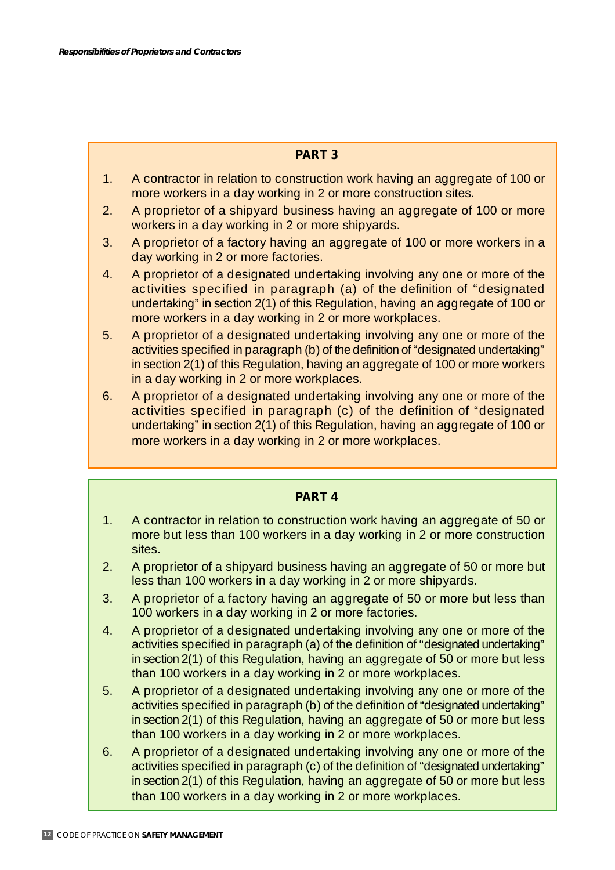#### **PART 3**

- 1. A contractor in relation to construction work having an aggregate of 100 or more workers in a day working in 2 or more construction sites.
- 2. A proprietor of a shipyard business having an aggregate of 100 or more workers in a day working in 2 or more shipyards.
- 3. A proprietor of a factory having an aggregate of 100 or more workers in a day working in 2 or more factories.
- 4. A proprietor of a designated undertaking involving any one or more of the activities specified in paragraph (a) of the definition of "designated undertaking" in section 2(1) of this Regulation, having an aggregate of 100 or more workers in a day working in 2 or more workplaces.
- 5. A proprietor of a designated undertaking involving any one or more of the activities specified in paragraph (b) of the definition of "designated undertaking" in section 2(1) of this Regulation, having an aggregate of 100 or more workers in a day working in 2 or more workplaces.
- 6. A proprietor of a designated undertaking involving any one or more of the activities specified in paragraph (c) of the definition of "designated undertaking" in section 2(1) of this Regulation, having an aggregate of 100 or more workers in a day working in 2 or more workplaces.

#### **PART 4**

- 1. A contractor in relation to construction work having an aggregate of 50 or more but less than 100 workers in a day working in 2 or more construction sites.
- 2. A proprietor of a shipyard business having an aggregate of 50 or more but less than 100 workers in a day working in 2 or more shipyards.
- 3. A proprietor of a factory having an aggregate of 50 or more but less than 100 workers in a day working in 2 or more factories.
- 4. A proprietor of a designated undertaking involving any one or more of the activities specified in paragraph (a) of the definition of "designated undertaking" in section 2(1) of this Regulation, having an aggregate of 50 or more but less than 100 workers in a day working in 2 or more workplaces.
- 5. A proprietor of a designated undertaking involving any one or more of the activities specified in paragraph (b) of the definition of "designated undertaking" in section 2(1) of this Regulation, having an aggregate of 50 or more but less than 100 workers in a day working in 2 or more workplaces.
- 6. A proprietor of a designated undertaking involving any one or more of the activities specified in paragraph (c) of the definition of "designated undertaking" in section 2(1) of this Regulation, having an aggregate of 50 or more but less than 100 workers in a day working in 2 or more workplaces.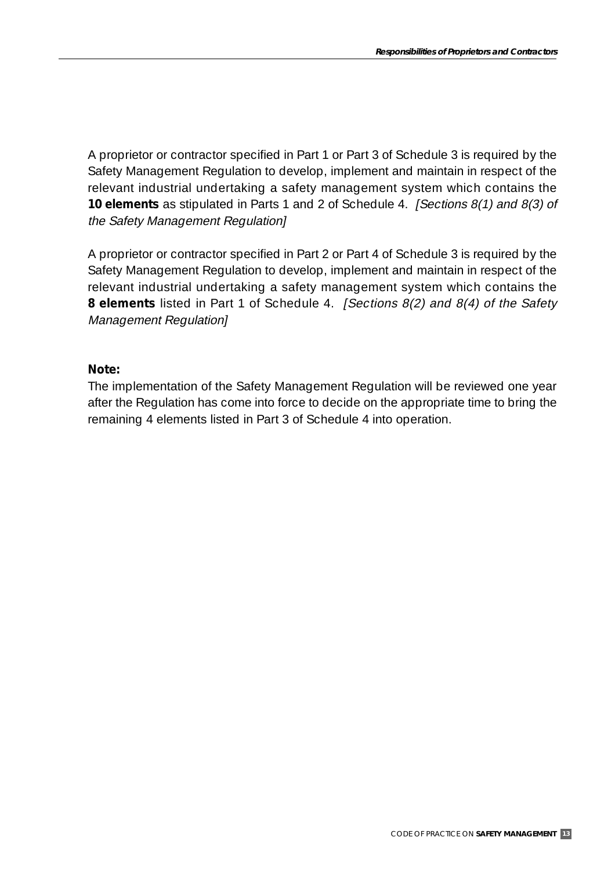A proprietor or contractor specified in Part 1 or Part 3 of Schedule 3 is required by the Safety Management Regulation to develop, implement and maintain in respect of the relevant industrial undertaking a safety management system which contains the **10 elements** as stipulated in Parts 1 and 2 of Schedule 4. [Sections 8(1) and 8(3) of the Safety Management Regulation]

A proprietor or contractor specified in Part 2 or Part 4 of Schedule 3 is required by the Safety Management Regulation to develop, implement and maintain in respect of the relevant industrial undertaking a safety management system which contains the **8 elements** listed in Part 1 of Schedule 4. *[Sections 8(2) and 8(4) of the Safety* Management Regulation]

#### **Note:**

The implementation of the Safety Management Regulation will be reviewed one year after the Regulation has come into force to decide on the appropriate time to bring the remaining 4 elements listed in Part 3 of Schedule 4 into operation.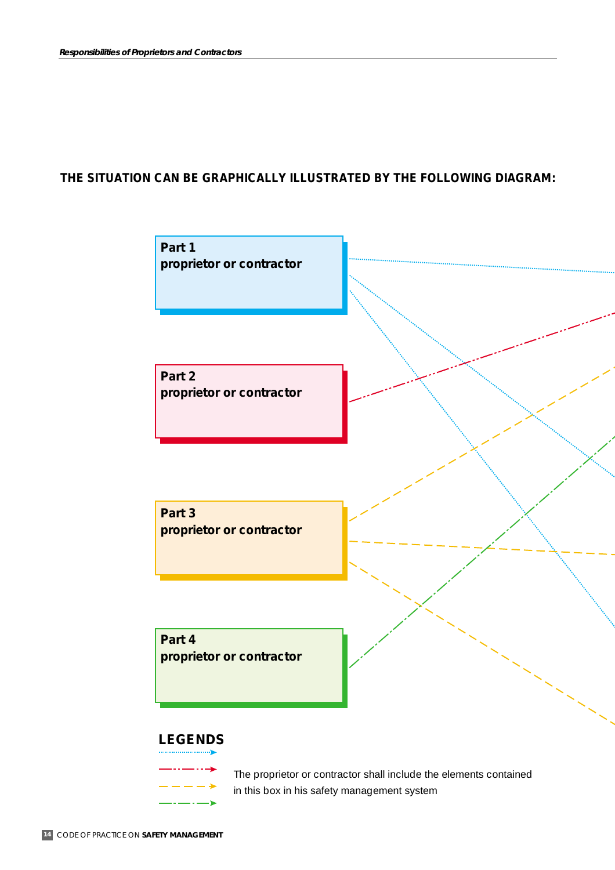#### **THE SITUATION CAN BE GRAPHICALLY ILLUSTRATED BY THE FOLLOWING DIAGRAM:**



in this box in his safety management system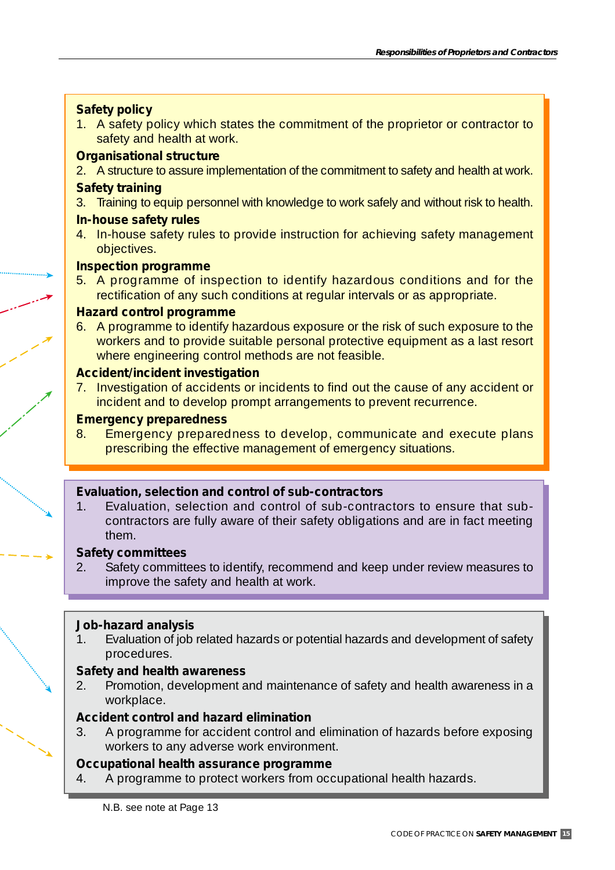#### **Safety policy**

1. A safety policy which states the commitment of the proprietor or contractor to safety and health at work.

#### **Organisational structure**

2. A structure to assure implementation of the commitment to safety and health at work.

#### **Safety training**

3. Training to equip personnel with knowledge to work safely and without risk to health.

#### **In-house safety rules**

4. In-house safety rules to provide instruction for achieving safety management objectives.

#### **Inspection programme**

5. A programme of inspection to identify hazardous conditions and for the rectification of any such conditions at regular intervals or as appropriate.

#### **Hazard control programme**

6. A programme to identify hazardous exposure or the risk of such exposure to the workers and to provide suitable personal protective equipment as a last resort where engineering control methods are not feasible.

#### **Accident/incident investigation**

7. Investigation of accidents or incidents to find out the cause of any accident or incident and to develop prompt arrangements to prevent recurrence.

#### **Emergency preparedness**

8. Emergency preparedness to develop, communicate and execute plans prescribing the effective management of emergency situations.

#### **Evaluation, selection and control of sub-contractors**

1. Evaluation, selection and control of sub-contractors to ensure that subcontractors are fully aware of their safety obligations and are in fact meeting them.

#### **Safety committees**

2. Safety committees to identify, recommend and keep under review measures to improve the safety and health at work.

#### **Job-hazard analysis**

1. Evaluation of job related hazards or potential hazards and development of safety procedures.

#### **Safety and health awareness**

2. Promotion, development and maintenance of safety and health awareness in a workplace.

#### **Accident control and hazard elimination**

3. A programme for accident control and elimination of hazards before exposing workers to any adverse work environment.

#### **Occupational health assurance programme**

4. A programme to protect workers from occupational health hazards.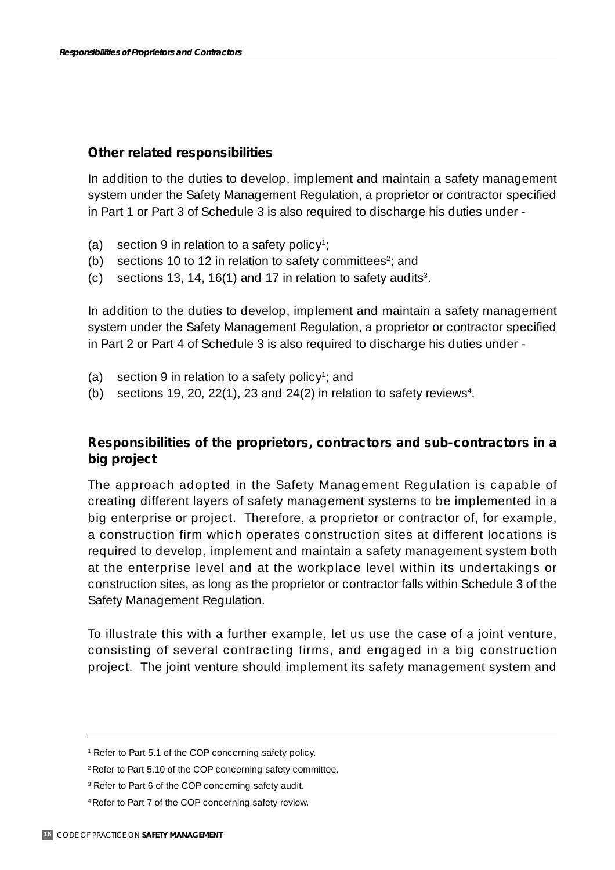#### **Other related responsibilities**

In addition to the duties to develop, implement and maintain a safety management system under the Safety Management Regulation, a proprietor or contractor specified in Part 1 or Part 3 of Schedule 3 is also required to discharge his duties under -

- (a) section 9 in relation to a safety policy<sup>1</sup>;
- (b) sections 10 to 12 in relation to safety committees<sup>2</sup>; and
- (c) sections 13, 14, 16(1) and 17 in relation to safety audits<sup>3</sup>.

In addition to the duties to develop, implement and maintain a safety management system under the Safety Management Regulation, a proprietor or contractor specified in Part 2 or Part 4 of Schedule 3 is also required to discharge his duties under -

- (a) section 9 in relation to a safety policy<sup>1</sup>; and
- (b) sections 19, 20, 22(1), 23 and 24(2) in relation to safety reviews<sup>4</sup>.

#### **Responsibilities of the proprietors, contractors and sub-contractors in a big project**

The approach adopted in the Safety Management Regulation is capable of creating different layers of safety management systems to be implemented in a big enterprise or project. Therefore, a proprietor or contractor of, for example, a construction firm which operates construction sites at different locations is required to develop, implement and maintain a safety management system both at the enterprise level and at the workplace level within its undertakings or construction sites, as long as the proprietor or contractor falls within Schedule 3 of the Safety Management Regulation.

To illustrate this with a further example, let us use the case of a joint venture, consisting of several contracting firms, and engaged in a big construction project. The joint venture should implement its safety management system and

<sup>1</sup> Refer to Part 5.1 of the COP concerning safety policy.

<sup>2</sup> Refer to Part 5.10 of the COP concerning safety committee.

<sup>&</sup>lt;sup>3</sup> Refer to Part 6 of the COP concerning safety audit.

<sup>4</sup> Refer to Part 7 of the COP concerning safety review.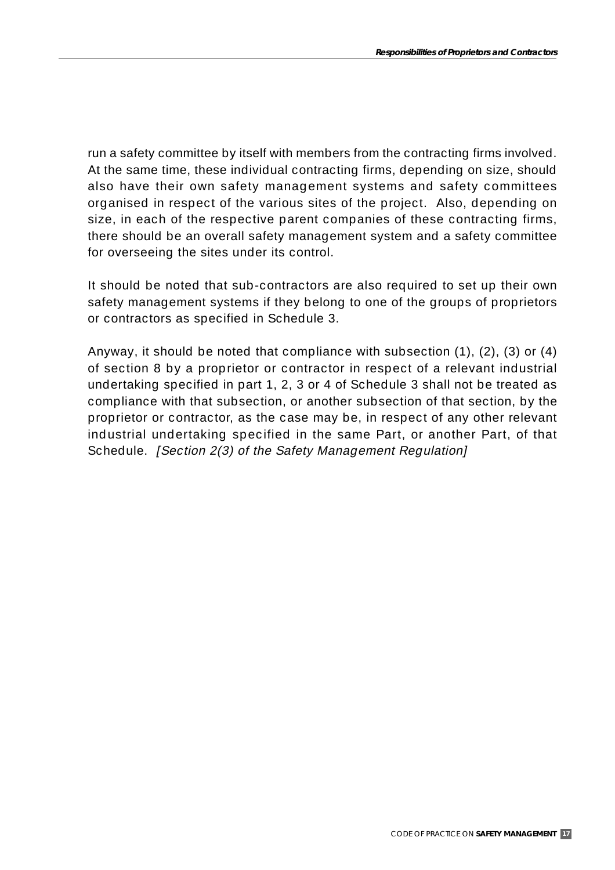run a safety committee by itself with members from the contracting firms involved. At the same time, these individual contracting firms, depending on size, should also have their own safety management systems and safety committees organised in respect of the various sites of the project. Also, depending on size, in each of the respective parent companies of these contracting firms, there should be an overall safety management system and a safety committee for overseeing the sites under its control.

It should be noted that sub-contractors are also required to set up their own safety management systems if they belong to one of the groups of proprietors or contractors as specified in Schedule 3.

Anyway, it should be noted that compliance with subsection (1), (2), (3) or (4) of section 8 by a proprietor or contractor in respect of a relevant industrial undertaking specified in part 1, 2, 3 or 4 of Schedule 3 shall not be treated as compliance with that subsection, or another subsection of that section, by the proprietor or contractor, as the case may be, in respect of any other relevant industrial undertaking specified in the same Part, or another Part, of that Schedule. *[Section 2(3) of the Safety Management Regulation]*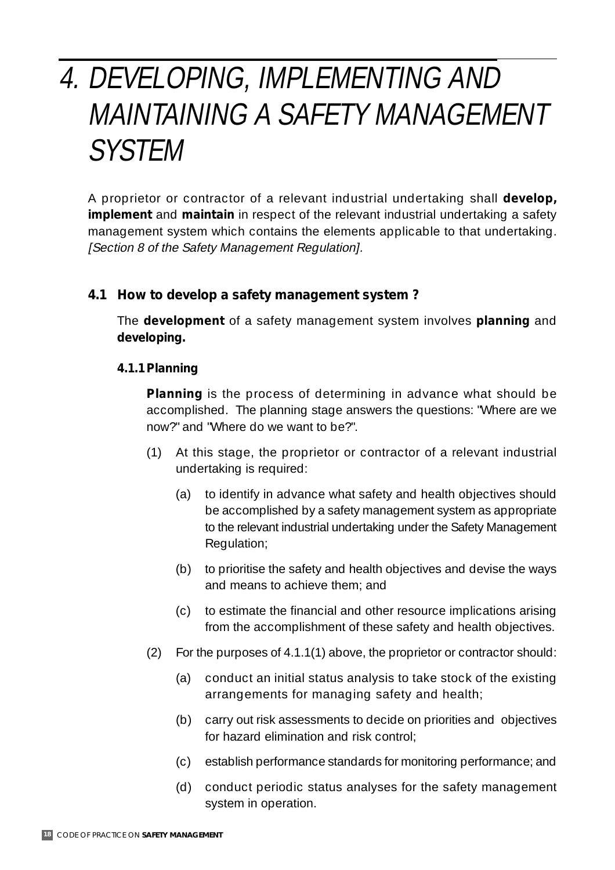# 4. DEVELOPING, IMPLEMENTING AND MAINTAINING A SAFETY MANAGEMENT SYSTEM

A proprietor or contractor of a relevant industrial undertaking shall *develop, implement* and *maintain* in respect of the relevant industrial undertaking a safety management system which contains the elements applicable to that undertaking. [Section 8 of the Safety Management Regulation].

#### **4.1 How to** *develop* **a safety management system ?**

The *development* of a safety management system involves **planning** and **developing.**

#### **4.1.1 Planning**

**Planning** is the process of determining in advance what should be accomplished. The planning stage answers the questions: "Where are we now?" and "Where do we want to be?".

- (1) At this stage, the proprietor or contractor of a relevant industrial undertaking is required:
	- (a) to identify in advance what safety and health objectives should be accomplished by a safety management system as appropriate to the relevant industrial undertaking under the Safety Management Regulation;
	- (b) to prioritise the safety and health objectives and devise the ways and means to achieve them; and
	- (c) to estimate the financial and other resource implications arising from the accomplishment of these safety and health objectives.
- (2) For the purposes of 4.1.1(1) above, the proprietor or contractor should:
	- (a) conduct an initial status analysis to take stock of the existing arrangements for managing safety and health;
	- (b) carry out risk assessments to decide on priorities and objectives for hazard elimination and risk control;
	- (c) establish performance standards for monitoring performance; and
	- (d) conduct periodic status analyses for the safety management system in operation.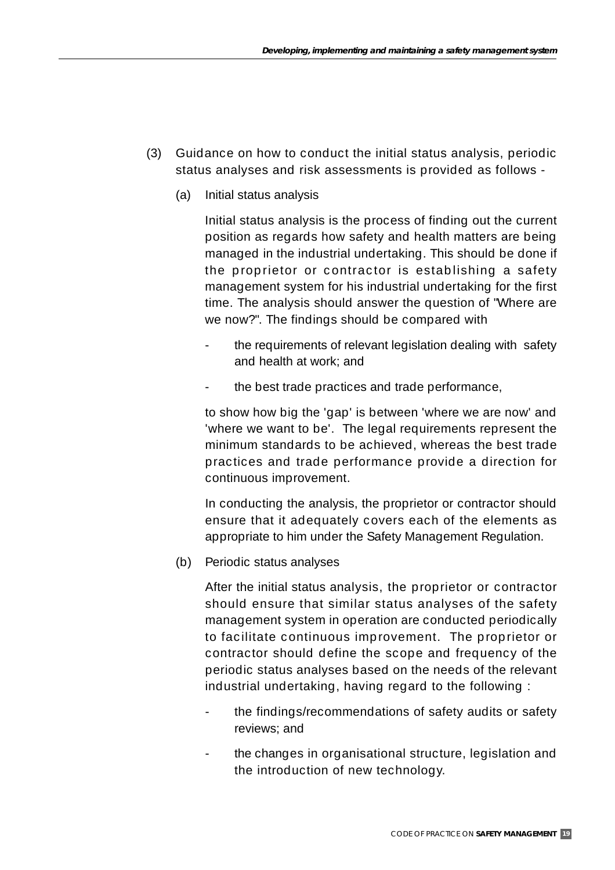- (3) Guidance on how to conduct the initial status analysis, periodic status analyses and risk assessments is provided as follows -
	- (a) Initial status analysis

Initial status analysis is the process of finding out the current position as regards how safety and health matters are being managed in the industrial undertaking. This should be done if the proprietor or contractor is establishing a safety management system for his industrial undertaking for the first time. The analysis should answer the question of "Where are we now?". The findings should be compared with

- the requirements of relevant legislation dealing with safety and health at work; and
- the best trade practices and trade performance,

to show how big the 'gap' is between 'where we are now' and 'where we want to be'. The legal requirements represent the minimum standards to be achieved, whereas the best trade practices and trade performance provide a direction for continuous improvement.

In conducting the analysis, the proprietor or contractor should ensure that it adequately covers each of the elements as appropriate to him under the Safety Management Regulation.

(b) Periodic status analyses

After the initial status analysis, the proprietor or contractor should ensure that similar status analyses of the safety management system in operation are conducted periodically to facilitate continuous improvement. The proprietor or contractor should define the scope and frequency of the periodic status analyses based on the needs of the relevant industrial undertaking, having regard to the following :

- the findings/recommendations of safety audits or safety reviews; and
- the changes in organisational structure, legislation and the introduction of new technology.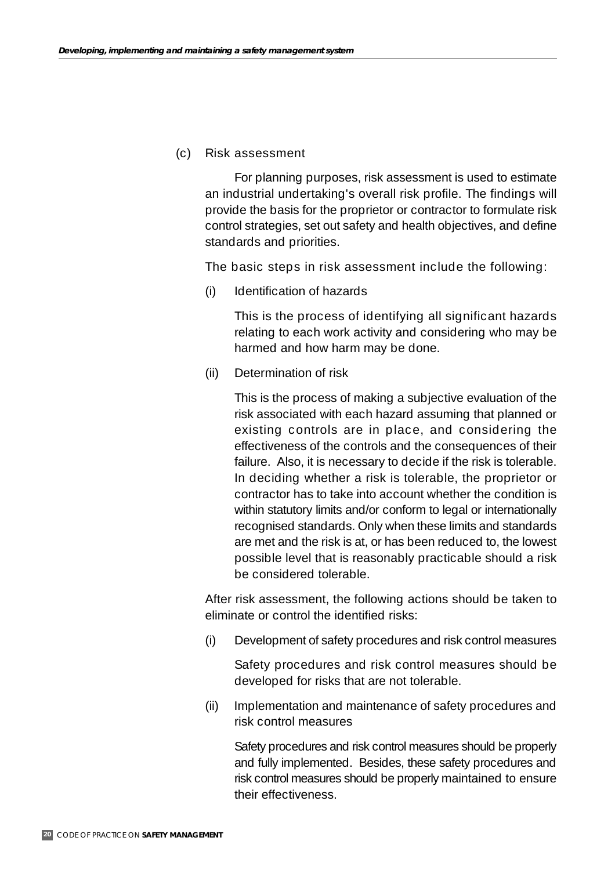#### (c) Risk assessment

For planning purposes, risk assessment is used to estimate an industrial undertaking's overall risk profile. The findings will provide the basis for the proprietor or contractor to formulate risk control strategies, set out safety and health objectives, and define standards and priorities.

The basic steps in risk assessment include the following:

(i) Identification of hazards

This is the process of identifying all significant hazards relating to each work activity and considering who may be harmed and how harm may be done.

(ii) Determination of risk

This is the process of making a subjective evaluation of the risk associated with each hazard assuming that planned or existing controls are in place, and considering the effectiveness of the controls and the consequences of their failure. Also, it is necessary to decide if the risk is tolerable. In deciding whether a risk is tolerable, the proprietor or contractor has to take into account whether the condition is within statutory limits and/or conform to legal or internationally recognised standards. Only when these limits and standards are met and the risk is at, or has been reduced to, the lowest possible level that is reasonably practicable should a risk be considered tolerable.

After risk assessment, the following actions should be taken to eliminate or control the identified risks:

(i) Development of safety procedures and risk control measures

Safety procedures and risk control measures should be developed for risks that are not tolerable.

(ii) Implementation and maintenance of safety procedures and risk control measures

Safety procedures and risk control measures should be properly and fully implemented. Besides, these safety procedures and risk control measures should be properly maintained to ensure their effectiveness.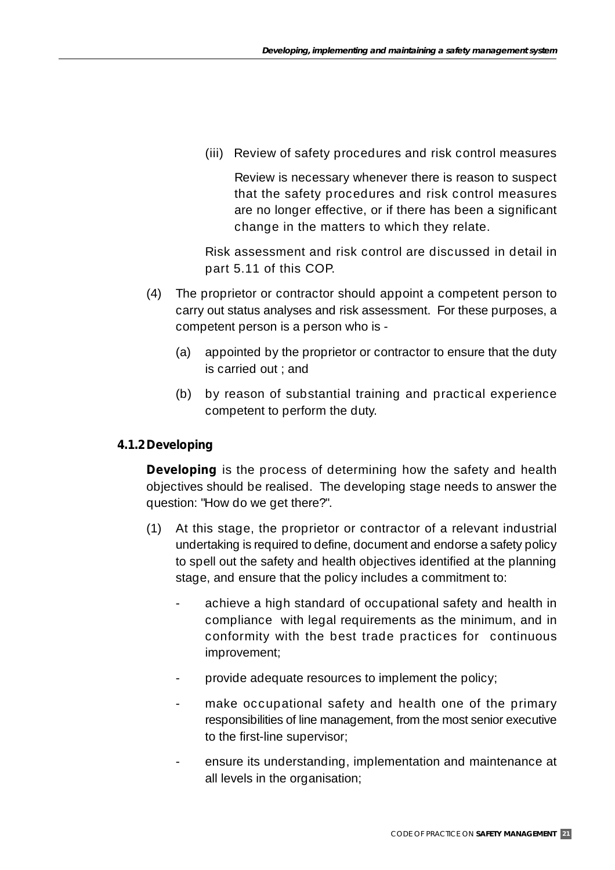(iii) Review of safety procedures and risk control measures

Review is necessary whenever there is reason to suspect that the safety procedures and risk control measures are no longer effective, or if there has been a significant change in the matters to which they relate.

Risk assessment and risk control are discussed in detail in part 5.11 of this COP.

- (4) The proprietor or contractor should appoint a competent person to carry out status analyses and risk assessment. For these purposes, a competent person is a person who is -
	- (a) appointed by the proprietor or contractor to ensure that the duty is carried out ; and
	- (b) by reason of substantial training and practical experience competent to perform the duty.

#### **4.1.2Developing**

**Developing** is the process of determining how the safety and health objectives should be realised. The developing stage needs to answer the question: "How do we get there?".

- (1) At this stage, the proprietor or contractor of a relevant industrial undertaking is required to define, document and endorse a safety policy to spell out the safety and health objectives identified at the planning stage, and ensure that the policy includes a commitment to:
	- achieve a high standard of occupational safety and health in compliance with legal requirements as the minimum, and in conformity with the best trade practices for continuous improvement;
	- provide adequate resources to implement the policy;
	- make occupational safety and health one of the primary responsibilities of line management, from the most senior executive to the first-line supervisor;
	- ensure its understanding, implementation and maintenance at all levels in the organisation;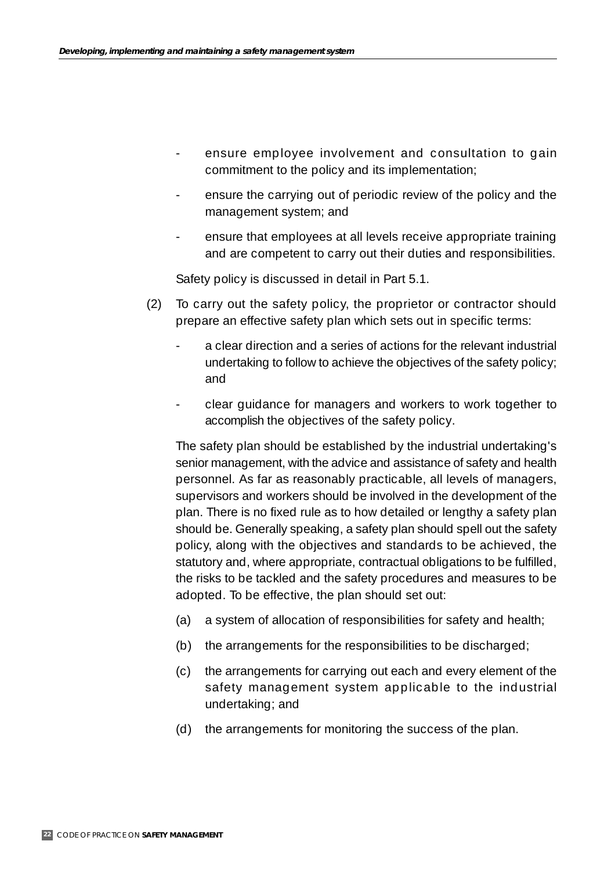- ensure employee involvement and consultation to gain commitment to the policy and its implementation;
- ensure the carrying out of periodic review of the policy and the management system; and
- ensure that employees at all levels receive appropriate training and are competent to carry out their duties and responsibilities.

Safety policy is discussed in detail in Part 5.1.

- (2) To carry out the safety policy, the proprietor or contractor should prepare an effective safety plan which sets out in specific terms:
	- a clear direction and a series of actions for the relevant industrial undertaking to follow to achieve the objectives of the safety policy; and
	- clear guidance for managers and workers to work together to accomplish the objectives of the safety policy.

The safety plan should be established by the industrial undertaking's senior management, with the advice and assistance of safety and health personnel. As far as reasonably practicable, all levels of managers, supervisors and workers should be involved in the development of the plan. There is no fixed rule as to how detailed or lengthy a safety plan should be. Generally speaking, a safety plan should spell out the safety policy, along with the objectives and standards to be achieved, the statutory and, where appropriate, contractual obligations to be fulfilled, the risks to be tackled and the safety procedures and measures to be adopted. To be effective, the plan should set out:

- (a) a system of allocation of responsibilities for safety and health;
- (b) the arrangements for the responsibilities to be discharged;
- (c) the arrangements for carrying out each and every element of the safety management system applicable to the industrial undertaking; and
- (d) the arrangements for monitoring the success of the plan.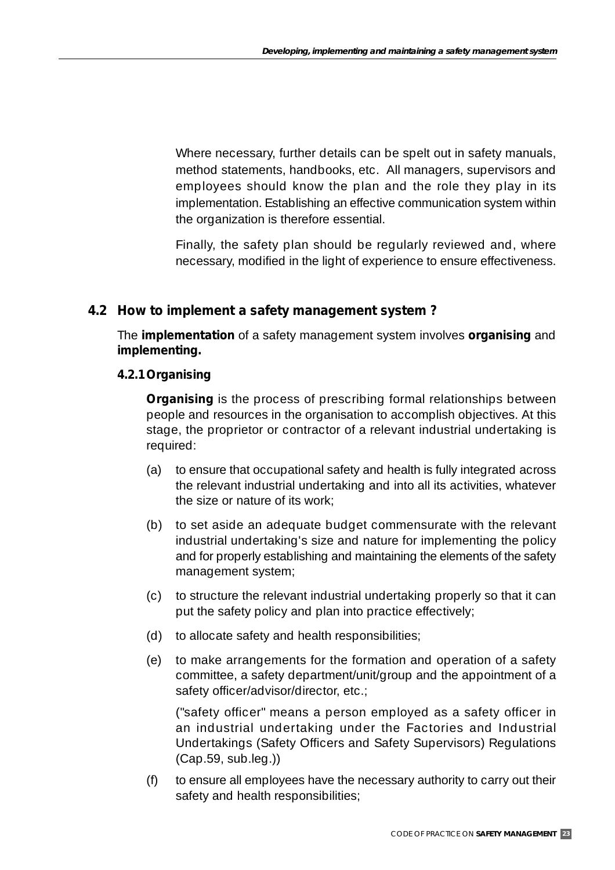Where necessary, further details can be spelt out in safety manuals, method statements, handbooks, etc. All managers, supervisors and employees should know the plan and the role they play in its implementation. Establishing an effective communication system within the organization is therefore essential.

Finally, the safety plan should be regularly reviewed and, where necessary, modified in the light of experience to ensure effectiveness.

#### **4.2 How to** *implement* **a safety management system ?**

The *implementation* of a safety management system involves **organising** and **implementing.**

#### **4.2.1Organising**

*Organising* is the process of prescribing formal relationships between people and resources in the organisation to accomplish objectives. At this stage, the proprietor or contractor of a relevant industrial undertaking is required:

- (a) to ensure that occupational safety and health is fully integrated across the relevant industrial undertaking and into all its activities, whatever the size or nature of its work;
- (b) to set aside an adequate budget commensurate with the relevant industrial undertaking's size and nature for implementing the policy and for properly establishing and maintaining the elements of the safety management system;
- (c) to structure the relevant industrial undertaking properly so that it can put the safety policy and plan into practice effectively;
- (d) to allocate safety and health responsibilities;
- (e) to make arrangements for the formation and operation of a safety committee, a safety department/unit/group and the appointment of a safety officer/advisor/director, etc.;

("safety officer" means a person employed as a safety officer in an industrial undertaking under the Factories and Industrial Undertakings (Safety Officers and Safety Supervisors) Regulations (Cap.59, sub.leg.))

(f) to ensure all employees have the necessary authority to carry out their safety and health responsibilities;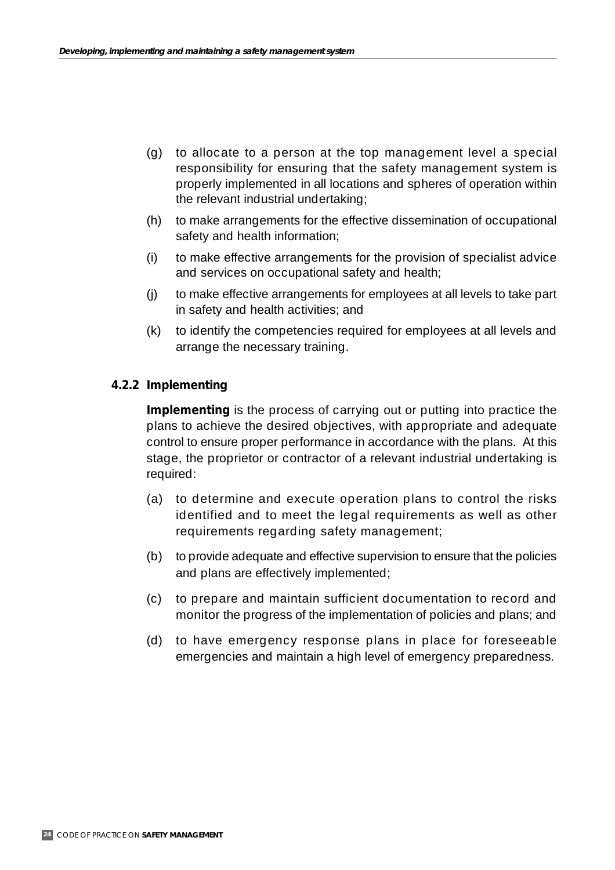- (g) to allocate to a person at the top management level a special responsibility for ensuring that the safety management system is properly implemented in all locations and spheres of operation within the relevant industrial undertaking;
- (h) to make arrangements for the effective dissemination of occupational safety and health information;
- (i) to make effective arrangements for the provision of specialist advice and services on occupational safety and health;
- (j) to make effective arrangements for employees at all levels to take part in safety and health activities; and
- (k) to identify the competencies required for employees at all levels and arrange the necessary training.

#### **4.2.2 Implementing**

**Implementing** is the process of carrying out or putting into practice the plans to achieve the desired objectives, with appropriate and adequate control to ensure proper performance in accordance with the plans. At this stage, the proprietor or contractor of a relevant industrial undertaking is required:

- (a) to determine and execute operation plans to control the risks identified and to meet the legal requirements as well as other requirements regarding safety management;
- (b) to provide adequate and effective supervision to ensure that the policies and plans are effectively implemented;
- (c) to prepare and maintain sufficient documentation to record and monitor the progress of the implementation of policies and plans; and
- (d) to have emergency response plans in place for foreseeable emergencies and maintain a high level of emergency preparedness.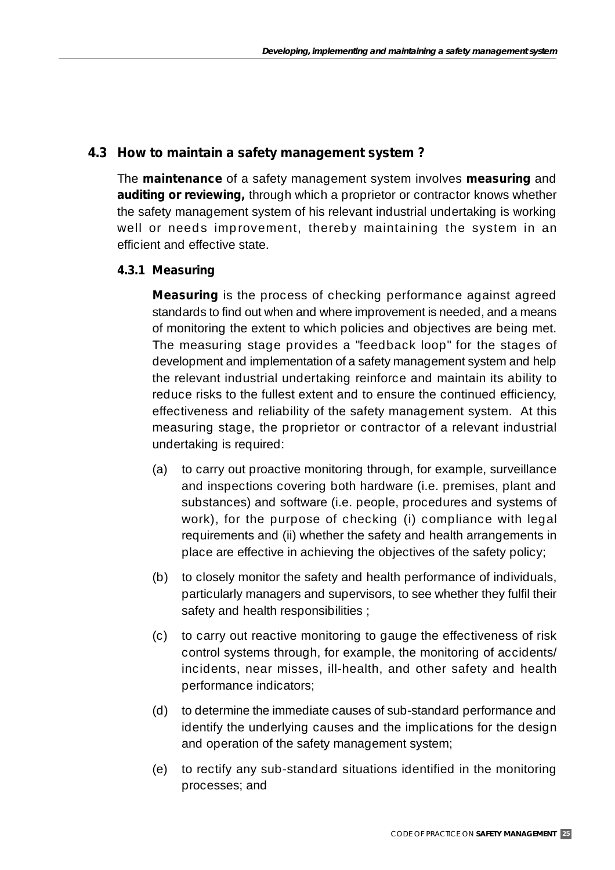#### **4.3 How to** *maintain* **a safety management system ?**

The *maintenance* of a safety management system involves **measuring** and **auditing or reviewing,** through which a proprietor or contractor knows whether the safety management system of his relevant industrial undertaking is working well or needs improvement, thereby maintaining the system in an efficient and effective state.

#### **4.3.1 Measuring**

*Measuring* is the process of checking performance against agreed standards to find out when and where improvement is needed, and a means of monitoring the extent to which policies and objectives are being met. The measuring stage provides a "feedback loop" for the stages of development and implementation of a safety management system and help the relevant industrial undertaking reinforce and maintain its ability to reduce risks to the fullest extent and to ensure the continued efficiency, effectiveness and reliability of the safety management system. At this measuring stage, the proprietor or contractor of a relevant industrial undertaking is required:

- (a) to carry out proactive monitoring through, for example, surveillance and inspections covering both hardware (i.e. premises, plant and substances) and software (i.e. people, procedures and systems of work), for the purpose of checking (i) compliance with legal requirements and (ii) whether the safety and health arrangements in place are effective in achieving the objectives of the safety policy;
- (b) to closely monitor the safety and health performance of individuals, particularly managers and supervisors, to see whether they fulfil their safety and health responsibilities ;
- (c) to carry out reactive monitoring to gauge the effectiveness of risk control systems through, for example, the monitoring of accidents/ incidents, near misses, ill-health, and other safety and health performance indicators;
- (d) to determine the immediate causes of sub-standard performance and identify the underlying causes and the implications for the design and operation of the safety management system;
- (e) to rectify any sub-standard situations identified in the monitoring processes; and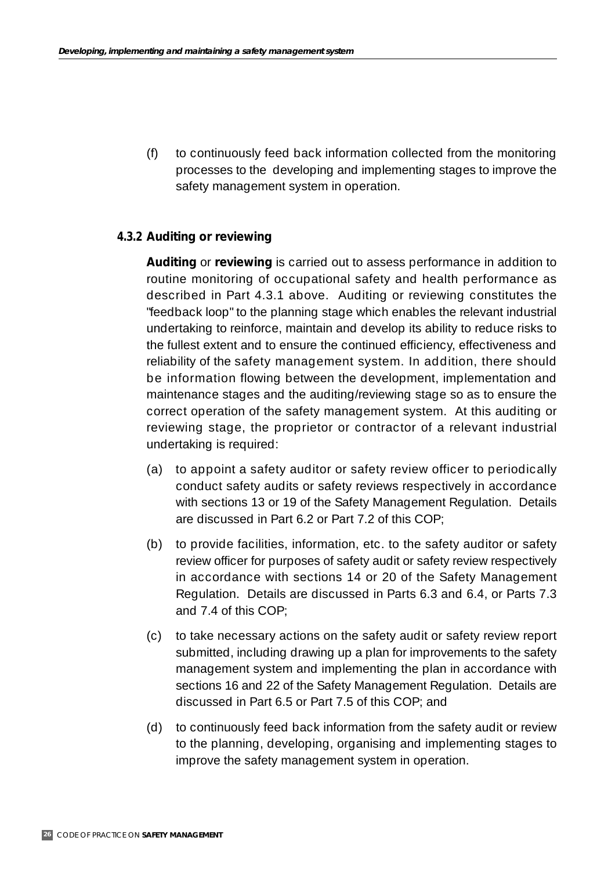(f) to continuously feed back information collected from the monitoring processes to the developing and implementing stages to improve the safety management system in operation.

#### **4.3.2 Auditing or reviewing**

**Auditing** or *reviewing* is carried out to assess performance in addition to routine monitoring of occupational safety and health performance as described in Part 4.3.1 above. Auditing or reviewing constitutes the "feedback loop" to the planning stage which enables the relevant industrial undertaking to reinforce, maintain and develop its ability to reduce risks to the fullest extent and to ensure the continued efficiency, effectiveness and reliability of the safety management system. In addition, there should be information flowing between the development, implementation and maintenance stages and the auditing/reviewing stage so as to ensure the correct operation of the safety management system. At this auditing or reviewing stage, the proprietor or contractor of a relevant industrial undertaking is required:

- (a) to appoint a safety auditor or safety review officer to periodically conduct safety audits or safety reviews respectively in accordance with sections 13 or 19 of the Safety Management Regulation. Details are discussed in Part 6.2 or Part 7.2 of this COP;
- (b) to provide facilities, information, etc. to the safety auditor or safety review officer for purposes of safety audit or safety review respectively in accordance with sections 14 or 20 of the Safety Management Regulation. Details are discussed in Parts 6.3 and 6.4, or Parts 7.3 and 7.4 of this COP;
- (c) to take necessary actions on the safety audit or safety review report submitted, including drawing up a plan for improvements to the safety management system and implementing the plan in accordance with sections 16 and 22 of the Safety Management Regulation. Details are discussed in Part 6.5 or Part 7.5 of this COP; and
- (d) to continuously feed back information from the safety audit or review to the planning, developing, organising and implementing stages to improve the safety management system in operation.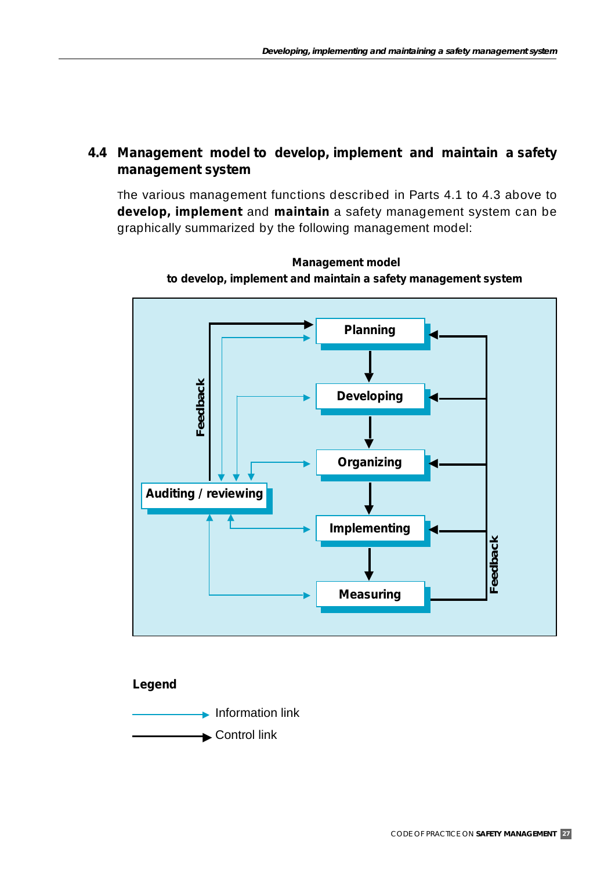#### **4.4 Management model to** *develop, implement* **and** *maintain* **a safety management system**

The various management functions described in Parts 4.1 to 4.3 above to *develop, implement* and *maintain* a safety management system can be graphically summarized by the following management model:



**Management model to develop, implement and maintain a safety management system**

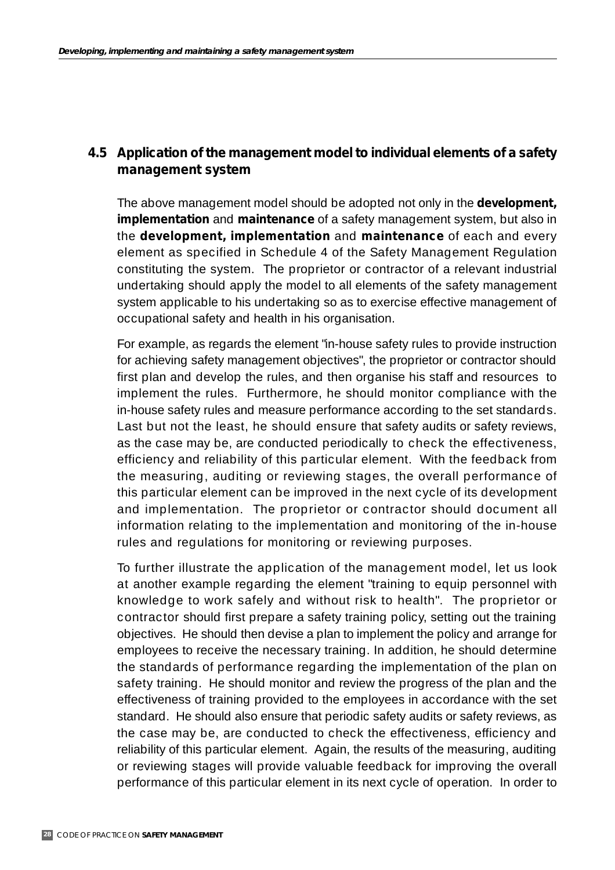#### **4.5 Application of the management model to individual elements of a safety management system**

The above management model should be adopted not only in the *development, implementation* and *maintenance* of a safety management system, but also in the *development, implementation* and *maintenance* of each and every element as specified in Schedule 4 of the Safety Management Regulation constituting the system. The proprietor or contractor of a relevant industrial undertaking should apply the model to all elements of the safety management system applicable to his undertaking so as to exercise effective management of occupational safety and health in his organisation.

For example, as regards the element "in-house safety rules to provide instruction for achieving safety management objectives", the proprietor or contractor should first plan and develop the rules, and then organise his staff and resources to implement the rules. Furthermore, he should monitor compliance with the in-house safety rules and measure performance according to the set standards. Last but not the least, he should ensure that safety audits or safety reviews, as the case may be, are conducted periodically to check the effectiveness, efficiency and reliability of this particular element. With the feedback from the measuring, auditing or reviewing stages, the overall performance of this particular element can be improved in the next cycle of its development and implementation. The proprietor or contractor should document all information relating to the implementation and monitoring of the in-house rules and regulations for monitoring or reviewing purposes.

To further illustrate the application of the management model, let us look at another example regarding the element "training to equip personnel with knowledge to work safely and without risk to health". The proprietor or contractor should first prepare a safety training policy, setting out the training objectives. He should then devise a plan to implement the policy and arrange for employees to receive the necessary training. In addition, he should determine the standards of performance regarding the implementation of the plan on safety training. He should monitor and review the progress of the plan and the effectiveness of training provided to the employees in accordance with the set standard. He should also ensure that periodic safety audits or safety reviews, as the case may be, are conducted to check the effectiveness, efficiency and reliability of this particular element. Again, the results of the measuring, auditing or reviewing stages will provide valuable feedback for improving the overall performance of this particular element in its next cycle of operation. In order to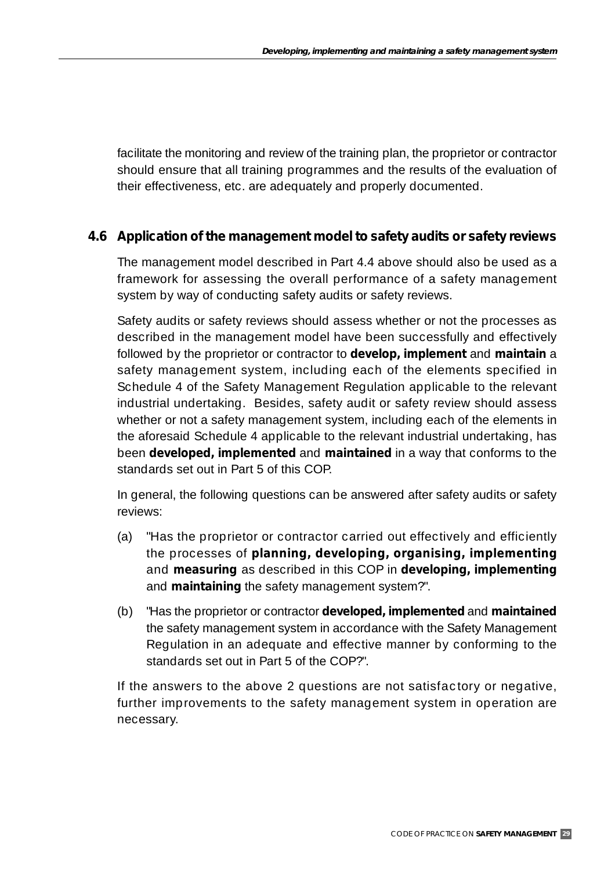facilitate the monitoring and review of the training plan, the proprietor or contractor should ensure that all training programmes and the results of the evaluation of their effectiveness, etc. are adequately and properly documented.

#### **4.6 Application of the management model to safety audits or safety reviews**

The management model described in Part 4.4 above should also be used as a framework for assessing the overall performance of a safety management system by way of conducting safety audits or safety reviews.

Safety audits or safety reviews should assess whether or not the processes as described in the management model have been successfully and effectively followed by the proprietor or contractor to *develop, implement* and *maintain* a safety management system, including each of the elements specified in Schedule 4 of the Safety Management Regulation applicable to the relevant industrial undertaking. Besides, safety audit or safety review should assess whether or not a safety management system, including each of the elements in the aforesaid Schedule 4 applicable to the relevant industrial undertaking, has been *developed***,** *implemented* and *maintained* in a way that conforms to the standards set out in Part 5 of this COP.

In general, the following questions can be answered after safety audits or safety reviews:

- (a) "Has the proprietor or contractor carried out effectively and efficiently the processes of *planning, developing, organising, implementing* and *measuring* as described in this COP in *developing, implementing* and *maintaining* the safety management system?".
- (b) "Has the proprietor or contractor *developed, implemented* and *maintained* the safety management system in accordance with the Safety Management Regulation in an adequate and effective manner by conforming to the standards set out in Part 5 of the COP?".

If the answers to the above 2 questions are not satisfactory or negative, further improvements to the safety management system in operation are necessary.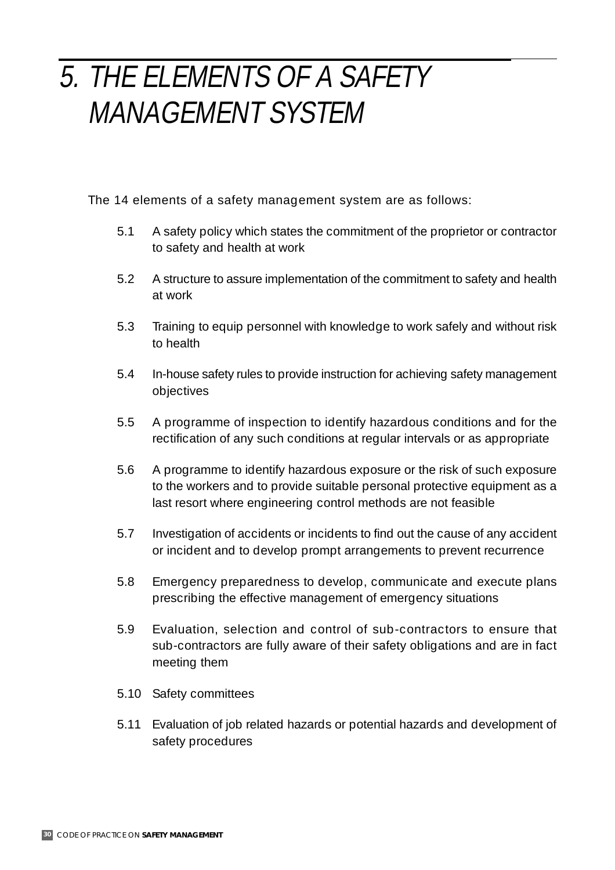## 5. THE ELEMENTS OF A SAFETY MANAGEMENT SYSTEM

The 14 elements of a safety management system are as follows:

- 5.1 A safety policy which states the commitment of the proprietor or contractor to safety and health at work
- 5.2 A structure to assure implementation of the commitment to safety and health at work
- 5.3 Training to equip personnel with knowledge to work safely and without risk to health
- 5.4 In-house safety rules to provide instruction for achieving safety management objectives
- 5.5 A programme of inspection to identify hazardous conditions and for the rectification of any such conditions at regular intervals or as appropriate
- 5.6 A programme to identify hazardous exposure or the risk of such exposure to the workers and to provide suitable personal protective equipment as a last resort where engineering control methods are not feasible
- 5.7 Investigation of accidents or incidents to find out the cause of any accident or incident and to develop prompt arrangements to prevent recurrence
- 5.8 Emergency preparedness to develop, communicate and execute plans prescribing the effective management of emergency situations
- 5.9 Evaluation, selection and control of sub-contractors to ensure that sub-contractors are fully aware of their safety obligations and are in fact meeting them
- 5.10 Safety committees
- 5.11 Evaluation of job related hazards or potential hazards and development of safety procedures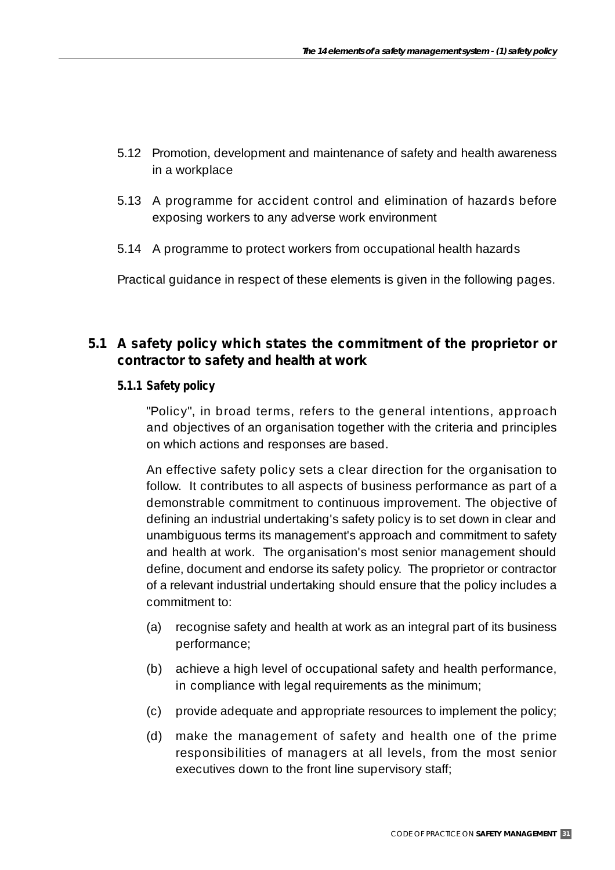- 5.12 Promotion, development and maintenance of safety and health awareness in a workplace
- 5.13 A programme for accident control and elimination of hazards before exposing workers to any adverse work environment
- 5.14 A programme to protect workers from occupational health hazards

Practical guidance in respect of these elements is given in the following pages.

#### **5.1 A safety policy which states the commitment of the proprietor or contractor to safety and health at work**

#### **5.1.1 Safety policy**

"Policy", in broad terms, refers to the general intentions, approach and objectives of an organisation together with the criteria and principles on which actions and responses are based.

An effective safety policy sets a clear direction for the organisation to follow. It contributes to all aspects of business performance as part of a demonstrable commitment to continuous improvement. The objective of defining an industrial undertaking's safety policy is to set down in clear and unambiguous terms its management's approach and commitment to safety and health at work. The organisation's most senior management should define, document and endorse its safety policy. The proprietor or contractor of a relevant industrial undertaking should ensure that the policy includes a commitment to:

- (a) recognise safety and health at work as an integral part of its business performance;
- (b) achieve a high level of occupational safety and health performance, in compliance with legal requirements as the minimum;
- (c) provide adequate and appropriate resources to implement the policy;
- (d) make the management of safety and health one of the prime responsibilities of managers at all levels, from the most senior executives down to the front line supervisory staff;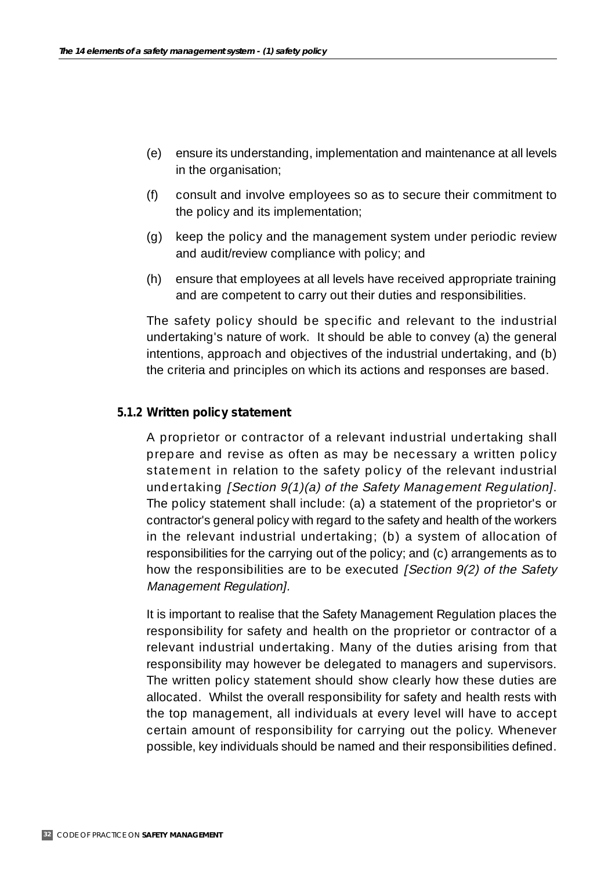- (e) ensure its understanding, implementation and maintenance at all levels in the organisation;
- (f) consult and involve employees so as to secure their commitment to the policy and its implementation;
- (g) keep the policy and the management system under periodic review and audit/review compliance with policy; and
- (h) ensure that employees at all levels have received appropriate training and are competent to carry out their duties and responsibilities.

The safety policy should be specific and relevant to the industrial undertaking's nature of work. It should be able to convey (a) the general intentions, approach and objectives of the industrial undertaking, and (b) the criteria and principles on which its actions and responses are based.

#### **5.1.2 Written policy statement**

A proprietor or contractor of a relevant industrial undertaking shall prepare and revise as often as may be necessary a written policy statement in relation to the safety policy of the relevant industrial undertaking [Section 9(1)(a) of the Safety Management Regulation]. The policy statement shall include: (a) a statement of the proprietor's or contractor's general policy with regard to the safety and health of the workers in the relevant industrial undertaking; (b) a system of allocation of responsibilities for the carrying out of the policy; and (c) arrangements as to how the responsibilities are to be executed [Section 9(2) of the Safety Management Regulation].

It is important to realise that the Safety Management Regulation places the responsibility for safety and health on the proprietor or contractor of a relevant industrial undertaking. Many of the duties arising from that responsibility may however be delegated to managers and supervisors. The written policy statement should show clearly how these duties are allocated. Whilst the overall responsibility for safety and health rests with the top management, all individuals at every level will have to accept certain amount of responsibility for carrying out the policy. Whenever possible, key individuals should be named and their responsibilities defined.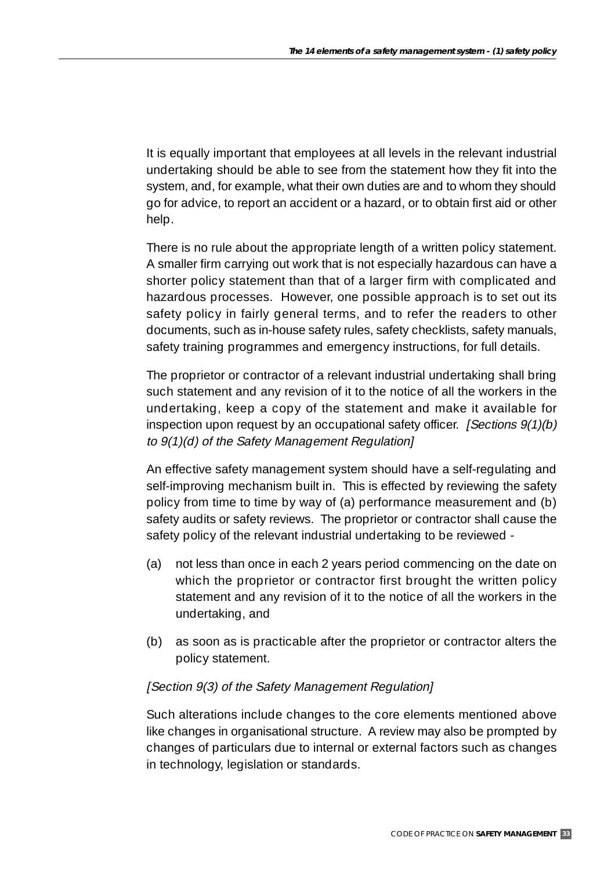It is equally important that employees at all levels in the relevant industrial undertaking should be able to see from the statement how they fit into the system, and, for example, what their own duties are and to whom they should go for advice, to report an accident or a hazard, or to obtain first aid or other help.

There is no rule about the appropriate length of a written policy statement. A smaller firm carrying out work that is not especially hazardous can have a shorter policy statement than that of a larger firm with complicated and hazardous processes. However, one possible approach is to set out its safety policy in fairly general terms, and to refer the readers to other documents, such as in-house safety rules, safety checklists, safety manuals, safety training programmes and emergency instructions, for full details.

The proprietor or contractor of a relevant industrial undertaking shall bring such statement and any revision of it to the notice of all the workers in the undertaking, keep a copy of the statement and make it available for inspection upon request by an occupational safety officer. [Sections 9(1)(b) to 9(1)(d) of the Safety Management Regulation]

An effective safety management system should have a self-regulating and self-improving mechanism built in. This is effected by reviewing the safety policy from time to time by way of (a) performance measurement and (b) safety audits or safety reviews. The proprietor or contractor shall cause the safety policy of the relevant industrial undertaking to be reviewed -

- (a) not less than once in each 2 years period commencing on the date on which the proprietor or contractor first brought the written policy statement and any revision of it to the notice of all the workers in the undertaking, and
- (b) as soon as is practicable after the proprietor or contractor alters the policy statement.

#### [Section 9(3) of the Safety Management Regulation]

Such alterations include changes to the core elements mentioned above like changes in organisational structure. A review may also be prompted by changes of particulars due to internal or external factors such as changes in technology, legislation or standards.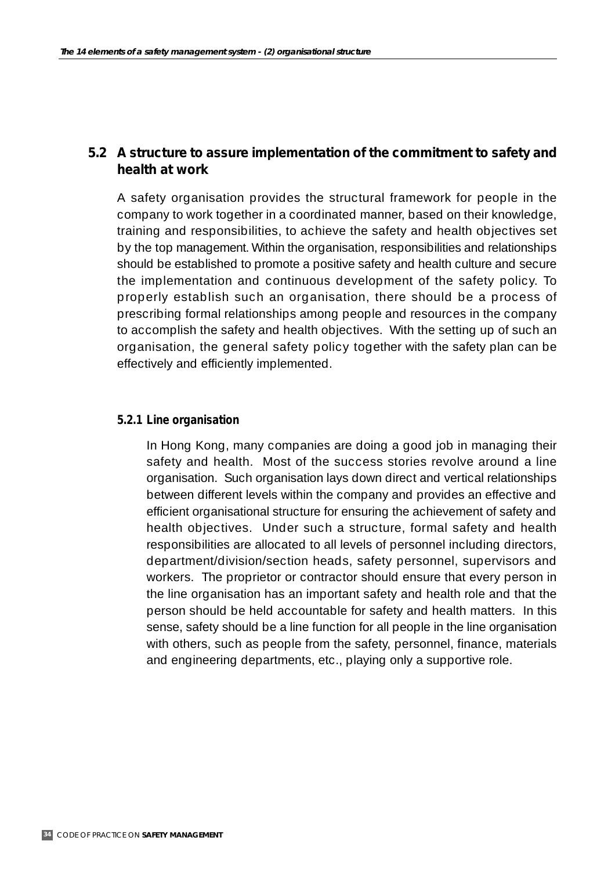#### **5.2 A structure to assure implementation of the commitment to safety and health at work**

A safety organisation provides the structural framework for people in the company to work together in a coordinated manner, based on their knowledge, training and responsibilities, to achieve the safety and health objectives set by the top management. Within the organisation, responsibilities and relationships should be established to promote a positive safety and health culture and secure the implementation and continuous development of the safety policy. To properly establish such an organisation, there should be a process of prescribing formal relationships among people and resources in the company to accomplish the safety and health objectives. With the setting up of such an organisation, the general safety policy together with the safety plan can be effectively and efficiently implemented.

#### **5.2.1 Line organisation**

In Hong Kong, many companies are doing a good job in managing their safety and health. Most of the success stories revolve around a line organisation. Such organisation lays down direct and vertical relationships between different levels within the company and provides an effective and efficient organisational structure for ensuring the achievement of safety and health objectives. Under such a structure, formal safety and health responsibilities are allocated to all levels of personnel including directors, department/division/section heads, safety personnel, supervisors and workers. The proprietor or contractor should ensure that every person in the line organisation has an important safety and health role and that the person should be held accountable for safety and health matters. In this sense, safety should be a line function for all people in the line organisation with others, such as people from the safety, personnel, finance, materials and engineering departments, etc., playing only a supportive role.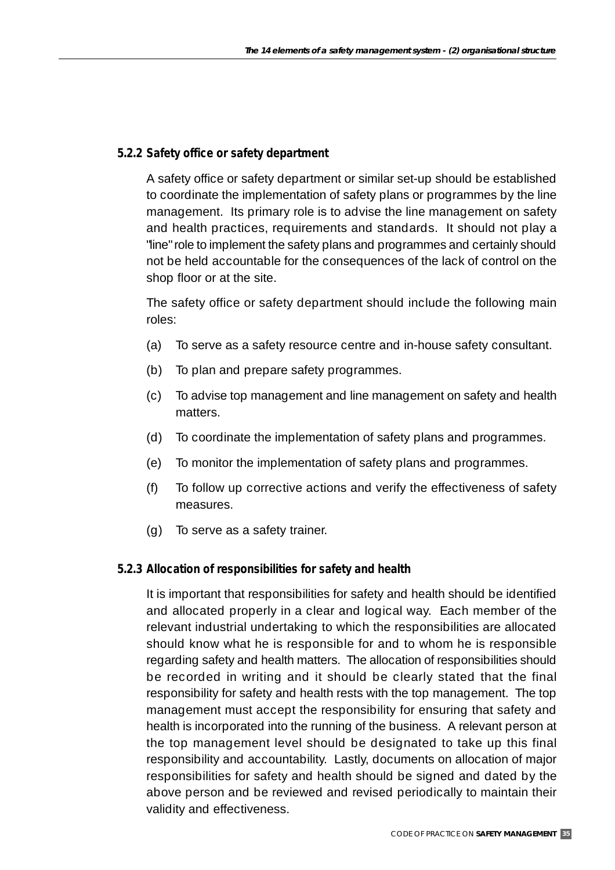#### **5.2.2 Safety office or safety department**

A safety office or safety department or similar set-up should be established to coordinate the implementation of safety plans or programmes by the line management. Its primary role is to advise the line management on safety and health practices, requirements and standards. It should not play a "line" role to implement the safety plans and programmes and certainly should not be held accountable for the consequences of the lack of control on the shop floor or at the site.

The safety office or safety department should include the following main roles:

- (a) To serve as a safety resource centre and in-house safety consultant.
- (b) To plan and prepare safety programmes.
- (c) To advise top management and line management on safety and health matters.
- (d) To coordinate the implementation of safety plans and programmes.
- (e) To monitor the implementation of safety plans and programmes.
- (f) To follow up corrective actions and verify the effectiveness of safety measures.
- (g) To serve as a safety trainer.

#### **5.2.3 Allocation of responsibilities for safety and health**

It is important that responsibilities for safety and health should be identified and allocated properly in a clear and logical way. Each member of the relevant industrial undertaking to which the responsibilities are allocated should know what he is responsible for and to whom he is responsible regarding safety and health matters. The allocation of responsibilities should be recorded in writing and it should be clearly stated that the final responsibility for safety and health rests with the top management. The top management must accept the responsibility for ensuring that safety and health is incorporated into the running of the business. A relevant person at the top management level should be designated to take up this final responsibility and accountability. Lastly, documents on allocation of major responsibilities for safety and health should be signed and dated by the above person and be reviewed and revised periodically to maintain their validity and effectiveness.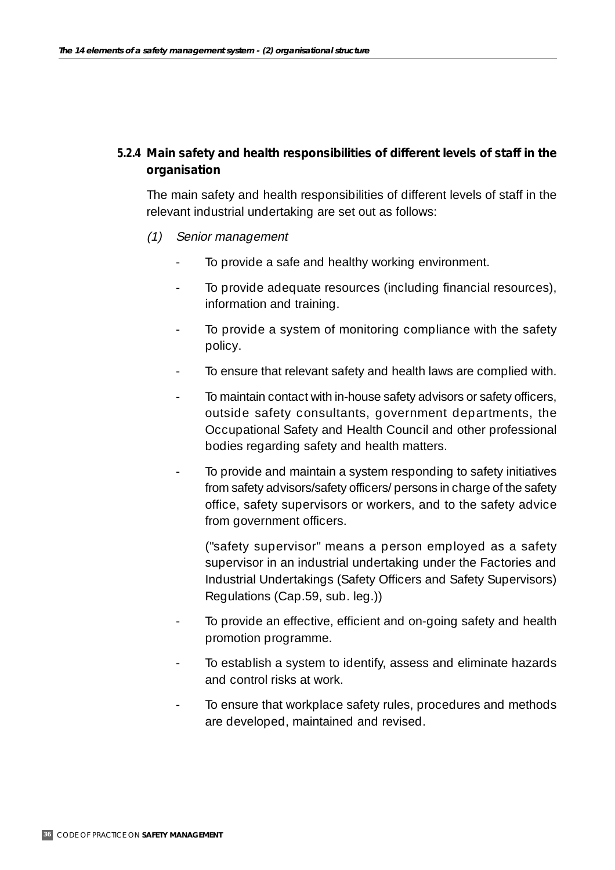## **5.2.4 Main safety and health responsibilities of different levels of staff in the organisation**

The main safety and health responsibilities of different levels of staff in the relevant industrial undertaking are set out as follows:

- (1) Senior management
	- To provide a safe and healthy working environment.
	- To provide adequate resources (including financial resources), information and training.
	- To provide a system of monitoring compliance with the safety policy.
	- To ensure that relevant safety and health laws are complied with.
	- To maintain contact with in-house safety advisors or safety officers, outside safety consultants, government departments, the Occupational Safety and Health Council and other professional bodies regarding safety and health matters.
	- To provide and maintain a system responding to safety initiatives from safety advisors/safety officers/ persons in charge of the safety office, safety supervisors or workers, and to the safety advice from government officers.

("safety supervisor" means a person employed as a safety supervisor in an industrial undertaking under the Factories and Industrial Undertakings (Safety Officers and Safety Supervisors) Regulations (Cap.59, sub. leg.))

- To provide an effective, efficient and on-going safety and health promotion programme.
- To establish a system to identify, assess and eliminate hazards and control risks at work.
- To ensure that workplace safety rules, procedures and methods are developed, maintained and revised.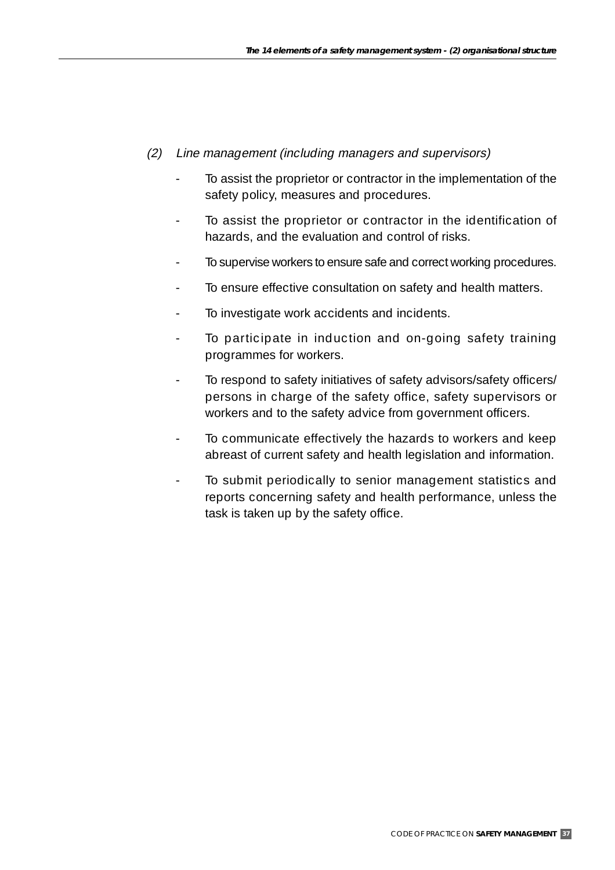- (2) Line management (including managers and supervisors)
	- To assist the proprietor or contractor in the implementation of the safety policy, measures and procedures.
	- To assist the proprietor or contractor in the identification of hazards, and the evaluation and control of risks.
	- To supervise workers to ensure safe and correct working procedures.
	- To ensure effective consultation on safety and health matters.
	- To investigate work accidents and incidents.
	- To participate in induction and on-going safety training programmes for workers.
	- To respond to safety initiatives of safety advisors/safety officers/ persons in charge of the safety office, safety supervisors or workers and to the safety advice from government officers.
	- To communicate effectively the hazards to workers and keep abreast of current safety and health legislation and information.
	- To submit periodically to senior management statistics and reports concerning safety and health performance, unless the task is taken up by the safety office.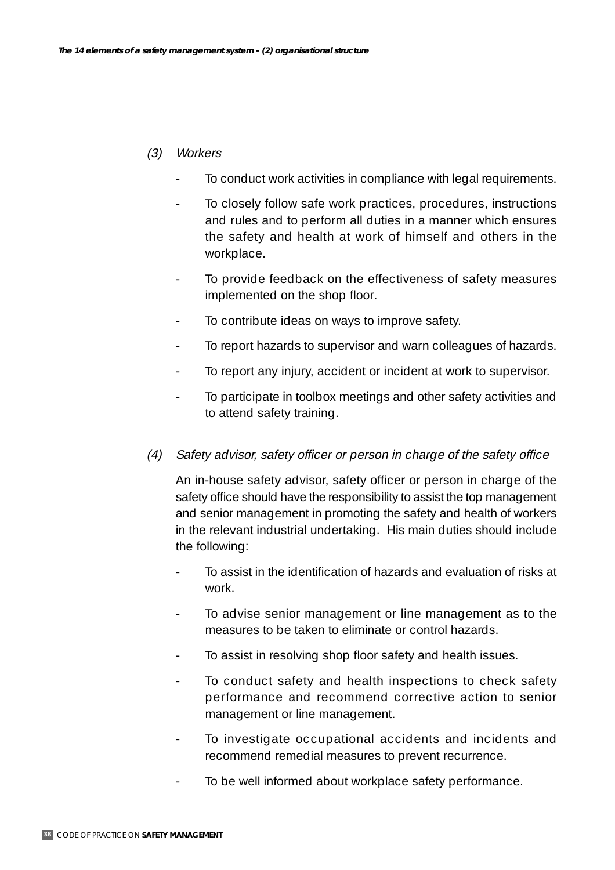### (3) Workers

- To conduct work activities in compliance with legal requirements.
- To closely follow safe work practices, procedures, instructions and rules and to perform all duties in a manner which ensures the safety and health at work of himself and others in the workplace.
- To provide feedback on the effectiveness of safety measures implemented on the shop floor.
- To contribute ideas on ways to improve safety.
- To report hazards to supervisor and warn colleagues of hazards.
- To report any injury, accident or incident at work to supervisor.
- To participate in toolbox meetings and other safety activities and to attend safety training.
- (4) Safety advisor, safety officer or person in charge of the safety office

An in-house safety advisor, safety officer or person in charge of the safety office should have the responsibility to assist the top management and senior management in promoting the safety and health of workers in the relevant industrial undertaking. His main duties should include the following:

- To assist in the identification of hazards and evaluation of risks at work.
- To advise senior management or line management as to the measures to be taken to eliminate or control hazards.
- To assist in resolving shop floor safety and health issues.
- To conduct safety and health inspections to check safety performance and recommend corrective action to senior management or line management.
- To investigate occupational accidents and incidents and recommend remedial measures to prevent recurrence.
- To be well informed about workplace safety performance.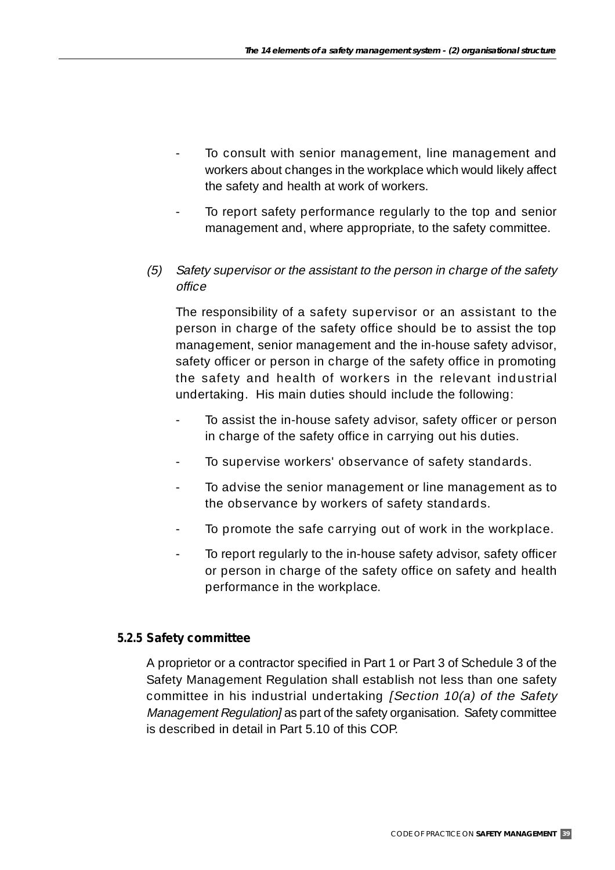- To consult with senior management, line management and workers about changes in the workplace which would likely affect the safety and health at work of workers.
- To report safety performance regularly to the top and senior management and, where appropriate, to the safety committee.
- (5) Safety supervisor or the assistant to the person in charge of the safety office

The responsibility of a safety supervisor or an assistant to the person in charge of the safety office should be to assist the top management, senior management and the in-house safety advisor, safety officer or person in charge of the safety office in promoting the safety and health of workers in the relevant industrial undertaking. His main duties should include the following:

- To assist the in-house safety advisor, safety officer or person in charge of the safety office in carrying out his duties.
- To supervise workers' observance of safety standards.
- To advise the senior management or line management as to the observance by workers of safety standards.
- To promote the safe carrying out of work in the workplace.
- To report regularly to the in-house safety advisor, safety officer or person in charge of the safety office on safety and health performance in the workplace.

## **5.2.5 Safety committee**

A proprietor or a contractor specified in Part 1 or Part 3 of Schedule 3 of the Safety Management Regulation shall establish not less than one safety committee in his industrial undertaking [Section 10(a) of the Safety Management Regulation] as part of the safety organisation. Safety committee is described in detail in Part 5.10 of this COP.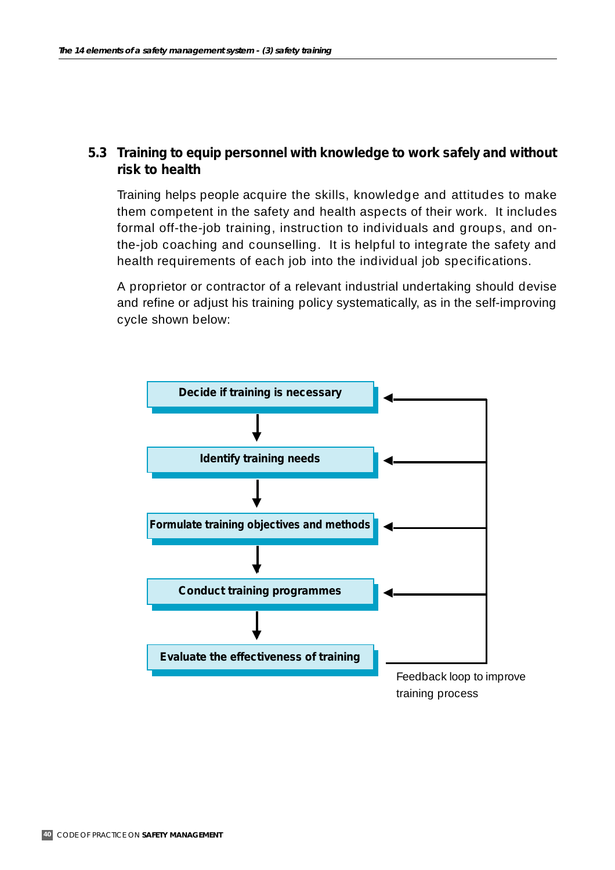## **5.3 Training to equip personnel with knowledge to work safely and without risk to health**

Training helps people acquire the skills, knowledge and attitudes to make them competent in the safety and health aspects of their work. It includes formal off-the-job training, instruction to individuals and groups, and onthe-job coaching and counselling. It is helpful to integrate the safety and health requirements of each job into the individual job specifications.

A proprietor or contractor of a relevant industrial undertaking should devise and refine or adjust his training policy systematically, as in the self-improving cycle shown below:

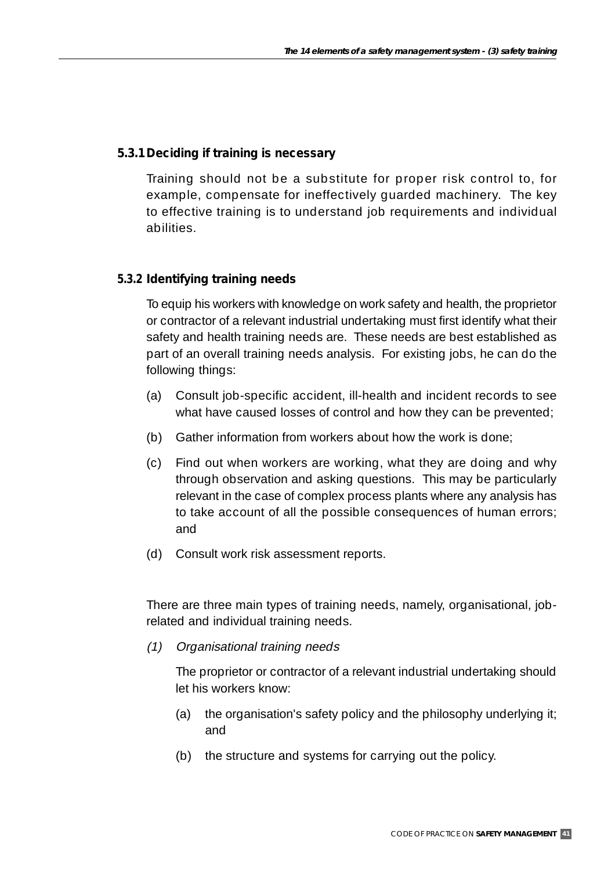### **5.3.1Deciding if training is necessary**

Training should not be a substitute for proper risk control to, for example, compensate for ineffectively guarded machinery. The key to effective training is to understand job requirements and individual abilities.

### **5.3.2 Identifying training needs**

To equip his workers with knowledge on work safety and health, the proprietor or contractor of a relevant industrial undertaking must first identify what their safety and health training needs are. These needs are best established as part of an overall training needs analysis. For existing jobs, he can do the following things:

- (a) Consult job-specific accident, ill-health and incident records to see what have caused losses of control and how they can be prevented;
- (b) Gather information from workers about how the work is done;
- (c) Find out when workers are working, what they are doing and why through observation and asking questions. This may be particularly relevant in the case of complex process plants where any analysis has to take account of all the possible consequences of human errors; and
- (d) Consult work risk assessment reports.

There are three main types of training needs, namely, organisational, jobrelated and individual training needs.

(1) Organisational training needs

The proprietor or contractor of a relevant industrial undertaking should let his workers know:

- (a) the organisation's safety policy and the philosophy underlying it; and
- (b) the structure and systems for carrying out the policy.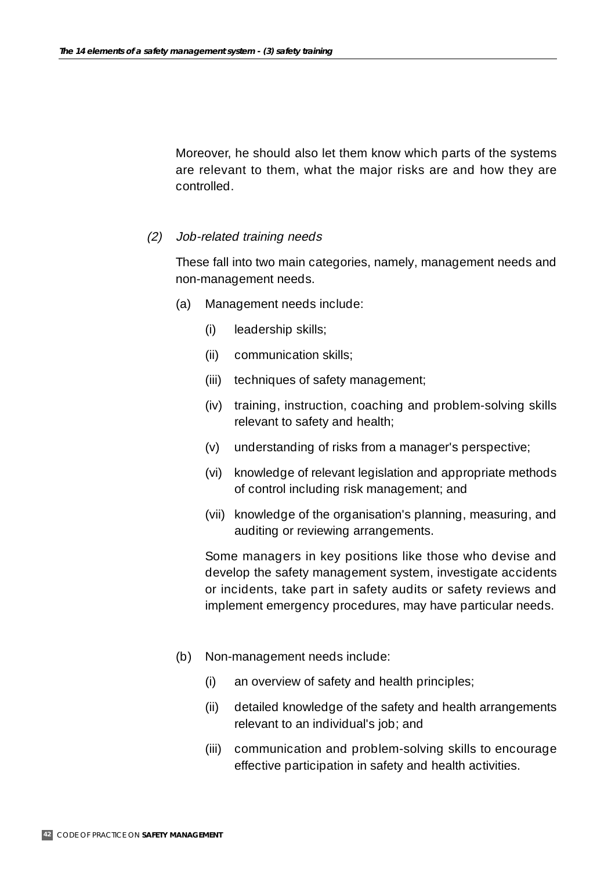Moreover, he should also let them know which parts of the systems are relevant to them, what the major risks are and how they are controlled.

#### (2) Job-related training needs

These fall into two main categories, namely, management needs and non-management needs.

- (a) Management needs include:
	- (i) leadership skills;
	- (ii) communication skills;
	- (iii) techniques of safety management;
	- (iv) training, instruction, coaching and problem-solving skills relevant to safety and health;
	- (v) understanding of risks from a manager's perspective;
	- (vi) knowledge of relevant legislation and appropriate methods of control including risk management; and
	- (vii) knowledge of the organisation's planning, measuring, and auditing or reviewing arrangements.

Some managers in key positions like those who devise and develop the safety management system, investigate accidents or incidents, take part in safety audits or safety reviews and implement emergency procedures, may have particular needs.

- (b) Non-management needs include:
	- (i) an overview of safety and health principles;
	- (ii) detailed knowledge of the safety and health arrangements relevant to an individual's job; and
	- (iii) communication and problem-solving skills to encourage effective participation in safety and health activities.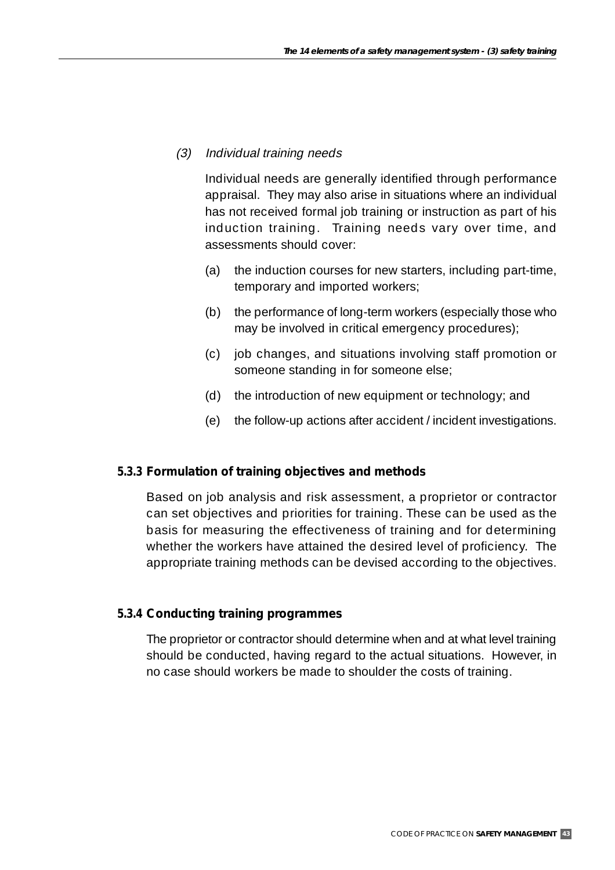### (3) Individual training needs

Individual needs are generally identified through performance appraisal. They may also arise in situations where an individual has not received formal job training or instruction as part of his induction training. Training needs vary over time, and assessments should cover:

- (a) the induction courses for new starters, including part-time, temporary and imported workers;
- (b) the performance of long-term workers (especially those who may be involved in critical emergency procedures);
- (c) job changes, and situations involving staff promotion or someone standing in for someone else;
- (d) the introduction of new equipment or technology; and
- (e) the follow-up actions after accident / incident investigations.

### **5.3.3 Formulation of training objectives and methods**

Based on job analysis and risk assessment, a proprietor or contractor can set objectives and priorities for training. These can be used as the basis for measuring the effectiveness of training and for determining whether the workers have attained the desired level of proficiency. The appropriate training methods can be devised according to the objectives.

### **5.3.4 Conducting training programmes**

The proprietor or contractor should determine when and at what level training should be conducted, having regard to the actual situations. However, in no case should workers be made to shoulder the costs of training.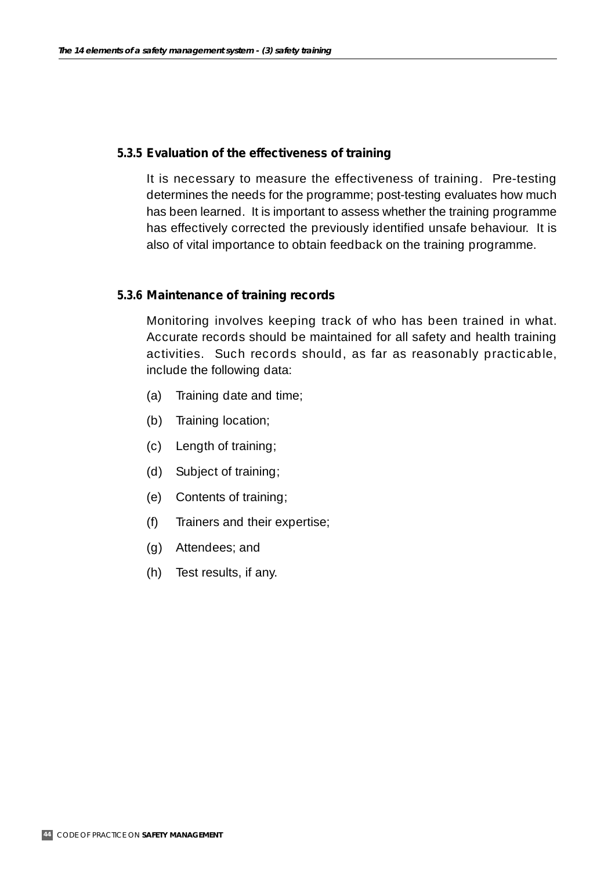#### **5.3.5 Evaluation of the effectiveness of training**

It is necessary to measure the effectiveness of training. Pre-testing determines the needs for the programme; post-testing evaluates how much has been learned. It is important to assess whether the training programme has effectively corrected the previously identified unsafe behaviour. It is also of vital importance to obtain feedback on the training programme.

#### **5.3.6 Maintenance of training records**

Monitoring involves keeping track of who has been trained in what. Accurate records should be maintained for all safety and health training activities. Such records should, as far as reasonably practicable, include the following data:

- (a) Training date and time;
- (b) Training location;
- (c) Length of training;
- (d) Subject of training;
- (e) Contents of training;
- (f) Trainers and their expertise;
- (g) Attendees; and
- (h) Test results, if any.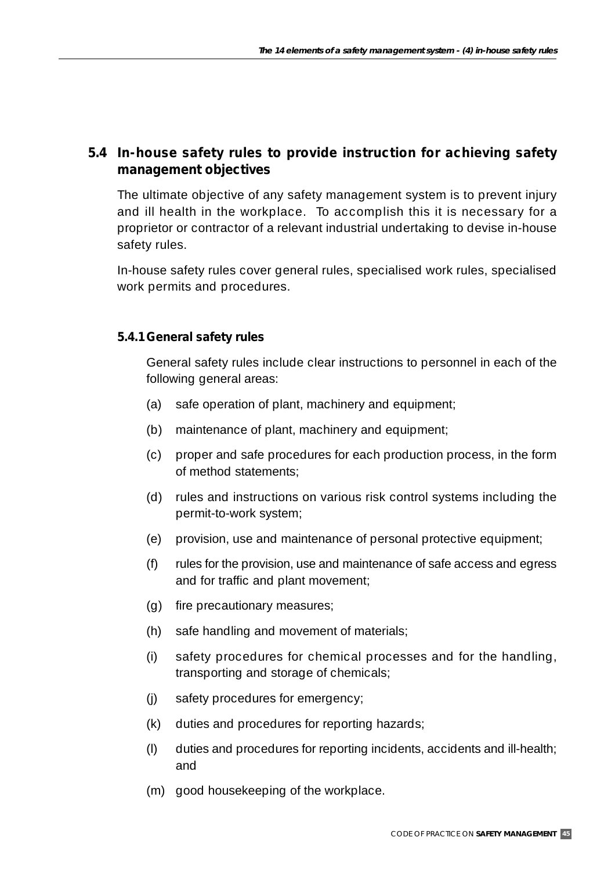# **5.4 In-house safety rules to provide instruction for achieving safety management objectives**

The ultimate objective of any safety management system is to prevent injury and ill health in the workplace. To accomplish this it is necessary for a proprietor or contractor of a relevant industrial undertaking to devise in-house safety rules.

In-house safety rules cover general rules, specialised work rules, specialised work permits and procedures.

### **5.4.1General safety rules**

General safety rules include clear instructions to personnel in each of the following general areas:

- (a) safe operation of plant, machinery and equipment;
- (b) maintenance of plant, machinery and equipment;
- (c) proper and safe procedures for each production process, in the form of method statements;
- (d) rules and instructions on various risk control systems including the permit-to-work system;
- (e) provision, use and maintenance of personal protective equipment;
- (f) rules for the provision, use and maintenance of safe access and egress and for traffic and plant movement;
- (g) fire precautionary measures;
- (h) safe handling and movement of materials;
- (i) safety procedures for chemical processes and for the handling, transporting and storage of chemicals;
- (j) safety procedures for emergency;
- (k) duties and procedures for reporting hazards;
- (l) duties and procedures for reporting incidents, accidents and ill-health; and
- (m) good housekeeping of the workplace.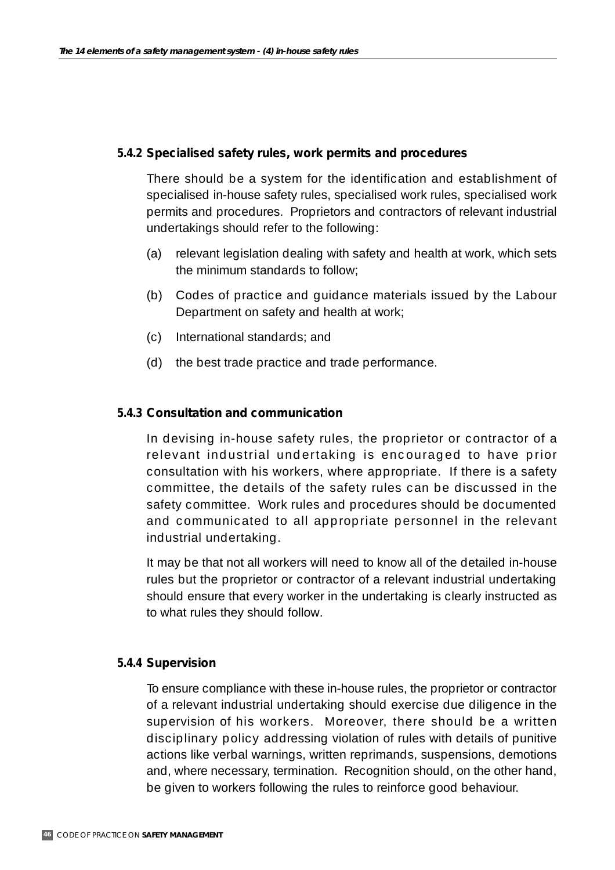### **5.4.2 Specialised safety rules, work permits and procedures**

There should be a system for the identification and establishment of specialised in-house safety rules, specialised work rules, specialised work permits and procedures. Proprietors and contractors of relevant industrial undertakings should refer to the following:

- (a) relevant legislation dealing with safety and health at work, which sets the minimum standards to follow;
- (b) Codes of practice and guidance materials issued by the Labour Department on safety and health at work;
- (c) International standards; and
- (d) the best trade practice and trade performance.

#### **5.4.3 Consultation and communication**

In devising in-house safety rules, the proprietor or contractor of a relevant industrial undertaking is encouraged to have prior consultation with his workers, where appropriate. If there is a safety committee, the details of the safety rules can be discussed in the safety committee. Work rules and procedures should be documented and communicated to all appropriate personnel in the relevant industrial undertaking.

It may be that not all workers will need to know all of the detailed in-house rules but the proprietor or contractor of a relevant industrial undertaking should ensure that every worker in the undertaking is clearly instructed as to what rules they should follow.

#### **5.4.4 Supervision**

To ensure compliance with these in-house rules, the proprietor or contractor of a relevant industrial undertaking should exercise due diligence in the supervision of his workers. Moreover, there should be a written disciplinary policy addressing violation of rules with details of punitive actions like verbal warnings, written reprimands, suspensions, demotions and, where necessary, termination. Recognition should, on the other hand, be given to workers following the rules to reinforce good behaviour.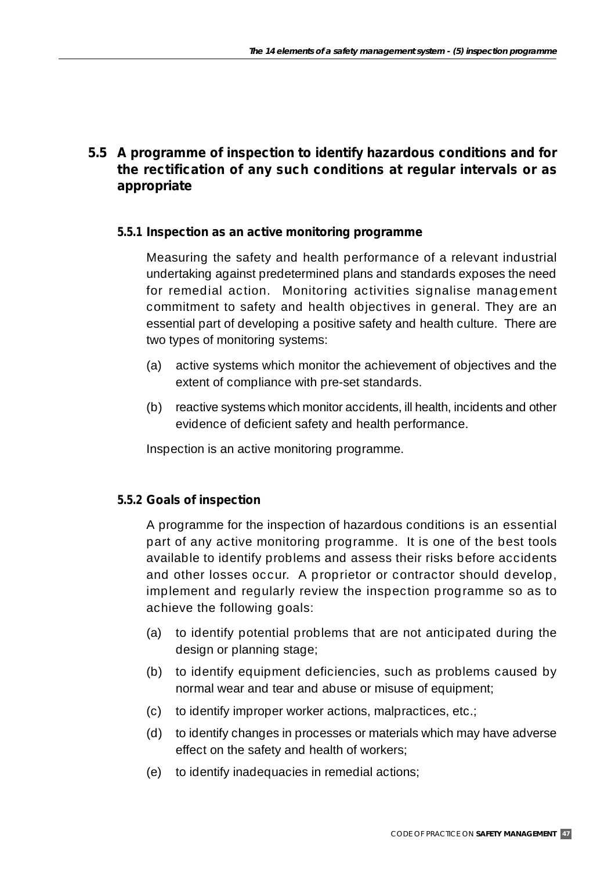# **5.5 A programme of inspection to identify hazardous conditions and for the rectification of any such conditions at regular intervals or as appropriate**

### **5.5.1 Inspection as an active monitoring programme**

Measuring the safety and health performance of a relevant industrial undertaking against predetermined plans and standards exposes the need for remedial action. Monitoring activities signalise management commitment to safety and health objectives in general. They are an essential part of developing a positive safety and health culture. There are two types of monitoring systems:

- (a) active systems which monitor the achievement of objectives and the extent of compliance with pre-set standards.
- (b) reactive systems which monitor accidents, ill health, incidents and other evidence of deficient safety and health performance.

Inspection is an active monitoring programme.

### **5.5.2 Goals of inspection**

A programme for the inspection of hazardous conditions is an essential part of any active monitoring programme. It is one of the best tools available to identify problems and assess their risks before accidents and other losses occur. A proprietor or contractor should develop, implement and regularly review the inspection programme so as to achieve the following goals:

- (a) to identify potential problems that are not anticipated during the design or planning stage;
- (b) to identify equipment deficiencies, such as problems caused by normal wear and tear and abuse or misuse of equipment;
- (c) to identify improper worker actions, malpractices, etc.;
- (d) to identify changes in processes or materials which may have adverse effect on the safety and health of workers;
- (e) to identify inadequacies in remedial actions;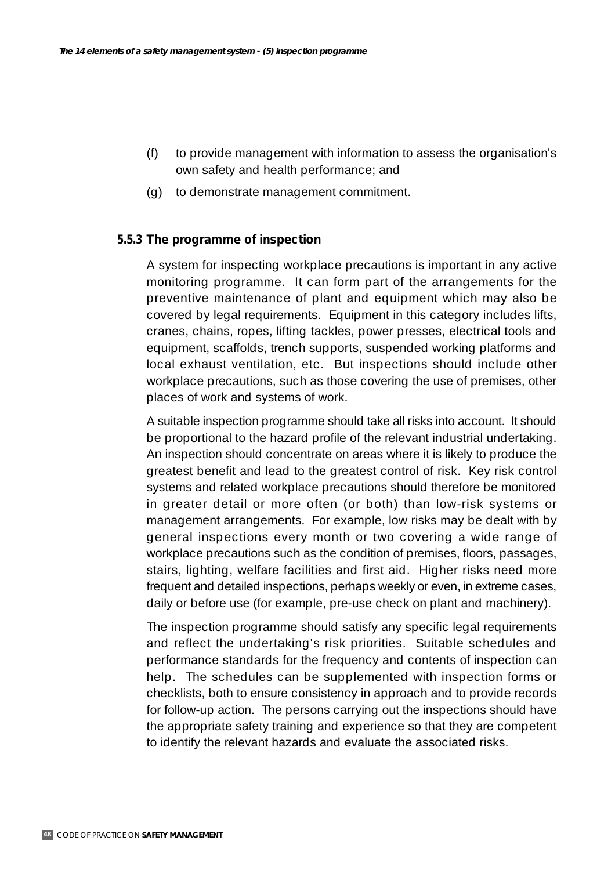- (f) to provide management with information to assess the organisation's own safety and health performance; and
- (g) to demonstrate management commitment.

### **5.5.3 The programme of inspection**

A system for inspecting workplace precautions is important in any active monitoring programme. It can form part of the arrangements for the preventive maintenance of plant and equipment which may also be covered by legal requirements. Equipment in this category includes lifts, cranes, chains, ropes, lifting tackles, power presses, electrical tools and equipment, scaffolds, trench supports, suspended working platforms and local exhaust ventilation, etc. But inspections should include other workplace precautions, such as those covering the use of premises, other places of work and systems of work.

A suitable inspection programme should take all risks into account. It should be proportional to the hazard profile of the relevant industrial undertaking. An inspection should concentrate on areas where it is likely to produce the greatest benefit and lead to the greatest control of risk. Key risk control systems and related workplace precautions should therefore be monitored in greater detail or more often (or both) than low-risk systems or management arrangements. For example, low risks may be dealt with by general inspections every month or two covering a wide range of workplace precautions such as the condition of premises, floors, passages, stairs, lighting, welfare facilities and first aid. Higher risks need more frequent and detailed inspections, perhaps weekly or even, in extreme cases, daily or before use (for example, pre-use check on plant and machinery).

The inspection programme should satisfy any specific legal requirements and reflect the undertaking's risk priorities. Suitable schedules and performance standards for the frequency and contents of inspection can help. The schedules can be supplemented with inspection forms or checklists, both to ensure consistency in approach and to provide records for follow-up action. The persons carrying out the inspections should have the appropriate safety training and experience so that they are competent to identify the relevant hazards and evaluate the associated risks.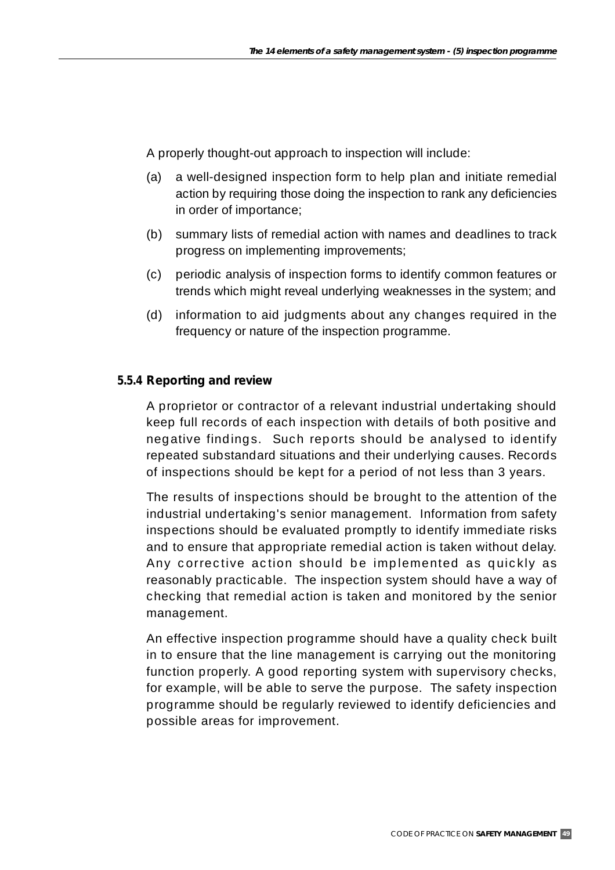A properly thought-out approach to inspection will include:

- (a) a well-designed inspection form to help plan and initiate remedial action by requiring those doing the inspection to rank any deficiencies in order of importance;
- (b) summary lists of remedial action with names and deadlines to track progress on implementing improvements;
- (c) periodic analysis of inspection forms to identify common features or trends which might reveal underlying weaknesses in the system; and
- (d) information to aid judgments about any changes required in the frequency or nature of the inspection programme.

## **5.5.4 Reporting and review**

A proprietor or contractor of a relevant industrial undertaking should keep full records of each inspection with details of both positive and negative findings. Such reports should be analysed to identify repeated substandard situations and their underlying causes. Records of inspections should be kept for a period of not less than 3 years.

The results of inspections should be brought to the attention of the industrial undertaking's senior management. Information from safety inspections should be evaluated promptly to identify immediate risks and to ensure that appropriate remedial action is taken without delay. Any corrective action should be implemented as quickly as reasonably practicable. The inspection system should have a way of checking that remedial action is taken and monitored by the senior management.

An effective inspection programme should have a quality check built in to ensure that the line management is carrying out the monitoring function properly. A good reporting system with supervisory checks, for example, will be able to serve the purpose. The safety inspection programme should be regularly reviewed to identify deficiencies and possible areas for improvement.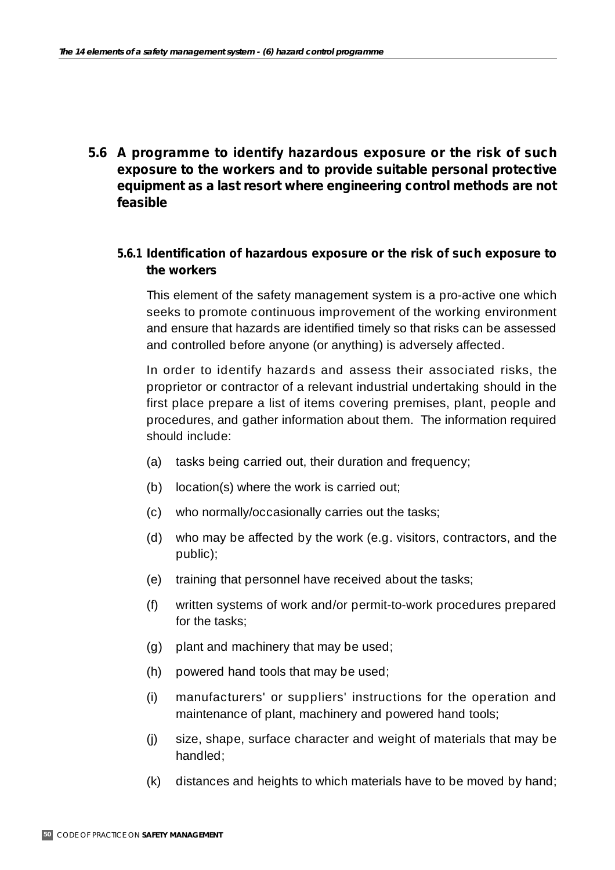**5.6 A programme to identify hazardous exposure or the risk of such exposure to the workers and to provide suitable personal protective equipment as a last resort where engineering control methods are not feasible**

### **5.6.1 Identification of hazardous exposure or the risk of such exposure to the workers**

This element of the safety management system is a pro-active one which seeks to promote continuous improvement of the working environment and ensure that hazards are identified timely so that risks can be assessed and controlled before anyone (or anything) is adversely affected.

In order to identify hazards and assess their associated risks, the proprietor or contractor of a relevant industrial undertaking should in the first place prepare a list of items covering premises, plant, people and procedures, and gather information about them. The information required should include:

- (a) tasks being carried out, their duration and frequency;
- (b) location(s) where the work is carried out;
- (c) who normally/occasionally carries out the tasks;
- (d) who may be affected by the work (e.g. visitors, contractors, and the public);
- (e) training that personnel have received about the tasks;
- (f) written systems of work and/or permit-to-work procedures prepared for the tasks;
- (g) plant and machinery that may be used;
- (h) powered hand tools that may be used;
- (i) manufacturers' or suppliers' instructions for the operation and maintenance of plant, machinery and powered hand tools;
- (j) size, shape, surface character and weight of materials that may be handled;
- (k) distances and heights to which materials have to be moved by hand;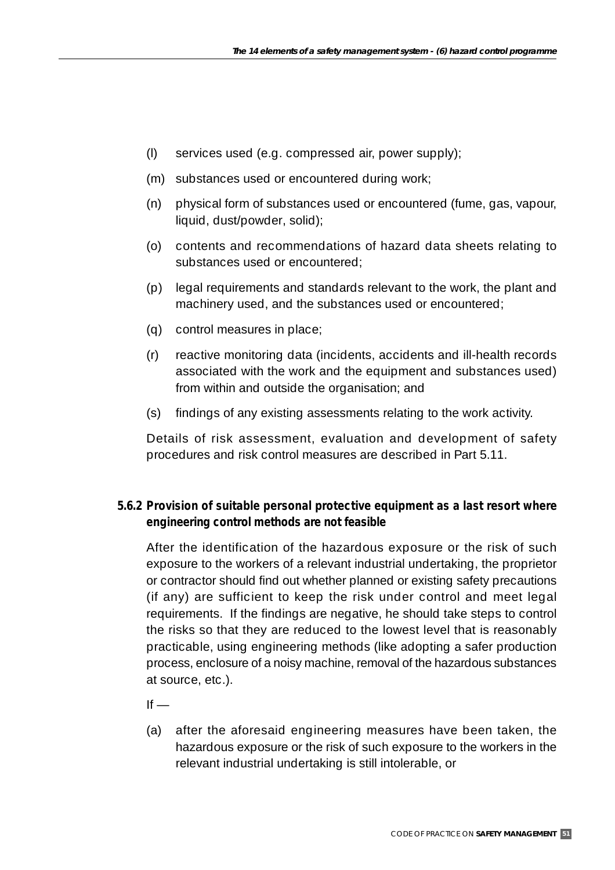- (l) services used (e.g. compressed air, power supply);
- (m) substances used or encountered during work;
- (n) physical form of substances used or encountered (fume, gas, vapour, liquid, dust/powder, solid);
- (o) contents and recommendations of hazard data sheets relating to substances used or encountered;
- (p) legal requirements and standards relevant to the work, the plant and machinery used, and the substances used or encountered;
- (q) control measures in place;
- (r) reactive monitoring data (incidents, accidents and ill-health records associated with the work and the equipment and substances used) from within and outside the organisation; and
- (s) findings of any existing assessments relating to the work activity.

Details of risk assessment, evaluation and development of safety procedures and risk control measures are described in Part 5.11.

## **5.6.2 Provision of suitable personal protective equipment as a last resort where engineering control methods are not feasible**

After the identification of the hazardous exposure or the risk of such exposure to the workers of a relevant industrial undertaking, the proprietor or contractor should find out whether planned or existing safety precautions (if any) are sufficient to keep the risk under control and meet legal requirements. If the findings are negative, he should take steps to control the risks so that they are reduced to the lowest level that is reasonably practicable, using engineering methods (like adopting a safer production process, enclosure of a noisy machine, removal of the hazardous substances at source, etc.).

 $If -$ 

(a) after the aforesaid engineering measures have been taken, the hazardous exposure or the risk of such exposure to the workers in the relevant industrial undertaking is still intolerable, or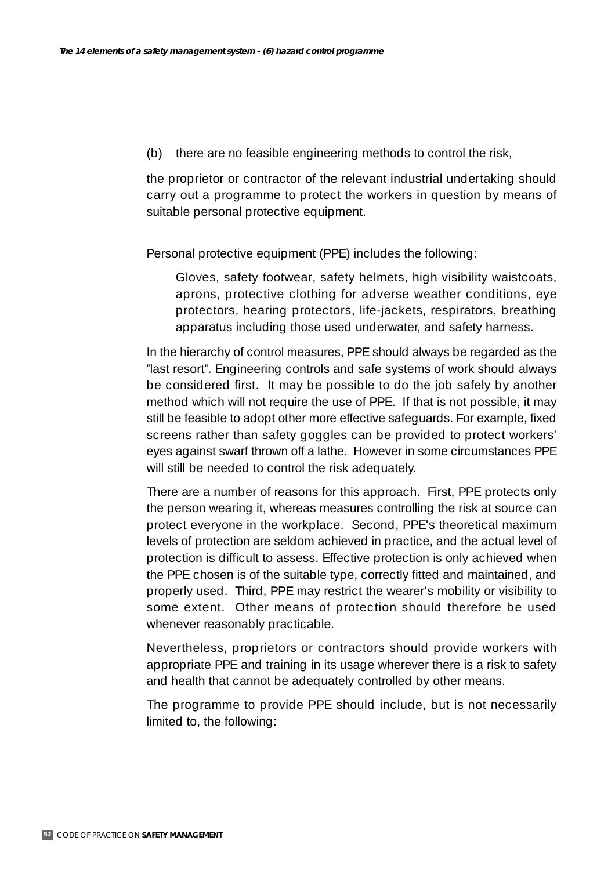(b) there are no feasible engineering methods to control the risk,

the proprietor or contractor of the relevant industrial undertaking should carry out a programme to protect the workers in question by means of suitable personal protective equipment.

Personal protective equipment (PPE) includes the following:

Gloves, safety footwear, safety helmets, high visibility waistcoats, aprons, protective clothing for adverse weather conditions, eye protectors, hearing protectors, life-jackets, respirators, breathing apparatus including those used underwater, and safety harness.

In the hierarchy of control measures, PPE should always be regarded as the "last resort". Engineering controls and safe systems of work should always be considered first. It may be possible to do the job safely by another method which will not require the use of PPE. If that is not possible, it may still be feasible to adopt other more effective safeguards. For example, fixed screens rather than safety goggles can be provided to protect workers' eyes against swarf thrown off a lathe. However in some circumstances PPE will still be needed to control the risk adequately.

There are a number of reasons for this approach. First, PPE protects only the person wearing it, whereas measures controlling the risk at source can protect everyone in the workplace. Second, PPE's theoretical maximum levels of protection are seldom achieved in practice, and the actual level of protection is difficult to assess. Effective protection is only achieved when the PPE chosen is of the suitable type, correctly fitted and maintained, and properly used. Third, PPE may restrict the wearer's mobility or visibility to some extent. Other means of protection should therefore be used whenever reasonably practicable.

Nevertheless, proprietors or contractors should provide workers with appropriate PPE and training in its usage wherever there is a risk to safety and health that cannot be adequately controlled by other means.

The programme to provide PPE should include, but is not necessarily limited to, the following: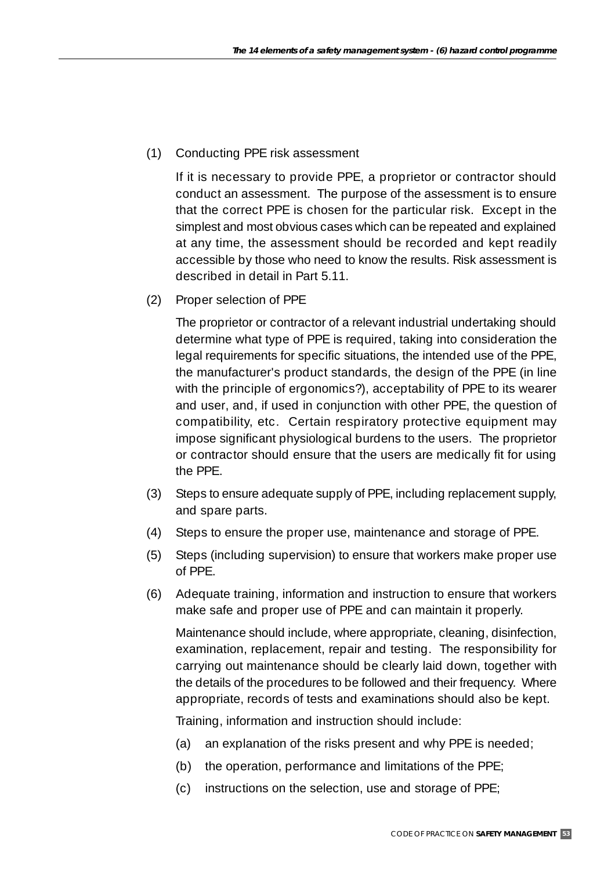(1) Conducting PPE risk assessment

If it is necessary to provide PPE, a proprietor or contractor should conduct an assessment. The purpose of the assessment is to ensure that the correct PPE is chosen for the particular risk. Except in the simplest and most obvious cases which can be repeated and explained at any time, the assessment should be recorded and kept readily accessible by those who need to know the results. Risk assessment is described in detail in Part 5.11.

(2) Proper selection of PPE

The proprietor or contractor of a relevant industrial undertaking should determine what type of PPE is required, taking into consideration the legal requirements for specific situations, the intended use of the PPE, the manufacturer's product standards, the design of the PPE (in line with the principle of ergonomics?), acceptability of PPE to its wearer and user, and, if used in conjunction with other PPE, the question of compatibility, etc. Certain respiratory protective equipment may impose significant physiological burdens to the users. The proprietor or contractor should ensure that the users are medically fit for using the PPE.

- (3) Steps to ensure adequate supply of PPE, including replacement supply, and spare parts.
- (4) Steps to ensure the proper use, maintenance and storage of PPE.
- (5) Steps (including supervision) to ensure that workers make proper use of PPE.
- (6) Adequate training, information and instruction to ensure that workers make safe and proper use of PPE and can maintain it properly.

Maintenance should include, where appropriate, cleaning, disinfection, examination, replacement, repair and testing. The responsibility for carrying out maintenance should be clearly laid down, together with the details of the procedures to be followed and their frequency. Where appropriate, records of tests and examinations should also be kept.

Training, information and instruction should include:

- (a) an explanation of the risks present and why PPE is needed;
- (b) the operation, performance and limitations of the PPE;
- (c) instructions on the selection, use and storage of PPE;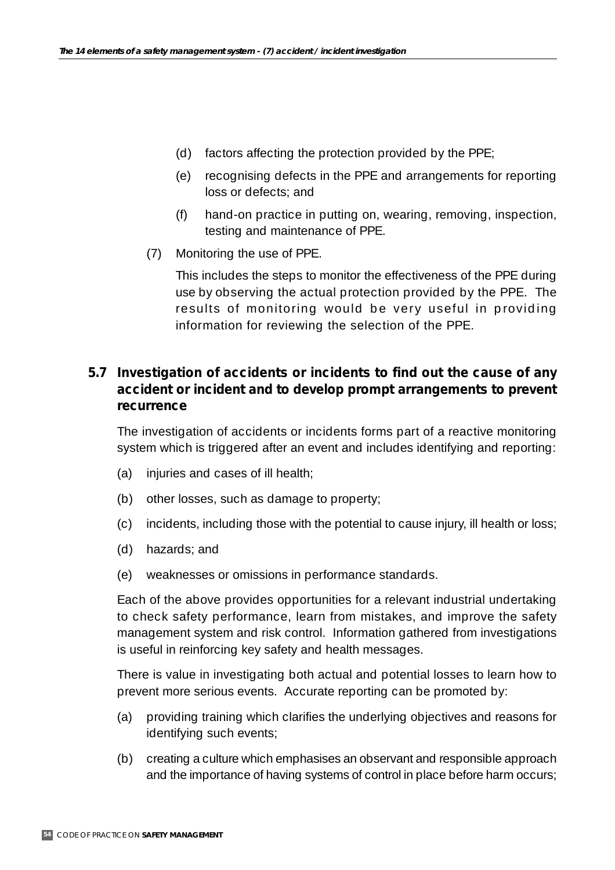- (d) factors affecting the protection provided by the PPE;
- (e) recognising defects in the PPE and arrangements for reporting loss or defects; and
- (f) hand-on practice in putting on, wearing, removing, inspection, testing and maintenance of PPE.
- (7) Monitoring the use of PPE.

This includes the steps to monitor the effectiveness of the PPE during use by observing the actual protection provided by the PPE. The results of monitoring would be very useful in providing information for reviewing the selection of the PPE.

# **5.7 Investigation of accidents or incidents to find out the cause of any accident or incident and to develop prompt arrangements to prevent recurrence**

The investigation of accidents or incidents forms part of a reactive monitoring system which is triggered after an event and includes identifying and reporting:

- (a) injuries and cases of ill health;
- (b) other losses, such as damage to property;
- (c) incidents, including those with the potential to cause injury, ill health or loss;
- (d) hazards; and
- (e) weaknesses or omissions in performance standards.

Each of the above provides opportunities for a relevant industrial undertaking to check safety performance, learn from mistakes, and improve the safety management system and risk control. Information gathered from investigations is useful in reinforcing key safety and health messages.

There is value in investigating both actual and potential losses to learn how to prevent more serious events. Accurate reporting can be promoted by:

- (a) providing training which clarifies the underlying objectives and reasons for identifying such events;
- (b) creating a culture which emphasises an observant and responsible approach and the importance of having systems of control in place before harm occurs;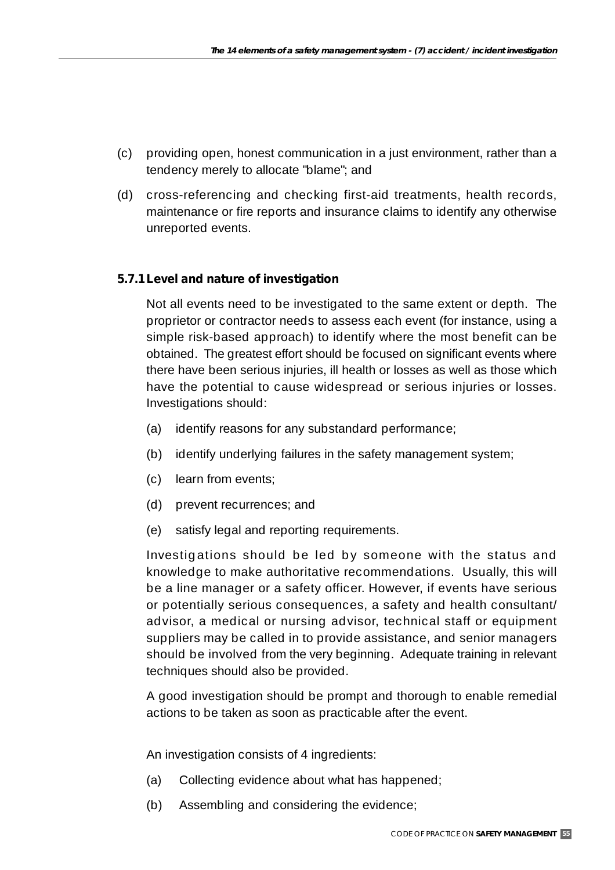- (c) providing open, honest communication in a just environment, rather than a tendency merely to allocate "blame"; and
- (d) cross-referencing and checking first-aid treatments, health records, maintenance or fire reports and insurance claims to identify any otherwise unreported events.

## **5.7.1Level and nature of investigation**

Not all events need to be investigated to the same extent or depth. The proprietor or contractor needs to assess each event (for instance, using a simple risk-based approach) to identify where the most benefit can be obtained. The greatest effort should be focused on significant events where there have been serious injuries, ill health or losses as well as those which have the potential to cause widespread or serious injuries or losses. Investigations should:

- (a) identify reasons for any substandard performance;
- (b) identify underlying failures in the safety management system;
- (c) learn from events;
- (d) prevent recurrences; and
- (e) satisfy legal and reporting requirements.

Investigations should be led by someone with the status and knowledge to make authoritative recommendations. Usually, this will be a line manager or a safety officer. However, if events have serious or potentially serious consequences, a safety and health consultant/ advisor, a medical or nursing advisor, technical staff or equipment suppliers may be called in to provide assistance, and senior managers should be involved from the very beginning. Adequate training in relevant techniques should also be provided.

A good investigation should be prompt and thorough to enable remedial actions to be taken as soon as practicable after the event.

An investigation consists of 4 ingredients:

- (a) Collecting evidence about what has happened;
- (b) Assembling and considering the evidence;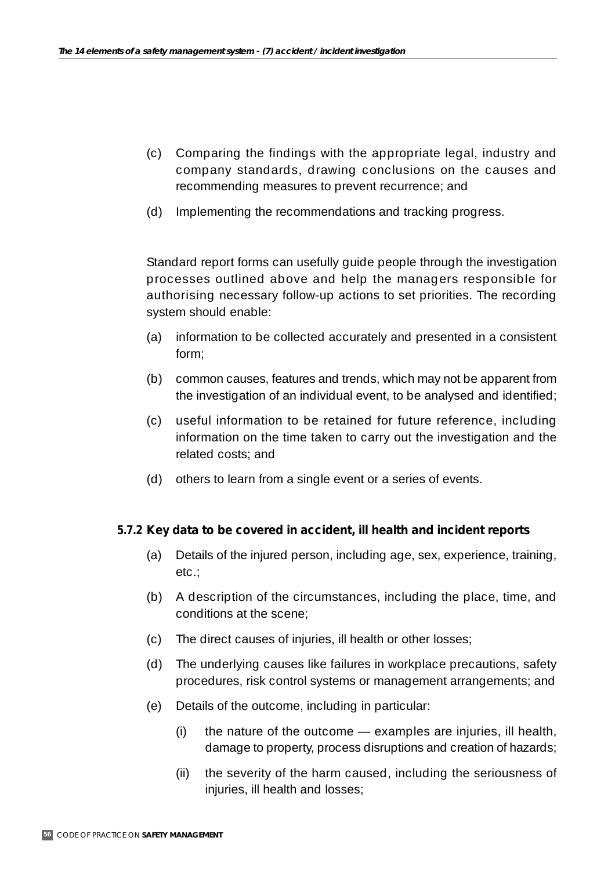- (c) Comparing the findings with the appropriate legal, industry and company standards, drawing conclusions on the causes and recommending measures to prevent recurrence; and
- (d) Implementing the recommendations and tracking progress.

Standard report forms can usefully guide people through the investigation processes outlined above and help the managers responsible for authorising necessary follow-up actions to set priorities. The recording system should enable:

- (a) information to be collected accurately and presented in a consistent form;
- (b) common causes, features and trends, which may not be apparent from the investigation of an individual event, to be analysed and identified;
- (c) useful information to be retained for future reference, including information on the time taken to carry out the investigation and the related costs; and
- (d) others to learn from a single event or a series of events.

### **5.7.2 Key data to be covered in accident, ill health and incident reports**

- (a) Details of the injured person, including age, sex, experience, training, etc.;
- (b) A description of the circumstances, including the place, time, and conditions at the scene;
- (c) The direct causes of injuries, ill health or other losses;
- (d) The underlying causes like failures in workplace precautions, safety procedures, risk control systems or management arrangements; and
- (e) Details of the outcome, including in particular:
	- (i) the nature of the outcome examples are injuries, ill health, damage to property, process disruptions and creation of hazards;
	- (ii) the severity of the harm caused, including the seriousness of injuries, ill health and losses;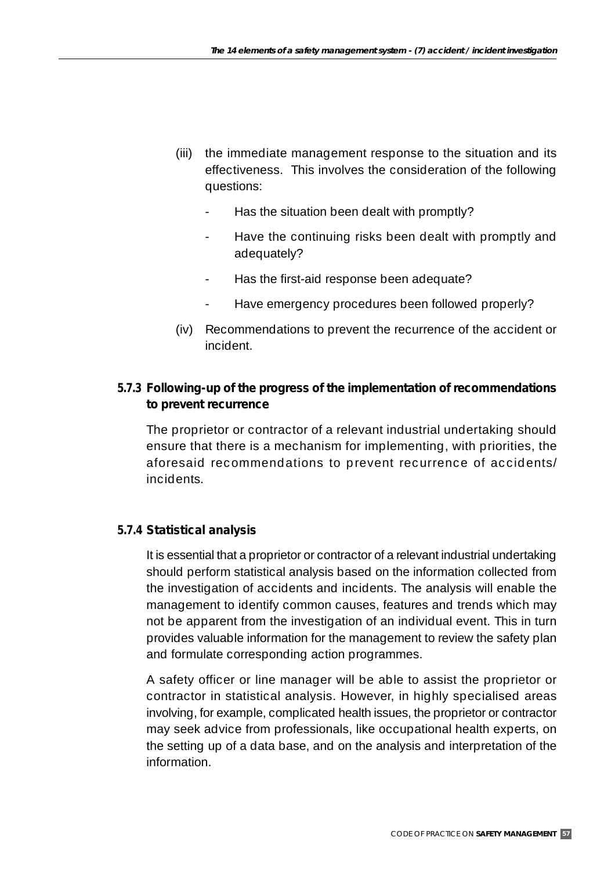- (iii) the immediate management response to the situation and its effectiveness. This involves the consideration of the following questions:
	- Has the situation been dealt with promptly?
	- Have the continuing risks been dealt with promptly and adequately?
	- Has the first-aid response been adequate?
	- Have emergency procedures been followed properly?
- (iv) Recommendations to prevent the recurrence of the accident or incident.

## **5.7.3 Following-up of the progress of the implementation of recommendations to prevent recurrence**

The proprietor or contractor of a relevant industrial undertaking should ensure that there is a mechanism for implementing, with priorities, the aforesaid recommendations to prevent recurrence of accidents/ incidents.

### **5.7.4 Statistical analysis**

It is essential that a proprietor or contractor of a relevant industrial undertaking should perform statistical analysis based on the information collected from the investigation of accidents and incidents. The analysis will enable the management to identify common causes, features and trends which may not be apparent from the investigation of an individual event. This in turn provides valuable information for the management to review the safety plan and formulate corresponding action programmes.

A safety officer or line manager will be able to assist the proprietor or contractor in statistical analysis. However, in highly specialised areas involving, for example, complicated health issues, the proprietor or contractor may seek advice from professionals, like occupational health experts, on the setting up of a data base, and on the analysis and interpretation of the information.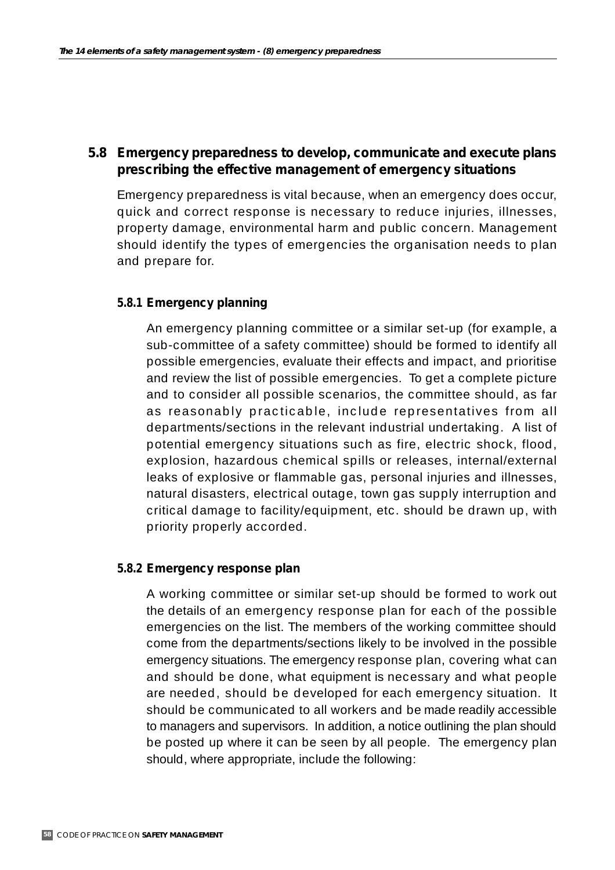## **5.8 Emergency preparedness to develop, communicate and execute plans prescribing the effective management of emergency situations**

Emergency preparedness is vital because, when an emergency does occur, quick and correct response is necessary to reduce injuries, illnesses, property damage, environmental harm and public concern. Management should identify the types of emergencies the organisation needs to plan and prepare for.

### **5.8.1 Emergency planning**

An emergency planning committee or a similar set-up (for example, a sub-committee of a safety committee) should be formed to identify all possible emergencies, evaluate their effects and impact, and prioritise and review the list of possible emergencies. To get a complete picture and to consider all possible scenarios, the committee should, as far as reasonably practicable, include representatives from all departments/sections in the relevant industrial undertaking. A list of potential emergency situations such as fire, electric shock, flood, explosion, hazardous chemical spills or releases, internal/external leaks of explosive or flammable gas, personal injuries and illnesses, natural disasters, electrical outage, town gas supply interruption and critical damage to facility/equipment, etc. should be drawn up, with priority properly accorded.

### **5.8.2 Emergency response plan**

A working committee or similar set-up should be formed to work out the details of an emergency response plan for each of the possible emergencies on the list. The members of the working committee should come from the departments/sections likely to be involved in the possible emergency situations. The emergency response plan, covering what can and should be done, what equipment is necessary and what people are needed, should be developed for each emergency situation. It should be communicated to all workers and be made readily accessible to managers and supervisors. In addition, a notice outlining the plan should be posted up where it can be seen by all people. The emergency plan should, where appropriate, include the following: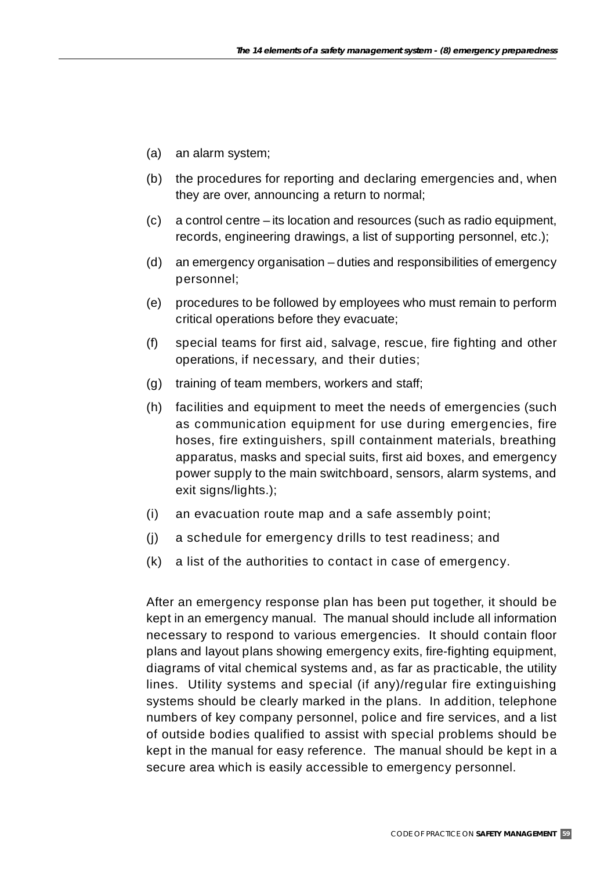- (a) an alarm system;
- (b) the procedures for reporting and declaring emergencies and, when they are over, announcing a return to normal;
- (c) a control centre its location and resources (such as radio equipment, records, engineering drawings, a list of supporting personnel, etc.);
- (d) an emergency organisation duties and responsibilities of emergency personnel;
- (e) procedures to be followed by employees who must remain to perform critical operations before they evacuate;
- (f) special teams for first aid, salvage, rescue, fire fighting and other operations, if necessary, and their duties;
- (g) training of team members, workers and staff;
- (h) facilities and equipment to meet the needs of emergencies (such as communication equipment for use during emergencies, fire hoses, fire extinguishers, spill containment materials, breathing apparatus, masks and special suits, first aid boxes, and emergency power supply to the main switchboard, sensors, alarm systems, and exit signs/lights.);
- (i) an evacuation route map and a safe assembly point;
- (j) a schedule for emergency drills to test readiness; and
- (k) a list of the authorities to contact in case of emergency.

After an emergency response plan has been put together, it should be kept in an emergency manual. The manual should include all information necessary to respond to various emergencies. It should contain floor plans and layout plans showing emergency exits, fire-fighting equipment, diagrams of vital chemical systems and, as far as practicable, the utility lines. Utility systems and special (if any)/regular fire extinguishing systems should be clearly marked in the plans. In addition, telephone numbers of key company personnel, police and fire services, and a list of outside bodies qualified to assist with special problems should be kept in the manual for easy reference. The manual should be kept in a secure area which is easily accessible to emergency personnel.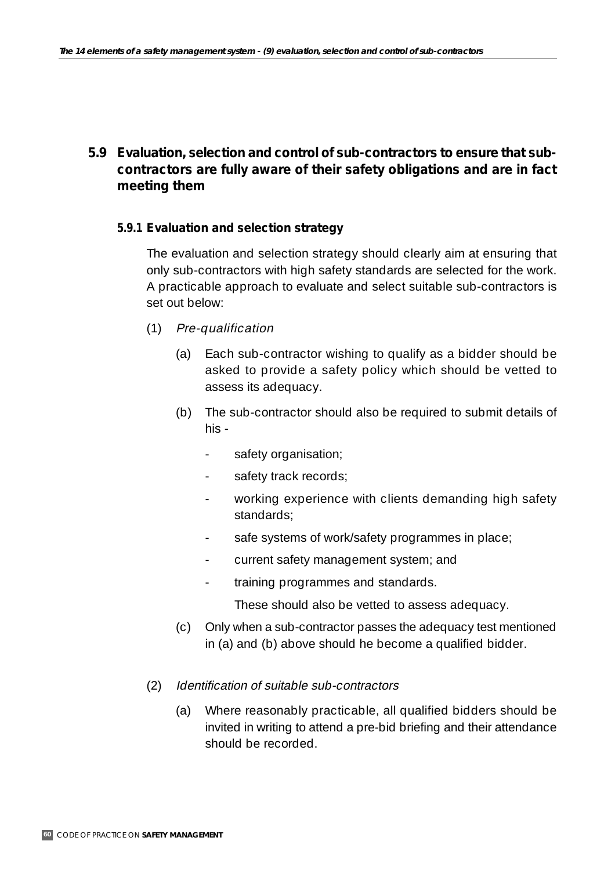# **5.9 Evaluation, selection and control of sub-contractors to ensure that subcontractors are fully aware of their safety obligations and are in fact meeting them**

### **5.9.1 Evaluation and selection strategy**

The evaluation and selection strategy should clearly aim at ensuring that only sub-contractors with high safety standards are selected for the work. A practicable approach to evaluate and select suitable sub-contractors is set out below:

- (1) Pre-qualification
	- (a) Each sub-contractor wishing to qualify as a bidder should be asked to provide a safety policy which should be vetted to assess its adequacy.
	- (b) The sub-contractor should also be required to submit details of his -
		- safety organisation;
		- safety track records;
		- working experience with clients demanding high safety standards;
		- safe systems of work/safety programmes in place;
		- current safety management system; and
		- training programmes and standards.

These should also be vetted to assess adequacy.

- (c) Only when a sub-contractor passes the adequacy test mentioned in (a) and (b) above should he become a qualified bidder.
- (2) Identification of suitable sub-contractors
	- (a) Where reasonably practicable, all qualified bidders should be invited in writing to attend a pre-bid briefing and their attendance should be recorded.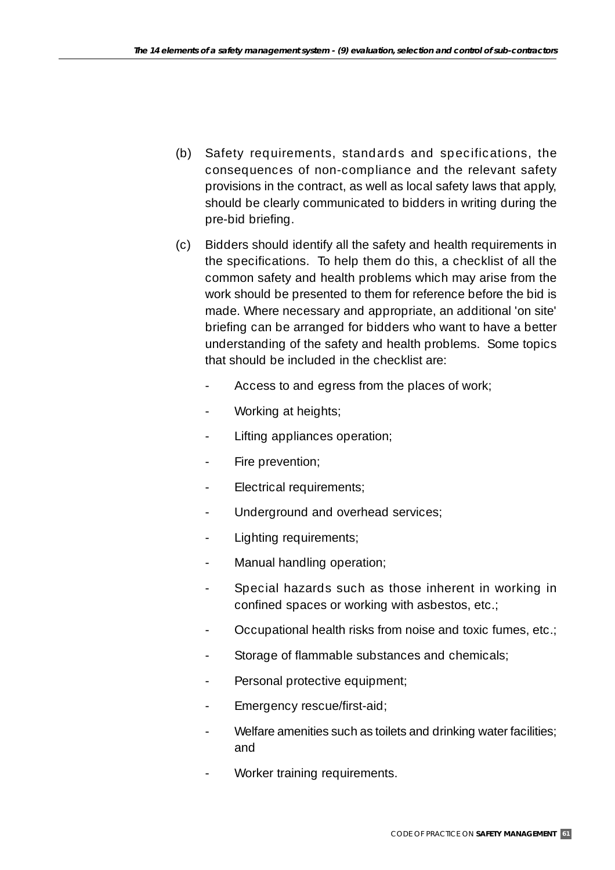- (b) Safety requirements, standards and specifications, the consequences of non-compliance and the relevant safety provisions in the contract, as well as local safety laws that apply, should be clearly communicated to bidders in writing during the pre-bid briefing.
- (c) Bidders should identify all the safety and health requirements in the specifications. To help them do this, a checklist of all the common safety and health problems which may arise from the work should be presented to them for reference before the bid is made. Where necessary and appropriate, an additional 'on site' briefing can be arranged for bidders who want to have a better understanding of the safety and health problems. Some topics that should be included in the checklist are:
	- Access to and egress from the places of work;
	- Working at heights;
	- Lifting appliances operation;
	- Fire prevention;
	- Electrical requirements;
	- Underground and overhead services;
	- Lighting requirements;
	- Manual handling operation;
	- Special hazards such as those inherent in working in confined spaces or working with asbestos, etc.;
	- Occupational health risks from noise and toxic fumes, etc.;
	- Storage of flammable substances and chemicals;
	- Personal protective equipment;
	- Emergency rescue/first-aid;
	- Welfare amenities such as toilets and drinking water facilities; and
	- Worker training requirements.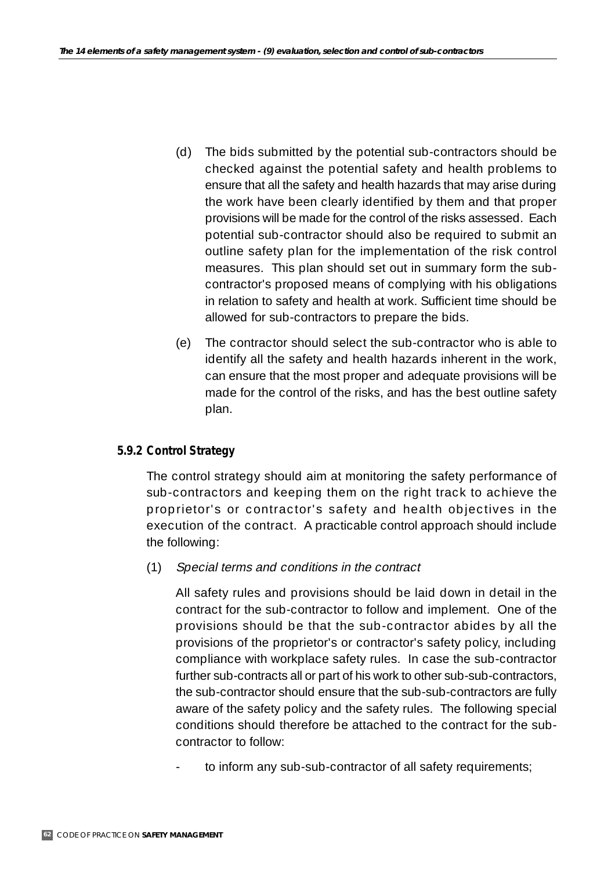- (d) The bids submitted by the potential sub-contractors should be checked against the potential safety and health problems to ensure that all the safety and health hazards that may arise during the work have been clearly identified by them and that proper provisions will be made for the control of the risks assessed. Each potential sub-contractor should also be required to submit an outline safety plan for the implementation of the risk control measures. This plan should set out in summary form the subcontractor's proposed means of complying with his obligations in relation to safety and health at work. Sufficient time should be allowed for sub-contractors to prepare the bids.
- (e) The contractor should select the sub-contractor who is able to identify all the safety and health hazards inherent in the work, can ensure that the most proper and adequate provisions will be made for the control of the risks, and has the best outline safety plan.

### **5.9.2 Control Strategy**

The control strategy should aim at monitoring the safety performance of sub-contractors and keeping them on the right track to achieve the proprietor's or contractor's safety and health objectives in the execution of the contract. A practicable control approach should include the following:

(1) Special terms and conditions in the contract

All safety rules and provisions should be laid down in detail in the contract for the sub-contractor to follow and implement. One of the provisions should be that the sub-contractor abides by all the provisions of the proprietor's or contractor's safety policy, including compliance with workplace safety rules. In case the sub-contractor further sub-contracts all or part of his work to other sub-sub-contractors, the sub-contractor should ensure that the sub-sub-contractors are fully aware of the safety policy and the safety rules. The following special conditions should therefore be attached to the contract for the subcontractor to follow:

to inform any sub-sub-contractor of all safety requirements;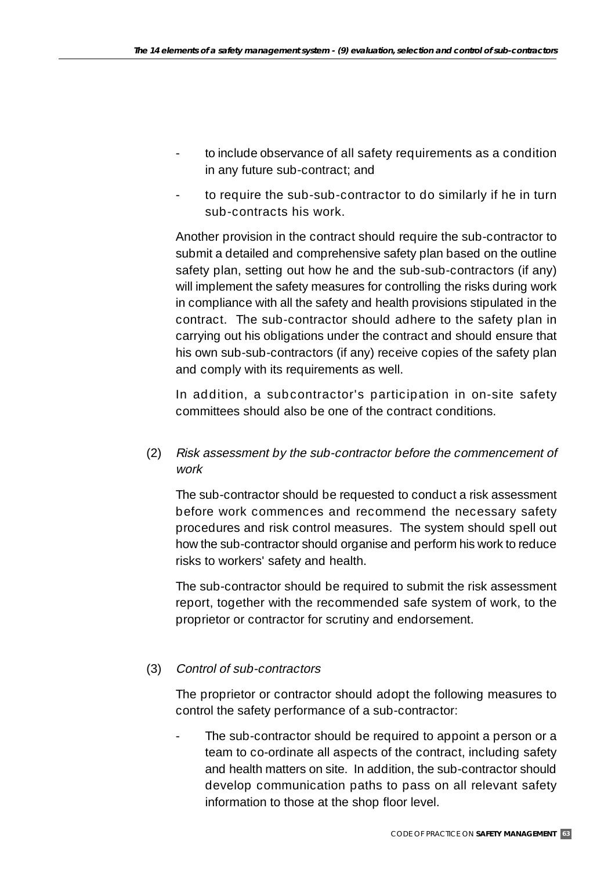- to include observance of all safety requirements as a condition in any future sub-contract; and
- to require the sub-sub-contractor to do similarly if he in turn sub-contracts his work.

Another provision in the contract should require the sub-contractor to submit a detailed and comprehensive safety plan based on the outline safety plan, setting out how he and the sub-sub-contractors (if any) will implement the safety measures for controlling the risks during work in compliance with all the safety and health provisions stipulated in the contract. The sub-contractor should adhere to the safety plan in carrying out his obligations under the contract and should ensure that his own sub-sub-contractors (if any) receive copies of the safety plan and comply with its requirements as well.

In addition, a subcontractor's participation in on-site safety committees should also be one of the contract conditions.

(2) Risk assessment by the sub-contractor before the commencement of work

The sub-contractor should be requested to conduct a risk assessment before work commences and recommend the necessary safety procedures and risk control measures. The system should spell out how the sub-contractor should organise and perform his work to reduce risks to workers' safety and health.

The sub-contractor should be required to submit the risk assessment report, together with the recommended safe system of work, to the proprietor or contractor for scrutiny and endorsement.

### (3) Control of sub-contractors

The proprietor or contractor should adopt the following measures to control the safety performance of a sub-contractor:

The sub-contractor should be required to appoint a person or a team to co-ordinate all aspects of the contract, including safety and health matters on site. In addition, the sub-contractor should develop communication paths to pass on all relevant safety information to those at the shop floor level.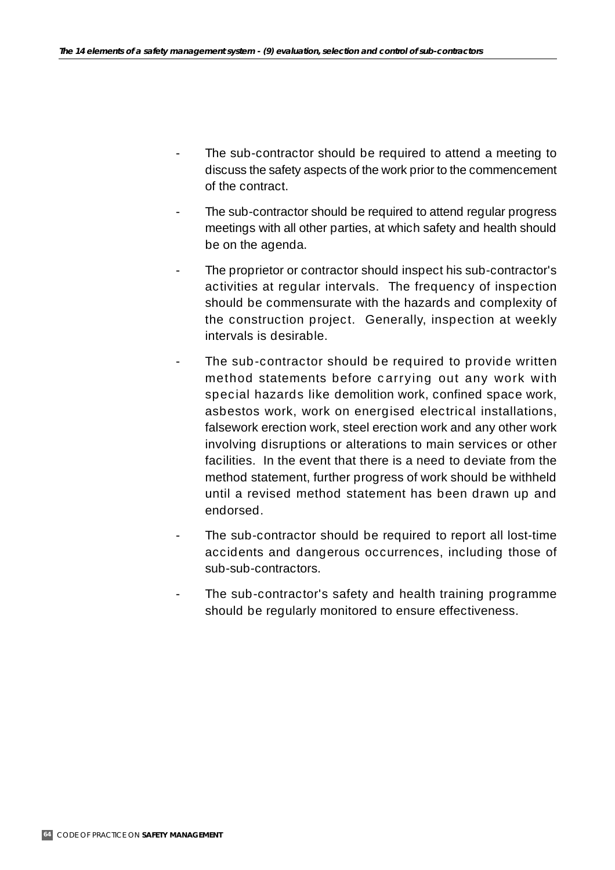- The sub-contractor should be required to attend a meeting to discuss the safety aspects of the work prior to the commencement of the contract.
- The sub-contractor should be required to attend regular progress meetings with all other parties, at which safety and health should be on the agenda.
- The proprietor or contractor should inspect his sub-contractor's activities at regular intervals. The frequency of inspection should be commensurate with the hazards and complexity of the construction project. Generally, inspection at weekly intervals is desirable.
- The sub-contractor should be required to provide written method statements before carrying out any work with special hazards like demolition work, confined space work, asbestos work, work on energised electrical installations, falsework erection work, steel erection work and any other work involving disruptions or alterations to main services or other facilities. In the event that there is a need to deviate from the method statement, further progress of work should be withheld until a revised method statement has been drawn up and endorsed.
- The sub-contractor should be required to report all lost-time accidents and dangerous occurrences, including those of sub-sub-contractors.
- The sub-contractor's safety and health training programme should be regularly monitored to ensure effectiveness.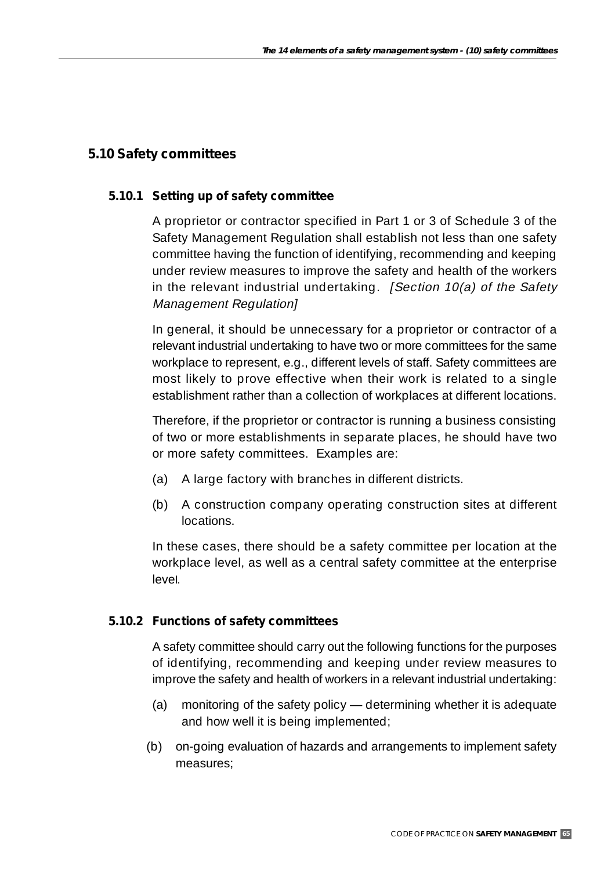## **5.10 Safety committees**

### **5.10.1 Setting up of safety committee**

A proprietor or contractor specified in Part 1 or 3 of Schedule 3 of the Safety Management Regulation shall establish not less than one safety committee having the function of identifying, recommending and keeping under review measures to improve the safety and health of the workers in the relevant industrial undertaking. [Section  $10(a)$  of the Safety Management Regulation]

In general, it should be unnecessary for a proprietor or contractor of a relevant industrial undertaking to have two or more committees for the same workplace to represent, e.g., different levels of staff. Safety committees are most likely to prove effective when their work is related to a single establishment rather than a collection of workplaces at different locations.

Therefore, if the proprietor or contractor is running a business consisting of two or more establishments in separate places, he should have two or more safety committees. Examples are:

- (a) A large factory with branches in different districts.
- (b) A construction company operating construction sites at different locations.

In these cases, there should be a safety committee per location at the workplace level, as well as a central safety committee at the enterprise level.

### **5.10.2 Functions of safety committees**

A safety committee should carry out the following functions for the purposes of identifying, recommending and keeping under review measures to improve the safety and health of workers in a relevant industrial undertaking:

- (a) monitoring of the safety policy determining whether it is adequate and how well it is being implemented;
- (b) on-going evaluation of hazards and arrangements to implement safety measures;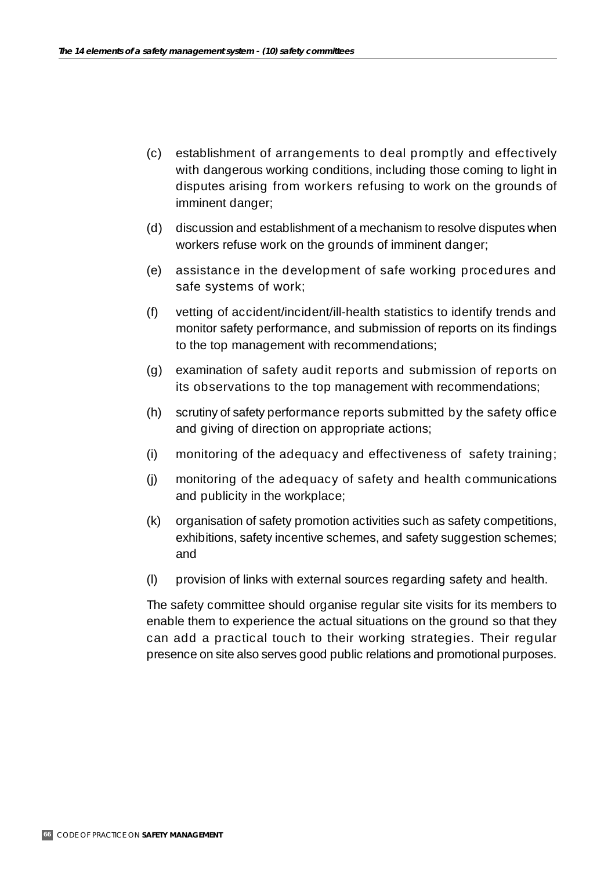- (c) establishment of arrangements to deal promptly and effectively with dangerous working conditions, including those coming to light in disputes arising from workers refusing to work on the grounds of imminent danger;
- (d) discussion and establishment of a mechanism to resolve disputes when workers refuse work on the grounds of imminent danger;
- (e) assistance in the development of safe working procedures and safe systems of work;
- (f) vetting of accident/incident/ill-health statistics to identify trends and monitor safety performance, and submission of reports on its findings to the top management with recommendations;
- (g) examination of safety audit reports and submission of reports on its observations to the top management with recommendations;
- (h) scrutiny of safety performance reports submitted by the safety office and giving of direction on appropriate actions;
- (i) monitoring of the adequacy and effectiveness of safety training;
- (j) monitoring of the adequacy of safety and health communications and publicity in the workplace;
- (k) organisation of safety promotion activities such as safety competitions, exhibitions, safety incentive schemes, and safety suggestion schemes; and
- (l) provision of links with external sources regarding safety and health.

The safety committee should organise regular site visits for its members to enable them to experience the actual situations on the ground so that they can add a practical touch to their working strategies. Their regular presence on site also serves good public relations and promotional purposes.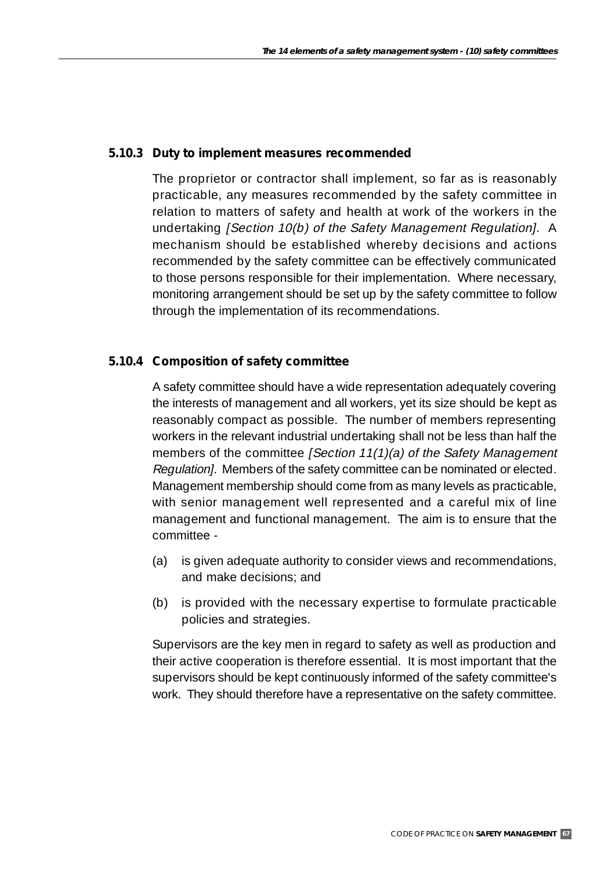### **5.10.3 Duty to implement measures recommended**

The proprietor or contractor shall implement, so far as is reasonably practicable, any measures recommended by the safety committee in relation to matters of safety and health at work of the workers in the undertaking [Section 10(b) of the Safety Management Regulation]. A mechanism should be established whereby decisions and actions recommended by the safety committee can be effectively communicated to those persons responsible for their implementation. Where necessary, monitoring arrangement should be set up by the safety committee to follow through the implementation of its recommendations.

### **5.10.4 Composition of safety committee**

A safety committee should have a wide representation adequately covering the interests of management and all workers, yet its size should be kept as reasonably compact as possible. The number of members representing workers in the relevant industrial undertaking shall not be less than half the members of the committee [Section 11(1)(a) of the Safety Management Regulation]. Members of the safety committee can be nominated or elected. Management membership should come from as many levels as practicable, with senior management well represented and a careful mix of line management and functional management. The aim is to ensure that the committee -

- (a) is given adequate authority to consider views and recommendations, and make decisions; and
- (b) is provided with the necessary expertise to formulate practicable policies and strategies.

Supervisors are the key men in regard to safety as well as production and their active cooperation is therefore essential. It is most important that the supervisors should be kept continuously informed of the safety committee's work. They should therefore have a representative on the safety committee.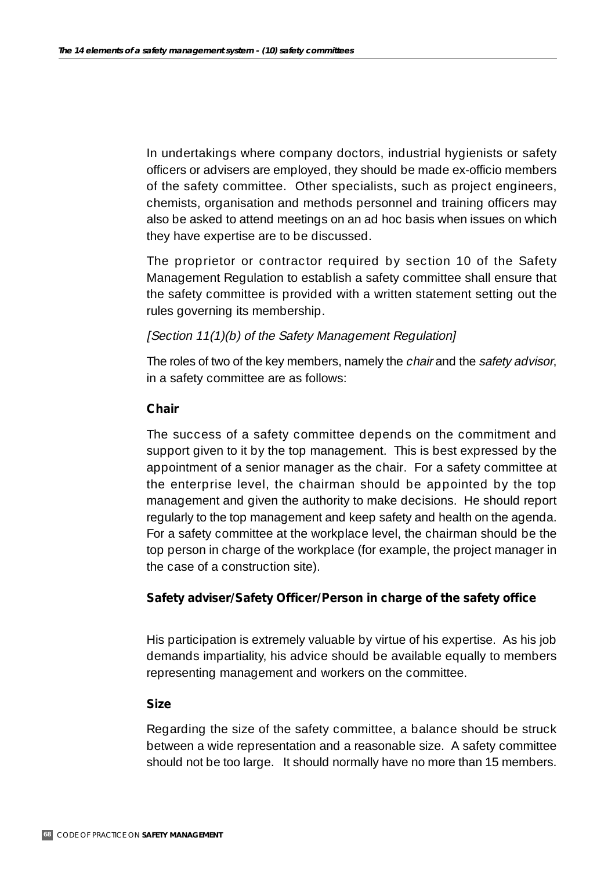In undertakings where company doctors, industrial hygienists or safety officers or advisers are employed, they should be made ex-officio members of the safety committee. Other specialists, such as project engineers, chemists, organisation and methods personnel and training officers may also be asked to attend meetings on an ad hoc basis when issues on which they have expertise are to be discussed.

The proprietor or contractor required by section 10 of the Safety Management Regulation to establish a safety committee shall ensure that the safety committee is provided with a written statement setting out the rules governing its membership.

### [Section 11(1)(b) of the Safety Management Regulation]

The roles of two of the key members, namely the chair and the safety advisor, in a safety committee are as follows:

### *Chair*

The success of a safety committee depends on the commitment and support given to it by the top management. This is best expressed by the appointment of a senior manager as the chair. For a safety committee at the enterprise level, the chairman should be appointed by the top management and given the authority to make decisions. He should report regularly to the top management and keep safety and health on the agenda. For a safety committee at the workplace level, the chairman should be the top person in charge of the workplace (for example, the project manager in the case of a construction site).

### *Safety adviser/Safety Officer/Person in charge of the safety office*

His participation is extremely valuable by virtue of his expertise. As his job demands impartiality, his advice should be available equally to members representing management and workers on the committee.

### *Size*

Regarding the size of the safety committee, a balance should be struck between a wide representation and a reasonable size. A safety committee should not be too large. It should normally have no more than 15 members.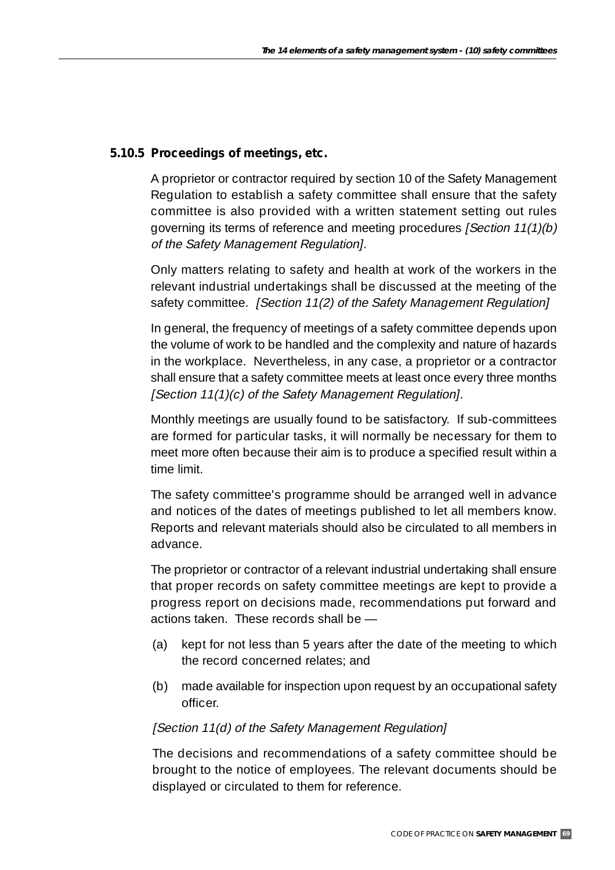### **5.10.5 Proceedings of meetings, etc.**

A proprietor or contractor required by section 10 of the Safety Management Regulation to establish a safety committee shall ensure that the safety committee is also provided with a written statement setting out rules governing its terms of reference and meeting procedures [Section 11(1)(b) of the Safety Management Regulation].

Only matters relating to safety and health at work of the workers in the relevant industrial undertakings shall be discussed at the meeting of the safety committee. [Section 11(2) of the Safety Management Regulation]

In general, the frequency of meetings of a safety committee depends upon the volume of work to be handled and the complexity and nature of hazards in the workplace. Nevertheless, in any case, a proprietor or a contractor shall ensure that a safety committee meets at least once every three months [Section 11(1)(c) of the Safety Management Regulation].

Monthly meetings are usually found to be satisfactory. If sub-committees are formed for particular tasks, it will normally be necessary for them to meet more often because their aim is to produce a specified result within a time limit.

The safety committee's programme should be arranged well in advance and notices of the dates of meetings published to let all members know. Reports and relevant materials should also be circulated to all members in advance.

The proprietor or contractor of a relevant industrial undertaking shall ensure that proper records on safety committee meetings are kept to provide a progress report on decisions made, recommendations put forward and actions taken. These records shall be —

- (a) kept for not less than 5 years after the date of the meeting to which the record concerned relates; and
- (b) made available for inspection upon request by an occupational safety officer.

### [Section 11(d) of the Safety Management Regulation]

The decisions and recommendations of a safety committee should be brought to the notice of employees. The relevant documents should be displayed or circulated to them for reference.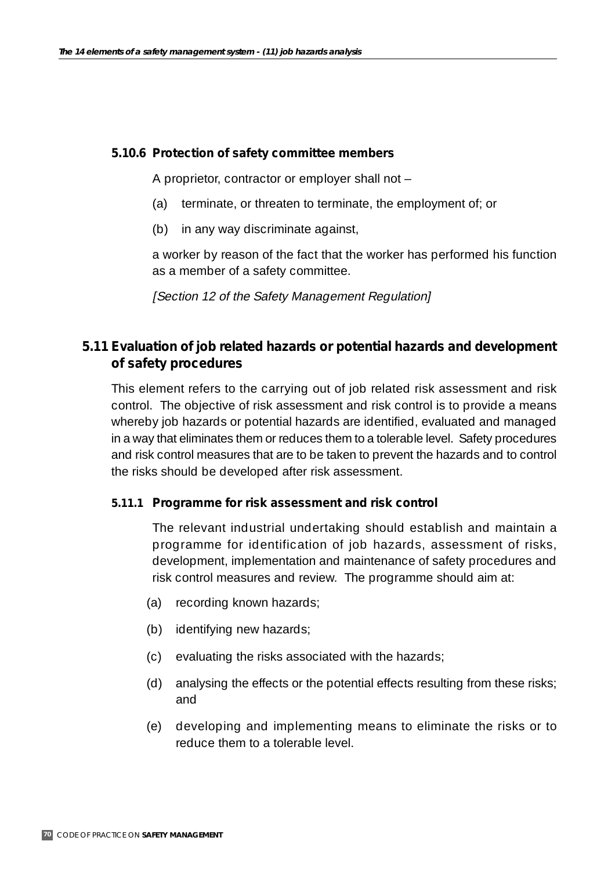#### **5.10.6 Protection of safety committee members**

A proprietor, contractor or employer shall not –

- (a) terminate, or threaten to terminate, the employment of; or
- (b) in any way discriminate against,

a worker by reason of the fact that the worker has performed his function as a member of a safety committee.

[Section 12 of the Safety Management Regulation]

## **5.11 Evaluation of job related hazards or potential hazards and development of safety procedures**

This element refers to the carrying out of job related risk assessment and risk control. The objective of risk assessment and risk control is to provide a means whereby job hazards or potential hazards are identified, evaluated and managed in a way that eliminates them or reduces them to a tolerable level. Safety procedures and risk control measures that are to be taken to prevent the hazards and to control the risks should be developed after risk assessment.

### **5.11.1 Programme for risk assessment and risk control**

The relevant industrial undertaking should establish and maintain a programme for identification of job hazards, assessment of risks, development, implementation and maintenance of safety procedures and risk control measures and review. The programme should aim at:

- (a) recording known hazards;
- (b) identifying new hazards;
- (c) evaluating the risks associated with the hazards;
- (d) analysing the effects or the potential effects resulting from these risks; and
- (e) developing and implementing means to eliminate the risks or to reduce them to a tolerable level.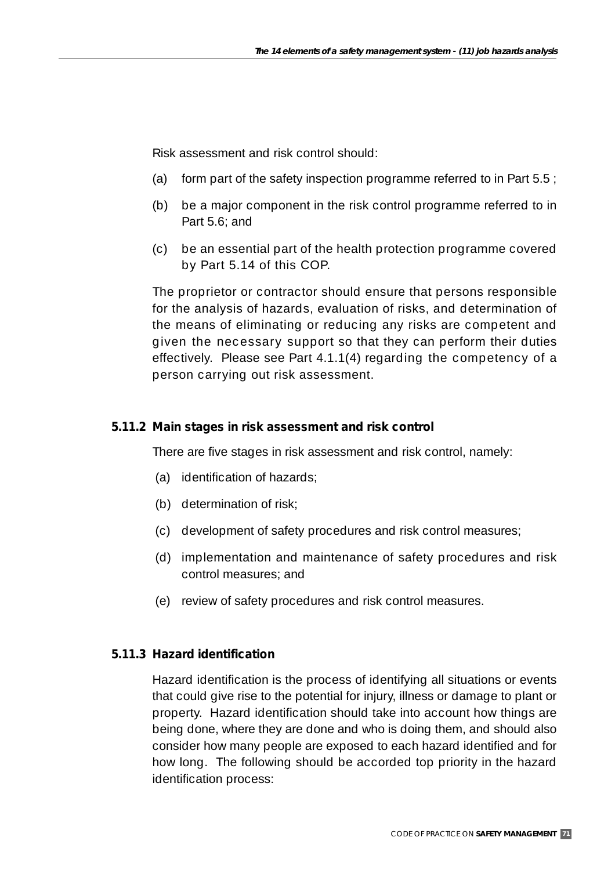Risk assessment and risk control should:

- (a) form part of the safety inspection programme referred to in Part  $5.5$ ;
- (b) be a major component in the risk control programme referred to in Part 5.6; and
- (c) be an essential part of the health protection programme covered by Part 5.14 of this COP.

The proprietor or contractor should ensure that persons responsible for the analysis of hazards, evaluation of risks, and determination of the means of eliminating or reducing any risks are competent and given the necessary support so that they can perform their duties effectively. Please see Part 4.1.1(4) regarding the competency of a person carrying out risk assessment.

### **5.11.2 Main stages in risk assessment and risk control**

There are five stages in risk assessment and risk control, namely:

- (a) identification of hazards;
- (b) determination of risk;
- (c) development of safety procedures and risk control measures;
- (d) implementation and maintenance of safety procedures and risk control measures; and
- (e) review of safety procedures and risk control measures.

# **5.11.3 Hazard identification**

Hazard identification is the process of identifying all situations or events that could give rise to the potential for injury, illness or damage to plant or property. Hazard identification should take into account how things are being done, where they are done and who is doing them, and should also consider how many people are exposed to each hazard identified and for how long. The following should be accorded top priority in the hazard identification process: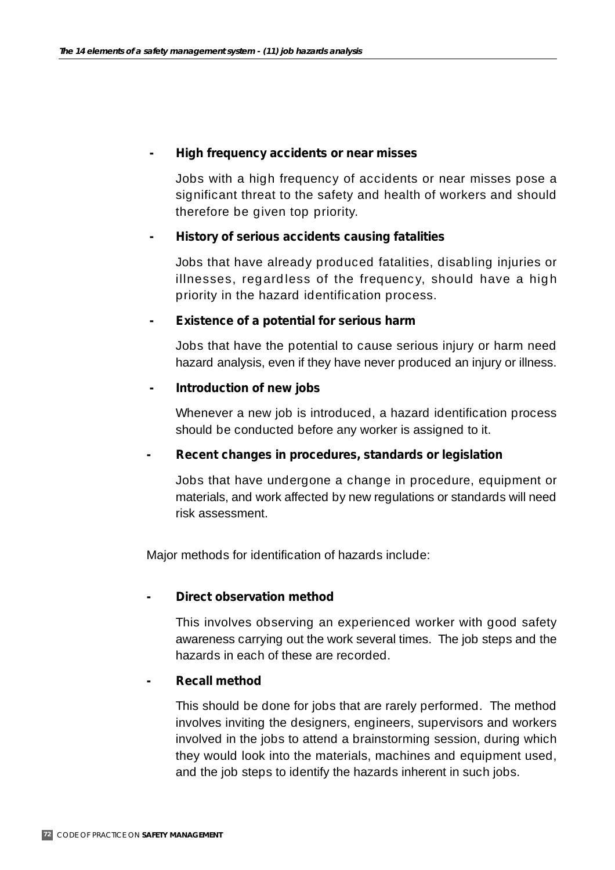#### *- High frequency accidents or near misses*

Jobs with a high frequency of accidents or near misses pose a significant threat to the safety and health of workers and should therefore be given top priority.

## *- History of serious accidents causing fatalities*

Jobs that have already produced fatalities, disabling injuries or illnesses, regardless of the frequency, should have a high priority in the hazard identification process.

#### *- Existence of a potential for serious harm*

Jobs that have the potential to cause serious injury or harm need hazard analysis, even if they have never produced an injury or illness.

#### *- Introduction of new jobs*

Whenever a new job is introduced, a hazard identification process should be conducted before any worker is assigned to it.

## *- Recent changes in procedures, standards or legislation*

Jobs that have undergone a change in procedure, equipment or materials, and work affected by new regulations or standards will need risk assessment.

Major methods for identification of hazards include:

## *- Direct observation method*

This involves observing an experienced worker with good safety awareness carrying out the work several times. The job steps and the hazards in each of these are recorded.

## *- Recall method*

This should be done for jobs that are rarely performed. The method involves inviting the designers, engineers, supervisors and workers involved in the jobs to attend a brainstorming session, during which they would look into the materials, machines and equipment used, and the job steps to identify the hazards inherent in such jobs.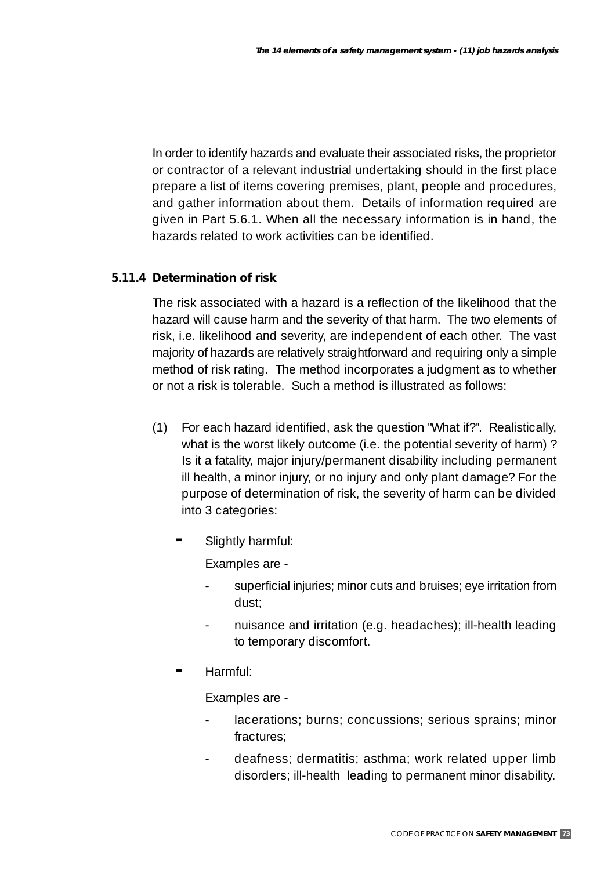In order to identify hazards and evaluate their associated risks, the proprietor or contractor of a relevant industrial undertaking should in the first place prepare a list of items covering premises, plant, people and procedures, and gather information about them. Details of information required are given in Part 5.6.1. When all the necessary information is in hand, the hazards related to work activities can be identified.

## **5.11.4 Determination of risk**

The risk associated with a hazard is a reflection of the likelihood that the hazard will cause harm and the severity of that harm. The two elements of risk, i.e. likelihood and severity, are independent of each other. The vast majority of hazards are relatively straightforward and requiring only a simple method of risk rating. The method incorporates a judgment as to whether or not a risk is tolerable. Such a method is illustrated as follows:

- (1) For each hazard identified, ask the question "What if?". Realistically, what is the worst likely outcome (i.e. the potential severity of harm)? Is it a fatality, major injury/permanent disability including permanent ill health, a minor injury, or no injury and only plant damage? For the purpose of determination of risk, the severity of harm can be divided into 3 categories:
	- **-** Slightly harmful:

Examples are -

- superficial injuries; minor cuts and bruises; eye irritation from dust;
- nuisance and irritation (e.g. headaches); ill-health leading to temporary discomfort.
- **-** Harmful:

Examples are -

- lacerations; burns; concussions; serious sprains; minor fractures;
- deafness; dermatitis; asthma; work related upper limb disorders; ill-health leading to permanent minor disability.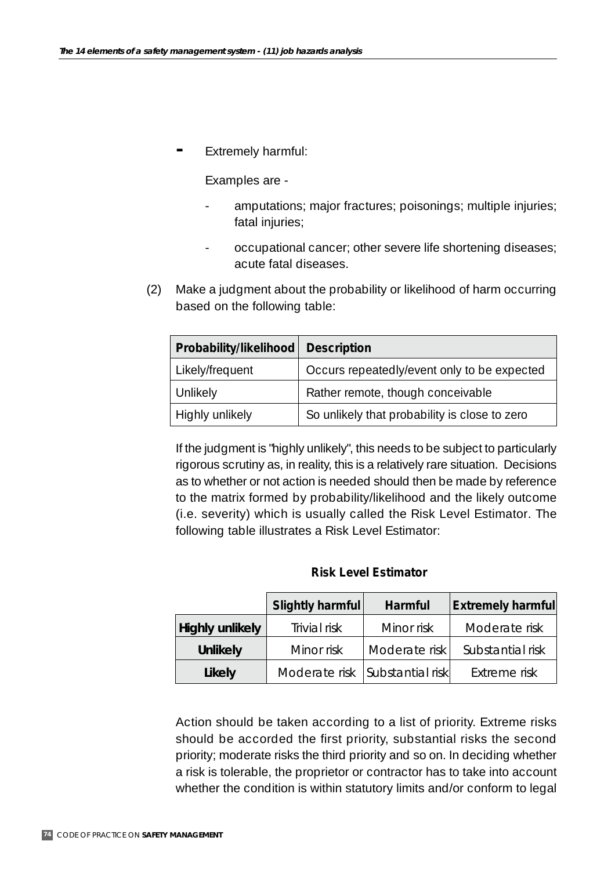**-** Extremely harmful:

Examples are -

- amputations; major fractures; poisonings; multiple injuries; fatal injuries;
- occupational cancer; other severe life shortening diseases; acute fatal diseases.
- (2) Make a judgment about the probability or likelihood of harm occurring based on the following table:

| Probability/likelihood | <b>Description</b>                            |  |  |
|------------------------|-----------------------------------------------|--|--|
| Likely/frequent        | Occurs repeatedly/event only to be expected   |  |  |
| Unlikely               | Rather remote, though conceivable             |  |  |
| Highly unlikely        | So unlikely that probability is close to zero |  |  |

If the judgment is "highly unlikely", this needs to be subject to particularly rigorous scrutiny as, in reality, this is a relatively rare situation. Decisions as to whether or not action is needed should then be made by reference to the matrix formed by probability/likelihood and the likely outcome (i.e. severity) which is usually called the Risk Level Estimator. The following table illustrates a Risk Level Estimator:

#### **Risk Level Estimator**

|                 | Slightly harmful               | Harmful       | <b>Extremely harmful</b> |
|-----------------|--------------------------------|---------------|--------------------------|
| Highly unlikely | Trivial risk                   | Minor risk    | Moderate risk            |
| <b>Unlikely</b> | Minor risk                     | Moderate risk | Substantial risk         |
| Likely          | Moderate risk Substantial risk |               | Extreme risk             |

Action should be taken according to a list of priority. Extreme risks should be accorded the first priority, substantial risks the second priority; moderate risks the third priority and so on. In deciding whether a risk is tolerable, the proprietor or contractor has to take into account whether the condition is within statutory limits and/or conform to legal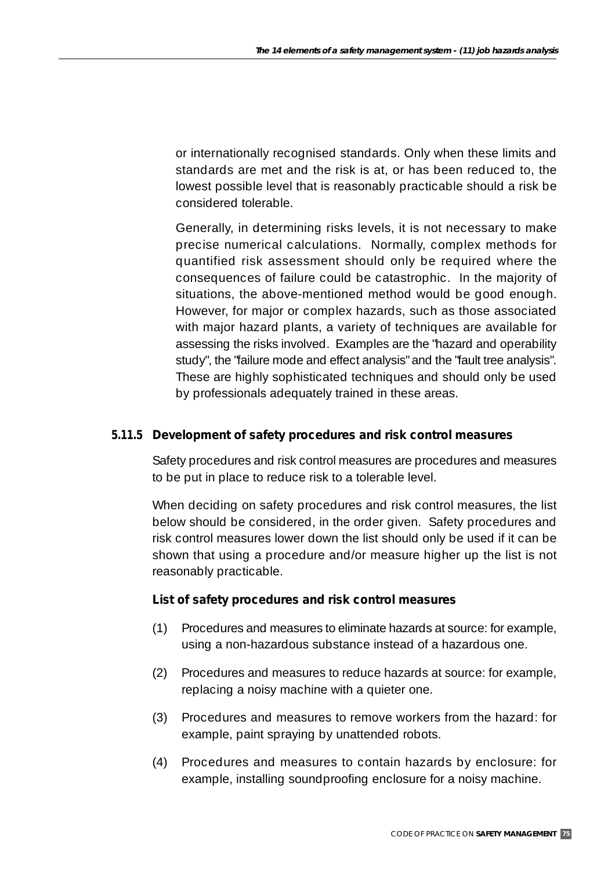or internationally recognised standards. Only when these limits and standards are met and the risk is at, or has been reduced to, the lowest possible level that is reasonably practicable should a risk be considered tolerable.

Generally, in determining risks levels, it is not necessary to make precise numerical calculations. Normally, complex methods for quantified risk assessment should only be required where the consequences of failure could be catastrophic. In the majority of situations, the above-mentioned method would be good enough. However, for major or complex hazards, such as those associated with major hazard plants, a variety of techniques are available for assessing the risks involved. Examples are the "hazard and operability study", the "failure mode and effect analysis" and the "fault tree analysis". These are highly sophisticated techniques and should only be used by professionals adequately trained in these areas.

## **5.11.5 Development of safety procedures and risk control measures**

Safety procedures and risk control measures are procedures and measures to be put in place to reduce risk to a tolerable level.

When deciding on safety procedures and risk control measures, the list below should be considered, in the order given. Safety procedures and risk control measures lower down the list should only be used if it can be shown that using a procedure and/or measure higher up the list is not reasonably practicable.

## **List of safety procedures and risk control measures**

- (1) Procedures and measures to eliminate hazards at source: for example, using a non-hazardous substance instead of a hazardous one.
- (2) Procedures and measures to reduce hazards at source: for example, replacing a noisy machine with a quieter one.
- (3) Procedures and measures to remove workers from the hazard: for example, paint spraying by unattended robots.
- (4) Procedures and measures to contain hazards by enclosure: for example, installing soundproofing enclosure for a noisy machine.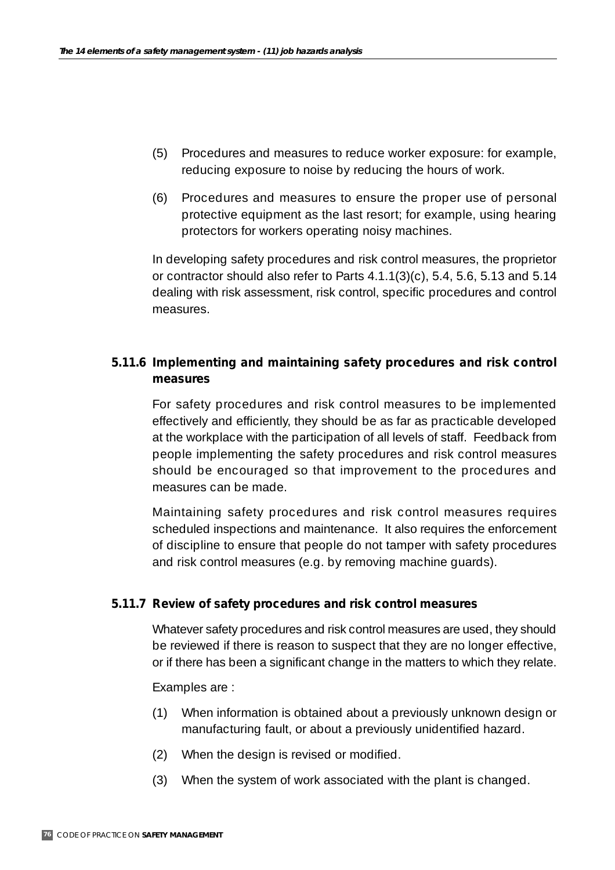- (5) Procedures and measures to reduce worker exposure: for example, reducing exposure to noise by reducing the hours of work.
- (6) Procedures and measures to ensure the proper use of personal protective equipment as the last resort; for example, using hearing protectors for workers operating noisy machines.

In developing safety procedures and risk control measures, the proprietor or contractor should also refer to Parts 4.1.1(3)(c), 5.4, 5.6, 5.13 and 5.14 dealing with risk assessment, risk control, specific procedures and control measures.

## **5.11.6 Implementing and maintaining safety procedures and risk control measures**

For safety procedures and risk control measures to be implemented effectively and efficiently, they should be as far as practicable developed at the workplace with the participation of all levels of staff. Feedback from people implementing the safety procedures and risk control measures should be encouraged so that improvement to the procedures and measures can be made.

Maintaining safety procedures and risk control measures requires scheduled inspections and maintenance. It also requires the enforcement of discipline to ensure that people do not tamper with safety procedures and risk control measures (e.g. by removing machine guards).

## **5.11.7 Review of safety procedures and risk control measures**

Whatever safety procedures and risk control measures are used, they should be reviewed if there is reason to suspect that they are no longer effective, or if there has been a significant change in the matters to which they relate.

## Examples are :

- (1) When information is obtained about a previously unknown design or manufacturing fault, or about a previously unidentified hazard.
- (2) When the design is revised or modified.
- (3) When the system of work associated with the plant is changed.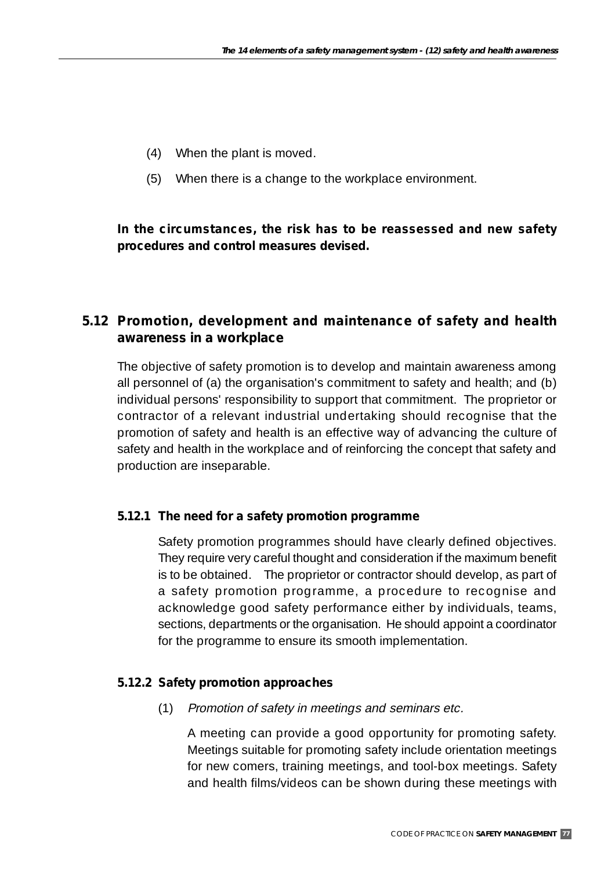- (4) When the plant is moved.
- (5) When there is a change to the workplace environment.

## **In the circumstances, the risk has to be reassessed and new safety procedures and control measures devised.**

# **5.12 Promotion, development and maintenance of safety and health awareness in a workplace**

The objective of safety promotion is to develop and maintain awareness among all personnel of (a) the organisation's commitment to safety and health; and (b) individual persons' responsibility to support that commitment. The proprietor or contractor of a relevant industrial undertaking should recognise that the promotion of safety and health is an effective way of advancing the culture of safety and health in the workplace and of reinforcing the concept that safety and production are inseparable.

## **5.12.1 The need for a safety promotion programme**

Safety promotion programmes should have clearly defined objectives. They require very careful thought and consideration if the maximum benefit is to be obtained. The proprietor or contractor should develop, as part of a safety promotion programme, a procedure to recognise and acknowledge good safety performance either by individuals, teams, sections, departments or the organisation. He should appoint a coordinator for the programme to ensure its smooth implementation.

## **5.12.2 Safety promotion approaches**

(1) Promotion of safety in meetings and seminars etc.

A meeting can provide a good opportunity for promoting safety. Meetings suitable for promoting safety include orientation meetings for new comers, training meetings, and tool-box meetings. Safety and health films/videos can be shown during these meetings with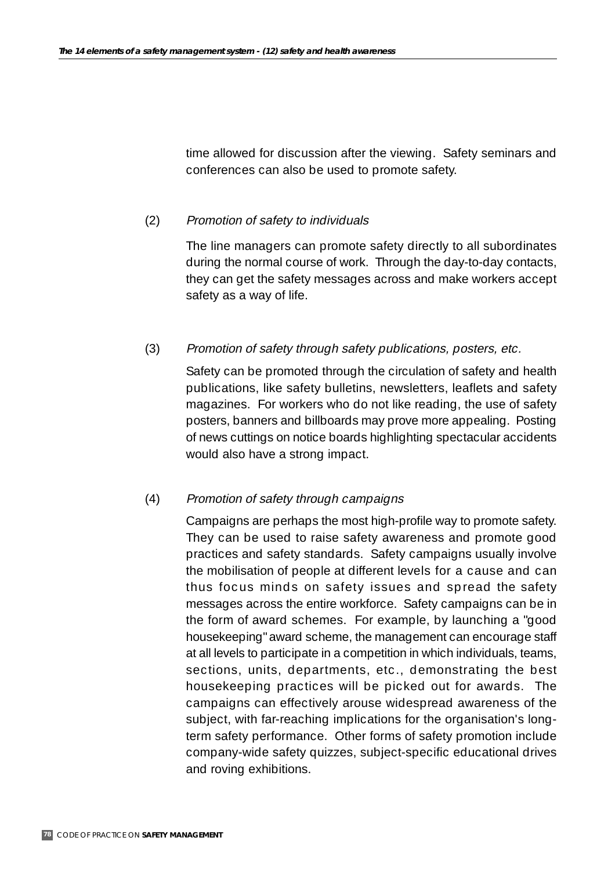time allowed for discussion after the viewing. Safety seminars and conferences can also be used to promote safety.

## (2) Promotion of safety to individuals

The line managers can promote safety directly to all subordinates during the normal course of work. Through the day-to-day contacts, they can get the safety messages across and make workers accept safety as a way of life.

(3) Promotion of safety through safety publications, posters, etc.

Safety can be promoted through the circulation of safety and health publications, like safety bulletins, newsletters, leaflets and safety magazines. For workers who do not like reading, the use of safety posters, banners and billboards may prove more appealing. Posting of news cuttings on notice boards highlighting spectacular accidents would also have a strong impact.

## (4) Promotion of safety through campaigns

Campaigns are perhaps the most high-profile way to promote safety. They can be used to raise safety awareness and promote good practices and safety standards. Safety campaigns usually involve the mobilisation of people at different levels for a cause and can thus focus minds on safety issues and spread the safety messages across the entire workforce. Safety campaigns can be in the form of award schemes. For example, by launching a "good housekeeping" award scheme, the management can encourage staff at all levels to participate in a competition in which individuals, teams, sections, units, departments, etc., demonstrating the best housekeeping practices will be picked out for awards. The campaigns can effectively arouse widespread awareness of the subject, with far-reaching implications for the organisation's longterm safety performance. Other forms of safety promotion include company-wide safety quizzes, subject-specific educational drives and roving exhibitions.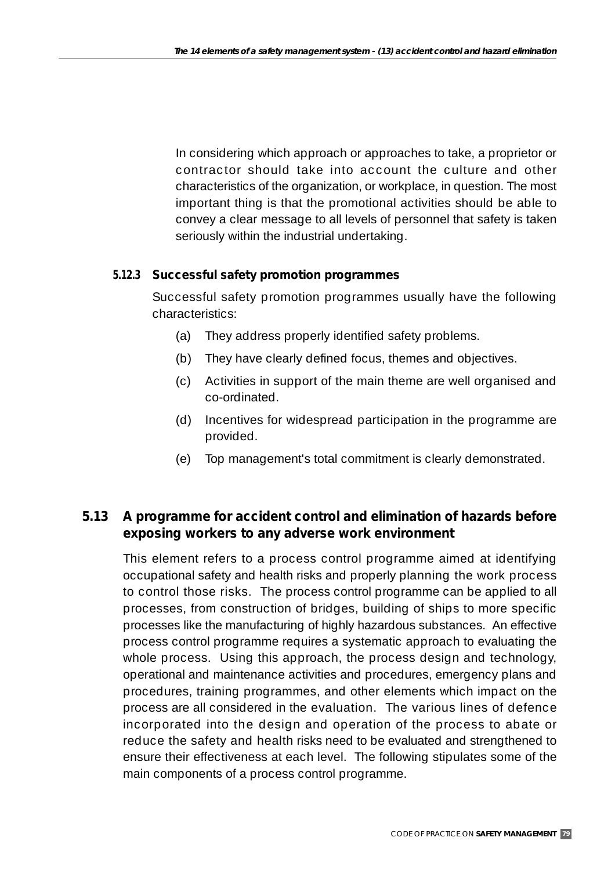In considering which approach or approaches to take, a proprietor or contractor should take into account the culture and other characteristics of the organization, or workplace, in question. The most important thing is that the promotional activities should be able to convey a clear message to all levels of personnel that safety is taken seriously within the industrial undertaking.

## **5.12.3 Successful safety promotion programmes**

Successful safety promotion programmes usually have the following characteristics:

- (a) They address properly identified safety problems.
- (b) They have clearly defined focus, themes and objectives.
- (c) Activities in support of the main theme are well organised and co-ordinated.
- (d) Incentives for widespread participation in the programme are provided.
- (e) Top management's total commitment is clearly demonstrated.

# **5.13 A programme for accident control and elimination of hazards before exposing workers to any adverse work environment**

This element refers to a process control programme aimed at identifying occupational safety and health risks and properly planning the work process to control those risks. The process control programme can be applied to all processes, from construction of bridges, building of ships to more specific processes like the manufacturing of highly hazardous substances. An effective process control programme requires a systematic approach to evaluating the whole process. Using this approach, the process design and technology, operational and maintenance activities and procedures, emergency plans and procedures, training programmes, and other elements which impact on the process are all considered in the evaluation. The various lines of defence incorporated into the design and operation of the process to abate or reduce the safety and health risks need to be evaluated and strengthened to ensure their effectiveness at each level. The following stipulates some of the main components of a process control programme.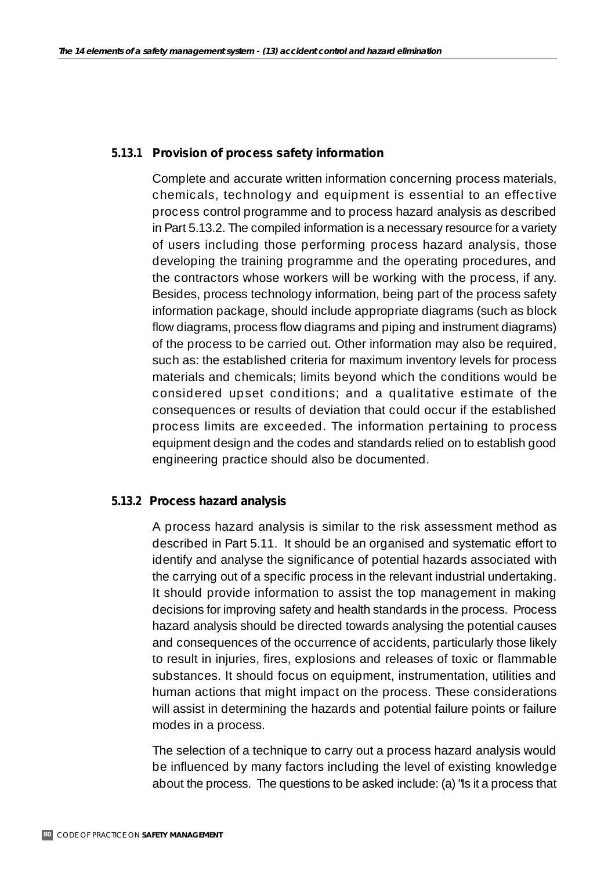#### **5.13.1 Provision of process safety information**

Complete and accurate written information concerning process materials, chemicals, technology and equipment is essential to an effective process control programme and to process hazard analysis as described in Part 5.13.2. The compiled information is a necessary resource for a variety of users including those performing process hazard analysis, those developing the training programme and the operating procedures, and the contractors whose workers will be working with the process, if any. Besides, process technology information, being part of the process safety information package, should include appropriate diagrams (such as block flow diagrams, process flow diagrams and piping and instrument diagrams) of the process to be carried out. Other information may also be required, such as: the established criteria for maximum inventory levels for process materials and chemicals; limits beyond which the conditions would be considered upset conditions; and a qualitative estimate of the consequences or results of deviation that could occur if the established process limits are exceeded. The information pertaining to process equipment design and the codes and standards relied on to establish good engineering practice should also be documented.

#### **5.13.2 Process hazard analysis**

A process hazard analysis is similar to the risk assessment method as described in Part 5.11. It should be an organised and systematic effort to identify and analyse the significance of potential hazards associated with the carrying out of a specific process in the relevant industrial undertaking. It should provide information to assist the top management in making decisions for improving safety and health standards in the process. Process hazard analysis should be directed towards analysing the potential causes and consequences of the occurrence of accidents, particularly those likely to result in injuries, fires, explosions and releases of toxic or flammable substances. It should focus on equipment, instrumentation, utilities and human actions that might impact on the process. These considerations will assist in determining the hazards and potential failure points or failure modes in a process.

The selection of a technique to carry out a process hazard analysis would be influenced by many factors including the level of existing knowledge about the process. The questions to be asked include: (a) "Is it a process that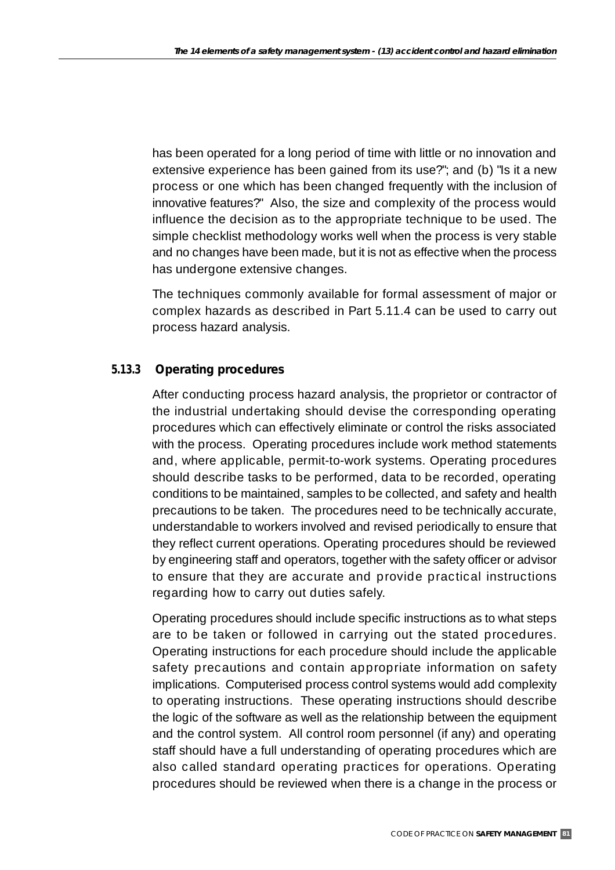has been operated for a long period of time with little or no innovation and extensive experience has been gained from its use?"; and (b) "Is it a new process or one which has been changed frequently with the inclusion of innovative features?" Also, the size and complexity of the process would influence the decision as to the appropriate technique to be used. The simple checklist methodology works well when the process is very stable and no changes have been made, but it is not as effective when the process has undergone extensive changes.

The techniques commonly available for formal assessment of major or complex hazards as described in Part 5.11.4 can be used to carry out process hazard analysis.

## **5.13.3 Operating procedures**

After conducting process hazard analysis, the proprietor or contractor of the industrial undertaking should devise the corresponding operating procedures which can effectively eliminate or control the risks associated with the process. Operating procedures include work method statements and, where applicable, permit-to-work systems. Operating procedures should describe tasks to be performed, data to be recorded, operating conditions to be maintained, samples to be collected, and safety and health precautions to be taken. The procedures need to be technically accurate, understandable to workers involved and revised periodically to ensure that they reflect current operations. Operating procedures should be reviewed by engineering staff and operators, together with the safety officer or advisor to ensure that they are accurate and provide practical instructions regarding how to carry out duties safely.

Operating procedures should include specific instructions as to what steps are to be taken or followed in carrying out the stated procedures. Operating instructions for each procedure should include the applicable safety precautions and contain appropriate information on safety implications. Computerised process control systems would add complexity to operating instructions. These operating instructions should describe the logic of the software as well as the relationship between the equipment and the control system. All control room personnel (if any) and operating staff should have a full understanding of operating procedures which are also called standard operating practices for operations. Operating procedures should be reviewed when there is a change in the process or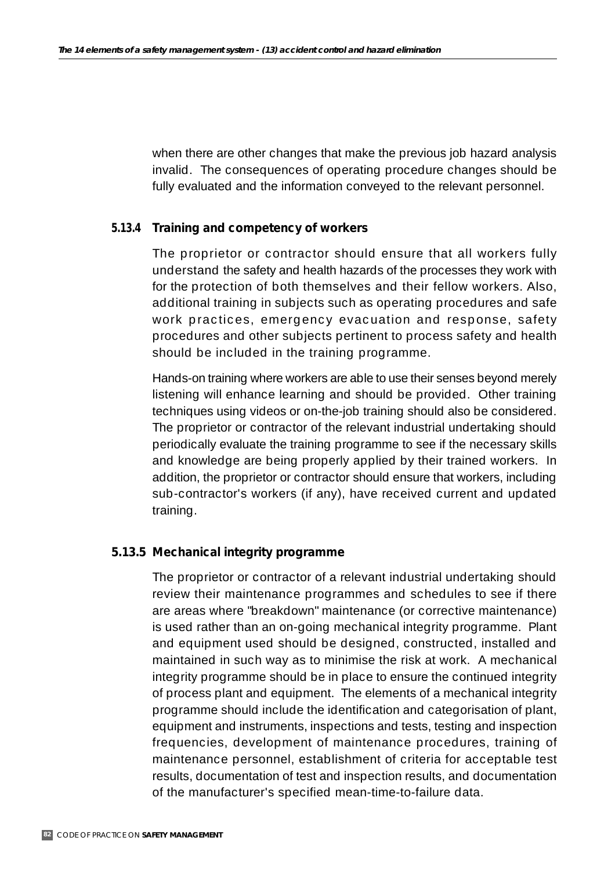when there are other changes that make the previous job hazard analysis invalid. The consequences of operating procedure changes should be fully evaluated and the information conveyed to the relevant personnel.

## **5.13.4 Training and competency of workers**

The proprietor or contractor should ensure that all workers fully understand the safety and health hazards of the processes they work with for the protection of both themselves and their fellow workers. Also, additional training in subjects such as operating procedures and safe work practices, emergency evacuation and response, safety procedures and other subjects pertinent to process safety and health should be included in the training programme.

Hands-on training where workers are able to use their senses beyond merely listening will enhance learning and should be provided. Other training techniques using videos or on-the-job training should also be considered. The proprietor or contractor of the relevant industrial undertaking should periodically evaluate the training programme to see if the necessary skills and knowledge are being properly applied by their trained workers. In addition, the proprietor or contractor should ensure that workers, including sub-contractor's workers (if any), have received current and updated training.

## **5.13.5 Mechanical integrity programme**

The proprietor or contractor of a relevant industrial undertaking should review their maintenance programmes and schedules to see if there are areas where "breakdown" maintenance (or corrective maintenance) is used rather than an on-going mechanical integrity programme. Plant and equipment used should be designed, constructed, installed and maintained in such way as to minimise the risk at work. A mechanical integrity programme should be in place to ensure the continued integrity of process plant and equipment. The elements of a mechanical integrity programme should include the identification and categorisation of plant, equipment and instruments, inspections and tests, testing and inspection frequencies, development of maintenance procedures, training of maintenance personnel, establishment of criteria for acceptable test results, documentation of test and inspection results, and documentation of the manufacturer's specified mean-time-to-failure data.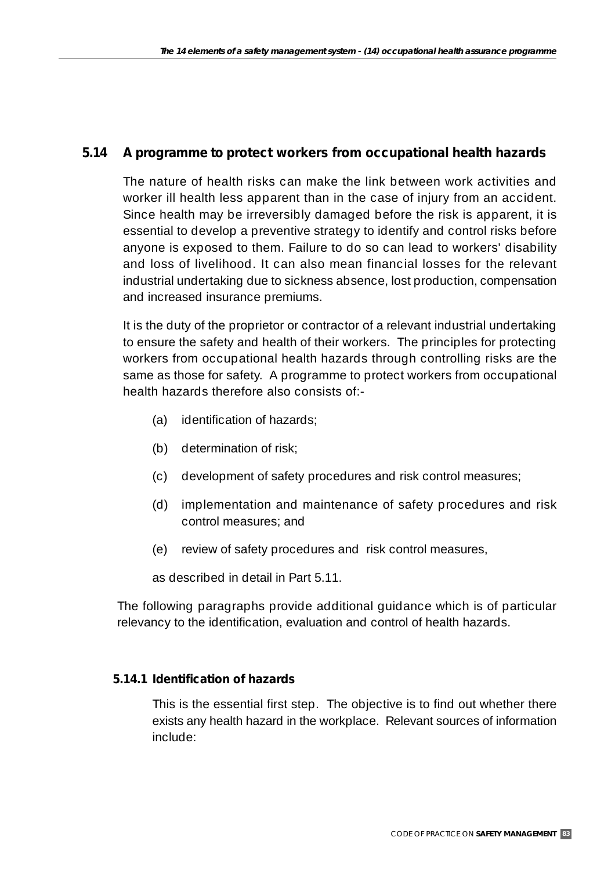## **5.14 A programme to protect workers from occupational health hazards**

The nature of health risks can make the link between work activities and worker ill health less apparent than in the case of injury from an accident. Since health may be irreversibly damaged before the risk is apparent, it is essential to develop a preventive strategy to identify and control risks before anyone is exposed to them. Failure to do so can lead to workers' disability and loss of livelihood. It can also mean financial losses for the relevant industrial undertaking due to sickness absence, lost production, compensation and increased insurance premiums.

It is the duty of the proprietor or contractor of a relevant industrial undertaking to ensure the safety and health of their workers. The principles for protecting workers from occupational health hazards through controlling risks are the same as those for safety. A programme to protect workers from occupational health hazards therefore also consists of:-

- (a) identification of hazards;
- (b) determination of risk;
- (c) development of safety procedures and risk control measures;
- (d) implementation and maintenance of safety procedures and risk control measures; and
- (e) review of safety procedures and risk control measures,

as described in detail in Part 5.11.

The following paragraphs provide additional guidance which is of particular relevancy to the identification, evaluation and control of health hazards.

## **5.14.1 Identification of hazards**

This is the essential first step. The objective is to find out whether there exists any health hazard in the workplace. Relevant sources of information include: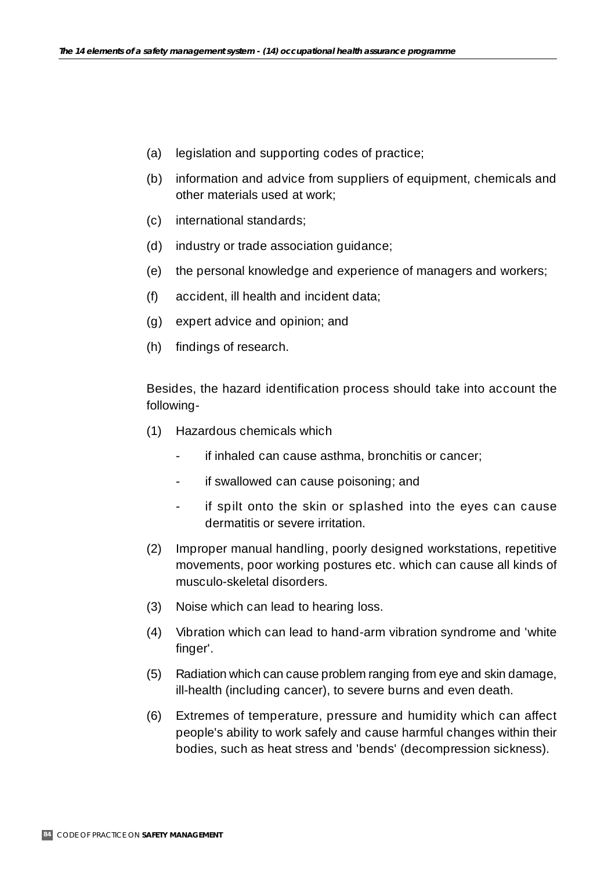- (a) legislation and supporting codes of practice;
- (b) information and advice from suppliers of equipment, chemicals and other materials used at work;
- (c) international standards;
- (d) industry or trade association guidance;
- (e) the personal knowledge and experience of managers and workers;
- (f) accident, ill health and incident data;
- (g) expert advice and opinion; and
- (h) findings of research.

Besides, the hazard identification process should take into account the following-

- (1) Hazardous chemicals which
	- if inhaled can cause asthma, bronchitis or cancer;
	- if swallowed can cause poisoning; and
	- if spilt onto the skin or splashed into the eyes can cause dermatitis or severe irritation.
- (2) Improper manual handling, poorly designed workstations, repetitive movements, poor working postures etc. which can cause all kinds of musculo-skeletal disorders.
- (3) Noise which can lead to hearing loss.
- (4) Vibration which can lead to hand-arm vibration syndrome and 'white finger'.
- (5) Radiation which can cause problem ranging from eye and skin damage, ill-health (including cancer), to severe burns and even death.
- (6) Extremes of temperature, pressure and humidity which can affect people's ability to work safely and cause harmful changes within their bodies, such as heat stress and 'bends' (decompression sickness).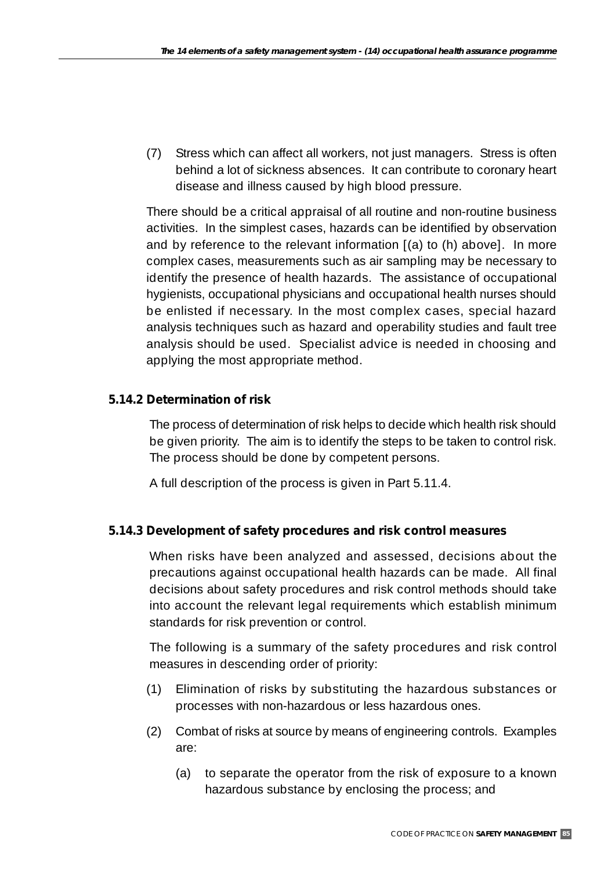(7) Stress which can affect all workers, not just managers. Stress is often behind a lot of sickness absences. It can contribute to coronary heart disease and illness caused by high blood pressure.

There should be a critical appraisal of all routine and non-routine business activities. In the simplest cases, hazards can be identified by observation and by reference to the relevant information [(a) to (h) above]. In more complex cases, measurements such as air sampling may be necessary to identify the presence of health hazards. The assistance of occupational hygienists, occupational physicians and occupational health nurses should be enlisted if necessary. In the most complex cases, special hazard analysis techniques such as hazard and operability studies and fault tree analysis should be used. Specialist advice is needed in choosing and applying the most appropriate method.

# **5.14.2 Determination of risk**

The process of determination of risk helps to decide which health risk should be given priority. The aim is to identify the steps to be taken to control risk. The process should be done by competent persons.

A full description of the process is given in Part 5.11.4.

## **5.14.3 Development of safety procedures and risk control measures**

When risks have been analyzed and assessed, decisions about the precautions against occupational health hazards can be made. All final decisions about safety procedures and risk control methods should take into account the relevant legal requirements which establish minimum standards for risk prevention or control.

The following is a summary of the safety procedures and risk control measures in descending order of priority:

- (1) Elimination of risks by substituting the hazardous substances or processes with non-hazardous or less hazardous ones.
- (2) Combat of risks at source by means of engineering controls. Examples are:
	- (a) to separate the operator from the risk of exposure to a known hazardous substance by enclosing the process; and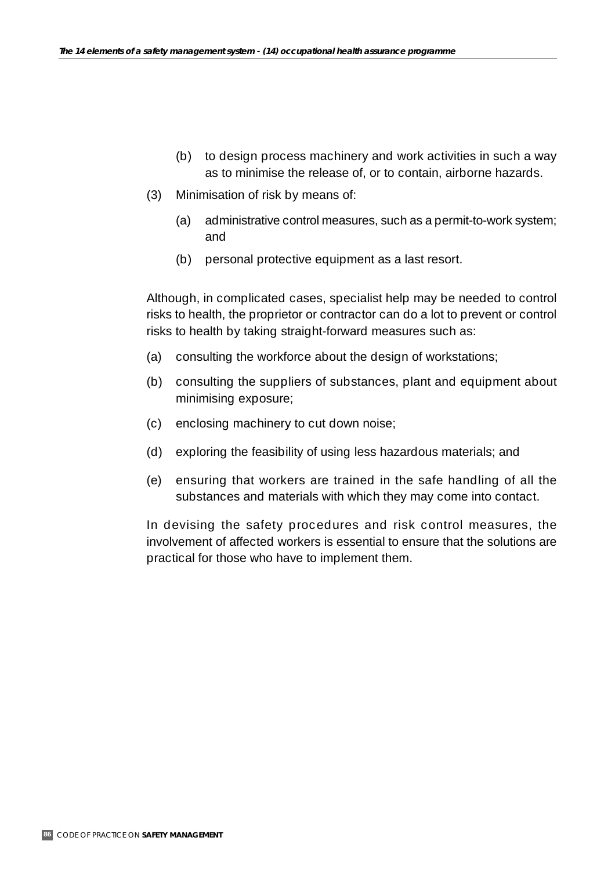- (b) to design process machinery and work activities in such a way as to minimise the release of, or to contain, airborne hazards.
- (3) Minimisation of risk by means of:
	- (a) administrative control measures, such as a permit-to-work system; and
	- (b) personal protective equipment as a last resort.

Although, in complicated cases, specialist help may be needed to control risks to health, the proprietor or contractor can do a lot to prevent or control risks to health by taking straight-forward measures such as:

- (a) consulting the workforce about the design of workstations;
- (b) consulting the suppliers of substances, plant and equipment about minimising exposure;
- (c) enclosing machinery to cut down noise;
- (d) exploring the feasibility of using less hazardous materials; and
- (e) ensuring that workers are trained in the safe handling of all the substances and materials with which they may come into contact.

In devising the safety procedures and risk control measures, the involvement of affected workers is essential to ensure that the solutions are practical for those who have to implement them.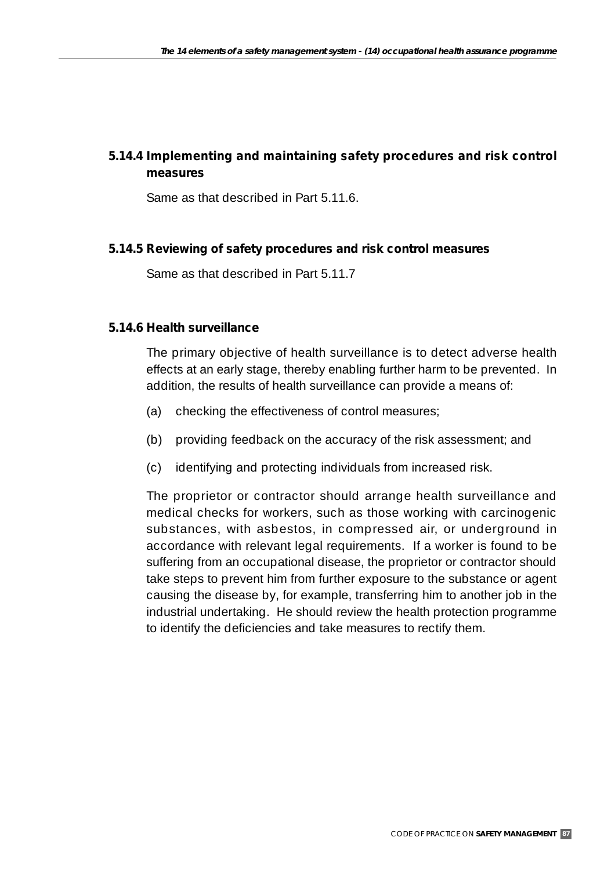# **5.14.4 Implementing and maintaining safety procedures and risk control measures**

Same as that described in Part 5.11.6.

## **5.14.5 Reviewing of safety procedures and risk control measures**

Same as that described in Part 5.11.7

#### **5.14.6 Health surveillance**

The primary objective of health surveillance is to detect adverse health effects at an early stage, thereby enabling further harm to be prevented. In addition, the results of health surveillance can provide a means of:

- (a) checking the effectiveness of control measures;
- (b) providing feedback on the accuracy of the risk assessment; and
- (c) identifying and protecting individuals from increased risk.

The proprietor or contractor should arrange health surveillance and medical checks for workers, such as those working with carcinogenic substances, with asbestos, in compressed air, or underground in accordance with relevant legal requirements. If a worker is found to be suffering from an occupational disease, the proprietor or contractor should take steps to prevent him from further exposure to the substance or agent causing the disease by, for example, transferring him to another job in the industrial undertaking. He should review the health protection programme to identify the deficiencies and take measures to rectify them.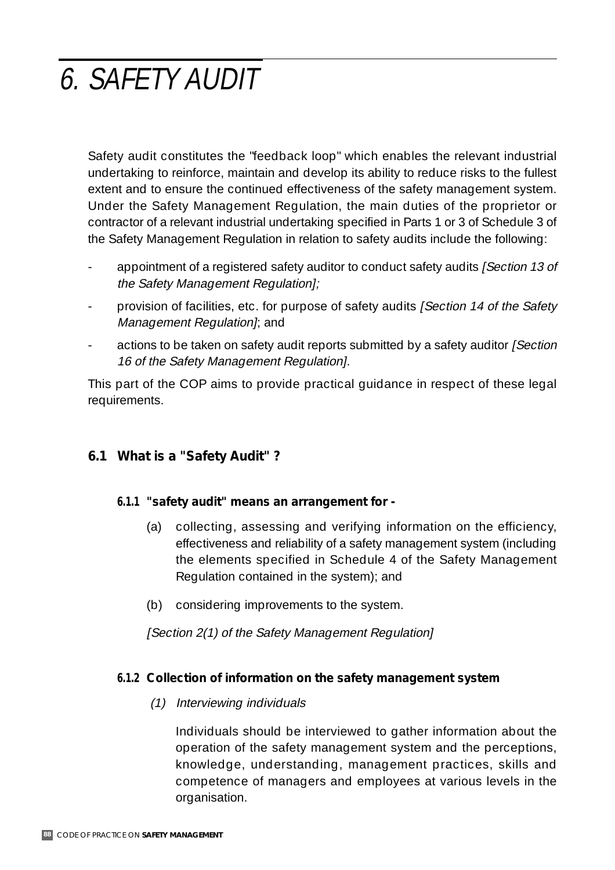# 6. SAFETY AUDIT

Safety audit constitutes the "feedback loop" which enables the relevant industrial undertaking to reinforce, maintain and develop its ability to reduce risks to the fullest extent and to ensure the continued effectiveness of the safety management system. Under the Safety Management Regulation, the main duties of the proprietor or contractor of a relevant industrial undertaking specified in Parts 1 or 3 of Schedule 3 of the Safety Management Regulation in relation to safety audits include the following:

- appointment of a registered safety auditor to conduct safety audits *[Section 13 of* the Safety Management Regulation];
- provision of facilities, etc. for purpose of safety audits [Section 14 of the Safety Management Regulation]; and
- actions to be taken on safety audit reports submitted by a safety auditor [Section] 16 of the Safety Management Regulation].

This part of the COP aims to provide practical guidance in respect of these legal requirements.

# **6.1 What is a "Safety Audit" ?**

## **6.1.1 "safety audit" means an arrangement for -**

- (a) collecting, assessing and verifying information on the efficiency, effectiveness and reliability of a safety management system (including the elements specified in Schedule 4 of the Safety Management Regulation contained in the system); and
- (b) considering improvements to the system.

[Section 2(1) of the Safety Management Regulation]

## **6.1.2 Collection of information on the safety management system**

(1) Interviewing individuals

Individuals should be interviewed to gather information about the operation of the safety management system and the perceptions, knowledge, understanding, management practices, skills and competence of managers and employees at various levels in the organisation.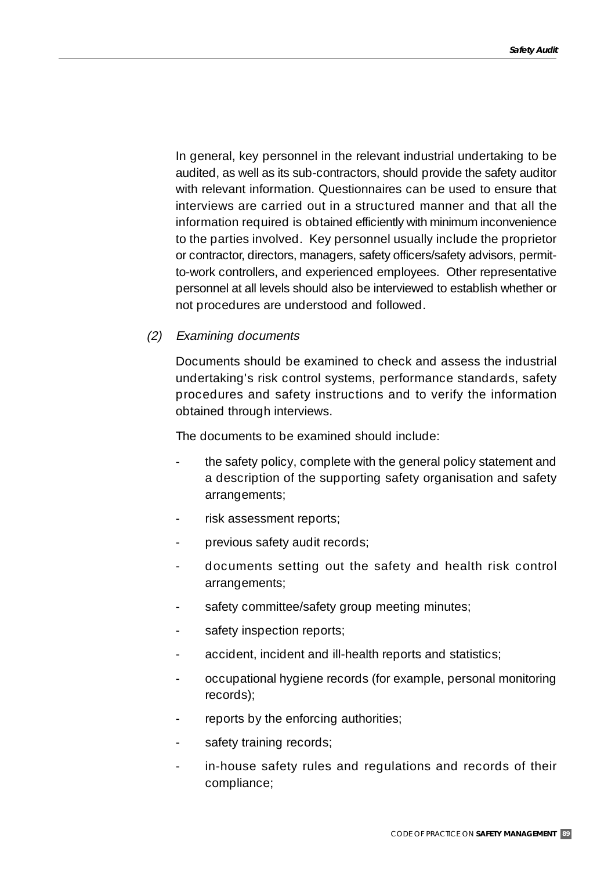In general, key personnel in the relevant industrial undertaking to be audited, as well as its sub-contractors, should provide the safety auditor with relevant information. Questionnaires can be used to ensure that interviews are carried out in a structured manner and that all the information required is obtained efficiently with minimum inconvenience to the parties involved. Key personnel usually include the proprietor or contractor, directors, managers, safety officers/safety advisors, permitto-work controllers, and experienced employees. Other representative personnel at all levels should also be interviewed to establish whether or not procedures are understood and followed.

## (2) Examining documents

Documents should be examined to check and assess the industrial undertaking's risk control systems, performance standards, safety procedures and safety instructions and to verify the information obtained through interviews.

The documents to be examined should include:

- the safety policy, complete with the general policy statement and a description of the supporting safety organisation and safety arrangements;
- risk assessment reports;
- previous safety audit records;
- documents setting out the safety and health risk control arrangements;
- safety committee/safety group meeting minutes;
- safety inspection reports;
- accident, incident and ill-health reports and statistics;
- occupational hygiene records (for example, personal monitoring records);
- reports by the enforcing authorities;
- safety training records;
- in-house safety rules and regulations and records of their compliance;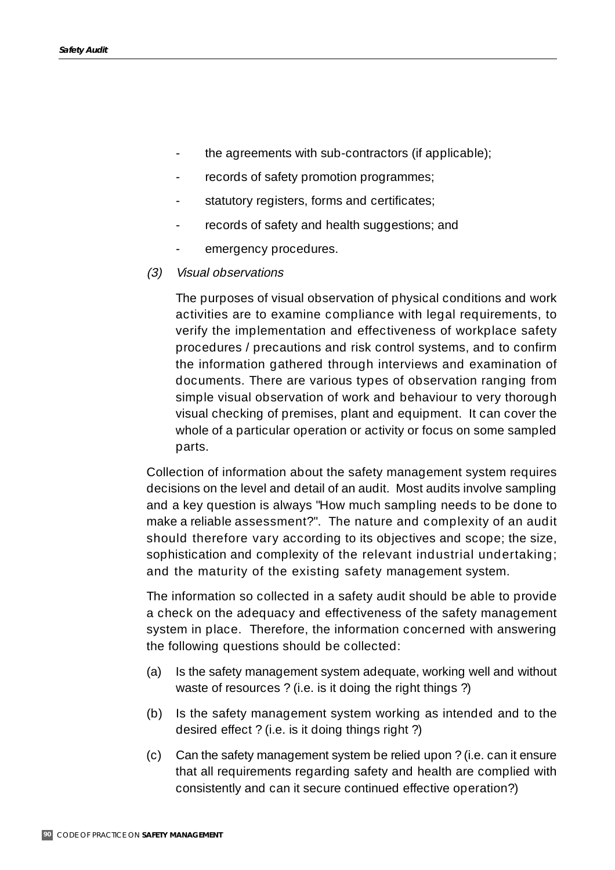- the agreements with sub-contractors (if applicable);
- records of safety promotion programmes;
- statutory registers, forms and certificates;
- records of safety and health suggestions; and
- emergency procedures.
- (3) Visual observations

The purposes of visual observation of physical conditions and work activities are to examine compliance with legal requirements, to verify the implementation and effectiveness of workplace safety procedures / precautions and risk control systems, and to confirm the information gathered through interviews and examination of documents. There are various types of observation ranging from simple visual observation of work and behaviour to very thorough visual checking of premises, plant and equipment. It can cover the whole of a particular operation or activity or focus on some sampled parts.

Collection of information about the safety management system requires decisions on the level and detail of an audit. Most audits involve sampling and a key question is always "How much sampling needs to be done to make a reliable assessment?". The nature and complexity of an audit should therefore vary according to its objectives and scope; the size, sophistication and complexity of the relevant industrial undertaking; and the maturity of the existing safety management system.

The information so collected in a safety audit should be able to provide a check on the adequacy and effectiveness of the safety management system in place. Therefore, the information concerned with answering the following questions should be collected:

- (a) Is the safety management system adequate, working well and without waste of resources ? (i.e. is it doing the right things ?)
- (b) Is the safety management system working as intended and to the desired effect ? (i.e. is it doing things right ?)
- (c) Can the safety management system be relied upon ? (i.e. can it ensure that all requirements regarding safety and health are complied with consistently and can it secure continued effective operation?)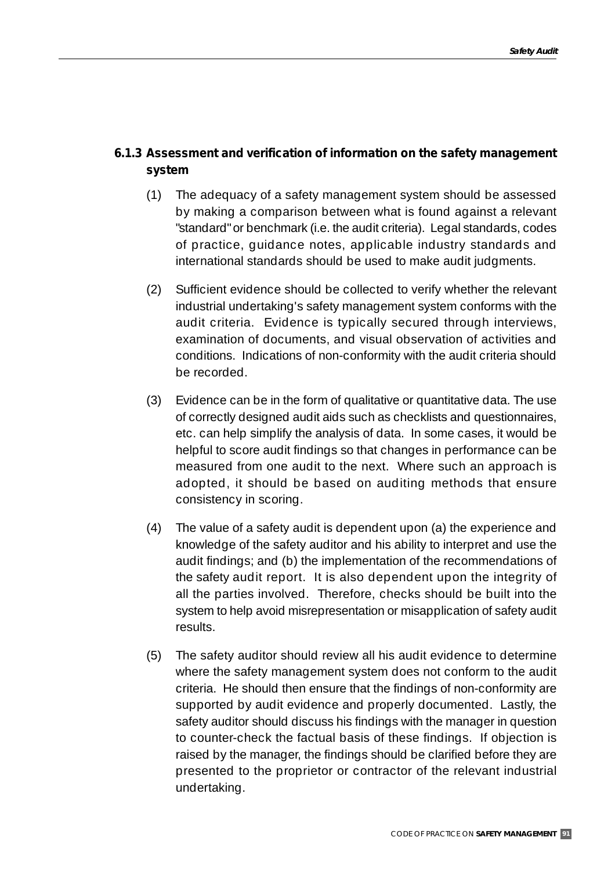## **6.1.3 Assessment and verification of information on the safety management system**

- (1) The adequacy of a safety management system should be assessed by making a comparison between what is found against a relevant "standard" or benchmark (i.e. the audit criteria). Legal standards, codes of practice, guidance notes, applicable industry standards and international standards should be used to make audit judgments.
- (2) Sufficient evidence should be collected to verify whether the relevant industrial undertaking's safety management system conforms with the audit criteria. Evidence is typically secured through interviews, examination of documents, and visual observation of activities and conditions. Indications of non-conformity with the audit criteria should be recorded.
- (3) Evidence can be in the form of qualitative or quantitative data. The use of correctly designed audit aids such as checklists and questionnaires, etc. can help simplify the analysis of data. In some cases, it would be helpful to score audit findings so that changes in performance can be measured from one audit to the next. Where such an approach is adopted, it should be based on auditing methods that ensure consistency in scoring.
- (4) The value of a safety audit is dependent upon (a) the experience and knowledge of the safety auditor and his ability to interpret and use the audit findings; and (b) the implementation of the recommendations of the safety audit report. It is also dependent upon the integrity of all the parties involved. Therefore, checks should be built into the system to help avoid misrepresentation or misapplication of safety audit results.
- (5) The safety auditor should review all his audit evidence to determine where the safety management system does not conform to the audit criteria. He should then ensure that the findings of non-conformity are supported by audit evidence and properly documented. Lastly, the safety auditor should discuss his findings with the manager in question to counter-check the factual basis of these findings. If objection is raised by the manager, the findings should be clarified before they are presented to the proprietor or contractor of the relevant industrial undertaking.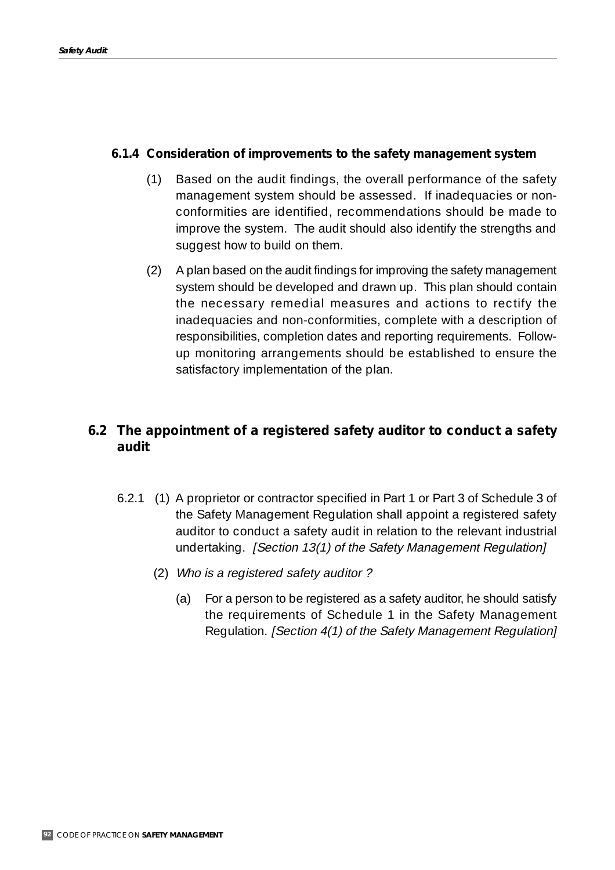## **6.1.4 Consideration of improvements to the safety management system**

- (1) Based on the audit findings, the overall performance of the safety management system should be assessed. If inadequacies or nonconformities are identified, recommendations should be made to improve the system. The audit should also identify the strengths and suggest how to build on them.
- (2) A plan based on the audit findings for improving the safety management system should be developed and drawn up. This plan should contain the necessary remedial measures and actions to rectify the inadequacies and non-conformities, complete with a description of responsibilities, completion dates and reporting requirements. Followup monitoring arrangements should be established to ensure the satisfactory implementation of the plan.

# **6.2 The appointment of a registered safety auditor to conduct a safety audit**

- 6.2.1 (1) A proprietor or contractor specified in Part 1 or Part 3 of Schedule 3 of the Safety Management Regulation shall appoint a registered safety auditor to conduct a safety audit in relation to the relevant industrial undertaking. *[Section 13(1) of the Safety Management Regulation]* 
	- (2) Who is a registered safety auditor ?
		- (a) For a person to be registered as a safety auditor, he should satisfy the requirements of Schedule 1 in the Safety Management Regulation. [Section 4(1) of the Safety Management Regulation]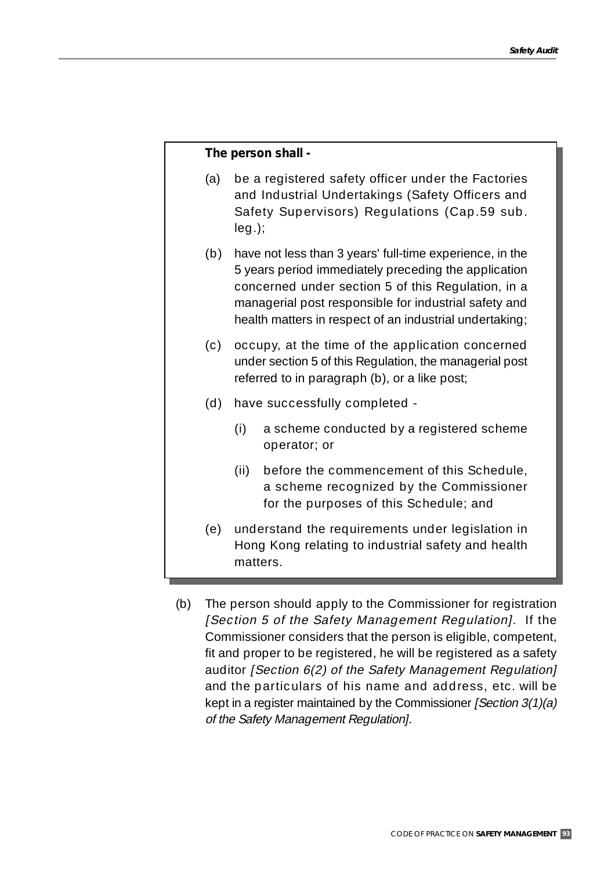#### **The person shall -**

- (a) be a registered safety officer under the Factories and Industrial Undertakings (Safety Officers and Safety Supervisors) Regulations (Cap.59 sub. leg.);
- (b) have not less than 3 years' full-time experience, in the 5 years period immediately preceding the application concerned under section 5 of this Regulation, in a managerial post responsible for industrial safety and health matters in respect of an industrial undertaking;
- (c) occupy, at the time of the application concerned under section 5 of this Regulation, the managerial post referred to in paragraph (b), or a like post;
- (d) have successfully completed
	- (i) a scheme conducted by a registered scheme operator; or
	- (ii) before the commencement of this Schedule, a scheme recognized by the Commissioner for the purposes of this Schedule; and
- (e) understand the requirements under legislation in Hong Kong relating to industrial safety and health matters.
- (b) The person should apply to the Commissioner for registration [Section 5 of the Safety Management Regulation]. If the Commissioner considers that the person is eligible, competent, fit and proper to be registered, he will be registered as a safety auditor [Section 6(2) of the Safety Management Regulation] and the particulars of his name and address, etc. will be kept in a register maintained by the Commissioner *[Section 3(1)(a)* of the Safety Management Regulation].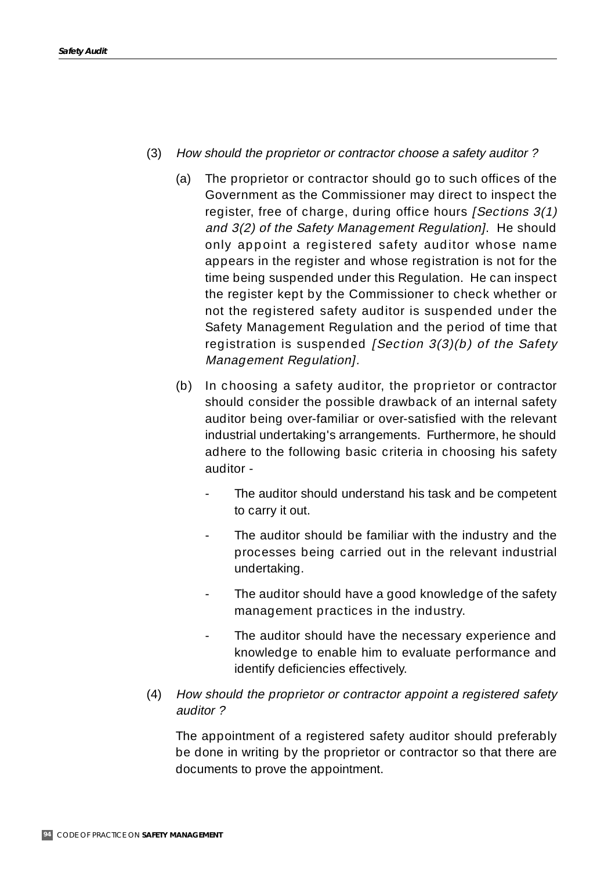- (3) How should the proprietor or contractor choose a safety auditor ?
	- (a) The proprietor or contractor should go to such offices of the Government as the Commissioner may direct to inspect the register, free of charge, during office hours *[Sections 3(1)* and 3(2) of the Safety Management Regulation]. He should only appoint a registered safety auditor whose name appears in the register and whose registration is not for the time being suspended under this Regulation. He can inspect the register kept by the Commissioner to check whether or not the registered safety auditor is suspended under the Safety Management Regulation and the period of time that registration is suspended [Section 3(3)(b) of the Safety Management Regulation].
	- (b) In choosing a safety auditor, the proprietor or contractor should consider the possible drawback of an internal safety auditor being over-familiar or over-satisfied with the relevant industrial undertaking's arrangements. Furthermore, he should adhere to the following basic criteria in choosing his safety auditor -
		- The auditor should understand his task and be competent to carry it out.
		- The auditor should be familiar with the industry and the processes being carried out in the relevant industrial undertaking.
		- The auditor should have a good knowledge of the safety management practices in the industry.
		- The auditor should have the necessary experience and knowledge to enable him to evaluate performance and identify deficiencies effectively.
- (4) How should the proprietor or contractor appoint a registered safety auditor ?

The appointment of a registered safety auditor should preferably be done in writing by the proprietor or contractor so that there are documents to prove the appointment.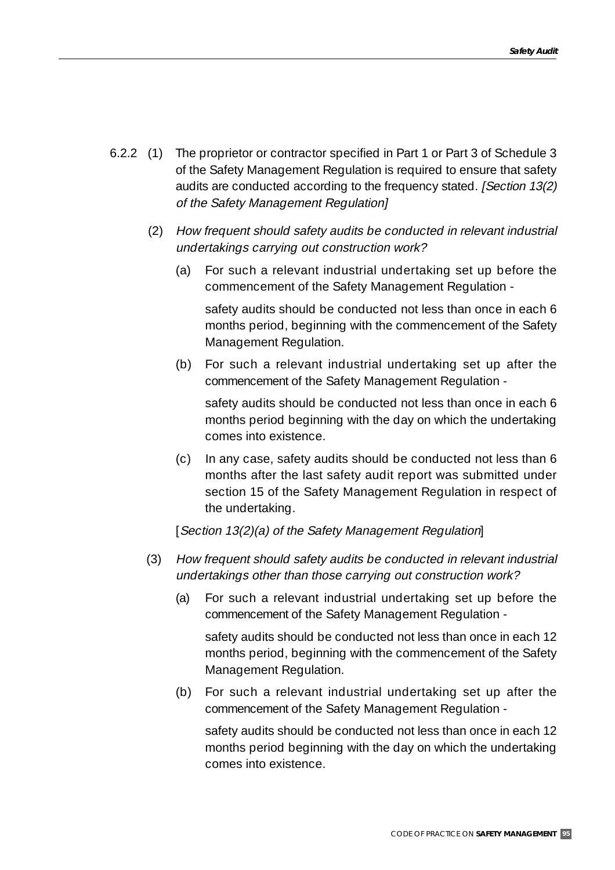- 6.2.2 (1) The proprietor or contractor specified in Part 1 or Part 3 of Schedule 3 of the Safety Management Regulation is required to ensure that safety audits are conducted according to the frequency stated. [Section 13(2) of the Safety Management Regulation]
	- (2) How frequent should safety audits be conducted in relevant industrial undertakings carrying out construction work?
		- (a) For such a relevant industrial undertaking set up before the commencement of the Safety Management Regulation -

safety audits should be conducted not less than once in each 6 months period, beginning with the commencement of the Safety Management Regulation.

(b) For such a relevant industrial undertaking set up after the commencement of the Safety Management Regulation -

safety audits should be conducted not less than once in each 6 months period beginning with the day on which the undertaking comes into existence.

(c) In any case, safety audits should be conducted not less than 6 months after the last safety audit report was submitted under section 15 of the Safety Management Regulation in respect of the undertaking.

[Section 13(2)(a) of the Safety Management Regulation]

- (3) How frequent should safety audits be conducted in relevant industrial undertakings other than those carrying out construction work?
	- (a) For such a relevant industrial undertaking set up before the commencement of the Safety Management Regulation -

safety audits should be conducted not less than once in each 12 months period, beginning with the commencement of the Safety Management Regulation.

(b) For such a relevant industrial undertaking set up after the commencement of the Safety Management Regulation -

safety audits should be conducted not less than once in each 12 months period beginning with the day on which the undertaking comes into existence.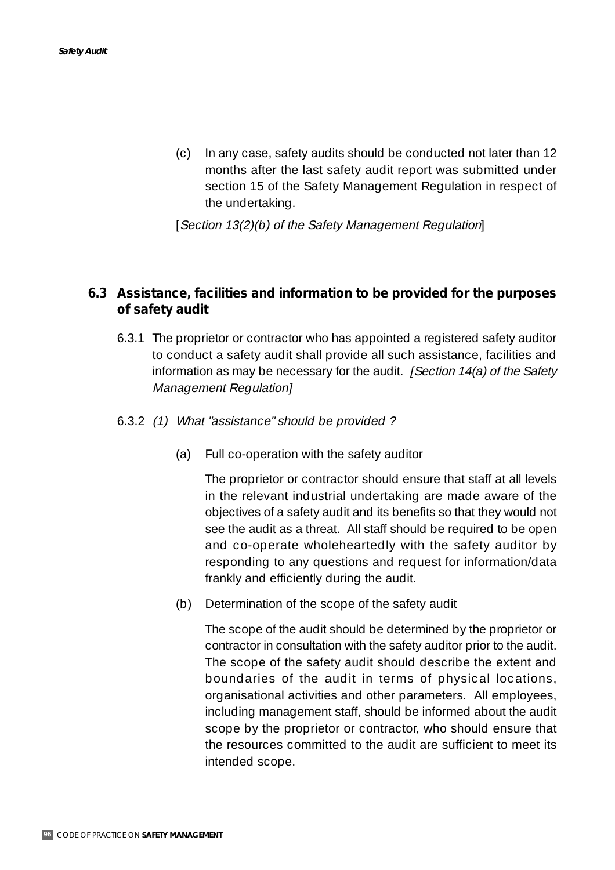(c) In any case, safety audits should be conducted not later than 12 months after the last safety audit report was submitted under section 15 of the Safety Management Regulation in respect of the undertaking.

[Section 13(2)(b) of the Safety Management Regulation]

## **6.3 Assistance, facilities and information to be provided for the purposes of safety audit**

- 6.3.1 The proprietor or contractor who has appointed a registered safety auditor to conduct a safety audit shall provide all such assistance, facilities and information as may be necessary for the audit. *[Section 14(a) of the Safety* Management Regulation]
- 6.3.2 (1) What "assistance" should be provided ?
	- (a) Full co-operation with the safety auditor

The proprietor or contractor should ensure that staff at all levels in the relevant industrial undertaking are made aware of the objectives of a safety audit and its benefits so that they would not see the audit as a threat. All staff should be required to be open and co-operate wholeheartedly with the safety auditor by responding to any questions and request for information/data frankly and efficiently during the audit.

(b) Determination of the scope of the safety audit

The scope of the audit should be determined by the proprietor or contractor in consultation with the safety auditor prior to the audit. The scope of the safety audit should describe the extent and boundaries of the audit in terms of physical locations, organisational activities and other parameters. All employees, including management staff, should be informed about the audit scope by the proprietor or contractor, who should ensure that the resources committed to the audit are sufficient to meet its intended scope.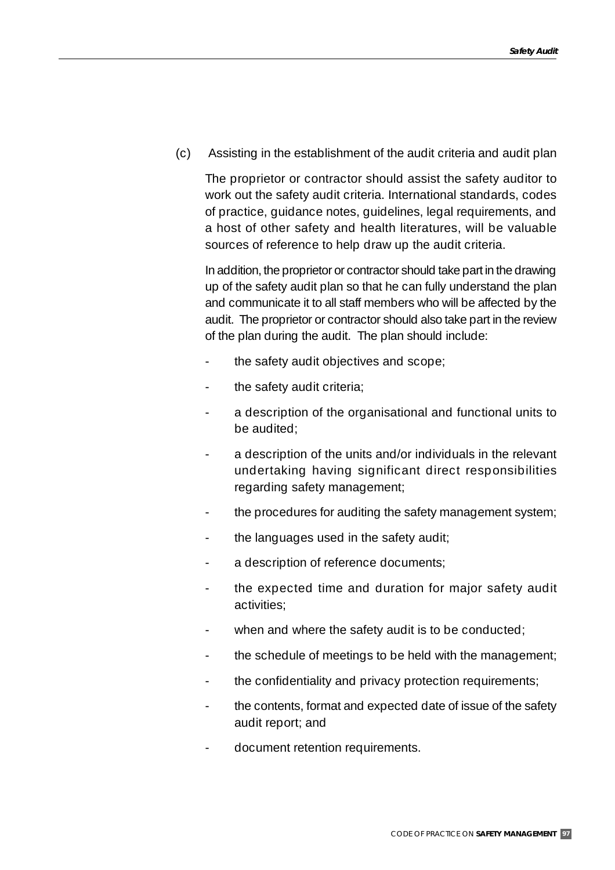(c) Assisting in the establishment of the audit criteria and audit plan

The proprietor or contractor should assist the safety auditor to work out the safety audit criteria. International standards, codes of practice, guidance notes, guidelines, legal requirements, and a host of other safety and health literatures, will be valuable sources of reference to help draw up the audit criteria.

In addition, the proprietor or contractor should take part in the drawing up of the safety audit plan so that he can fully understand the plan and communicate it to all staff members who will be affected by the audit. The proprietor or contractor should also take part in the review of the plan during the audit. The plan should include:

- the safety audit objectives and scope;
- the safety audit criteria;
- a description of the organisational and functional units to be audited;
- a description of the units and/or individuals in the relevant undertaking having significant direct responsibilities regarding safety management;
- the procedures for auditing the safety management system;
- the languages used in the safety audit;
- a description of reference documents;
- the expected time and duration for major safety audit activities;
- when and where the safety audit is to be conducted;
- the schedule of meetings to be held with the management;
- the confidentiality and privacy protection requirements;
- the contents, format and expected date of issue of the safety audit report; and
- document retention requirements.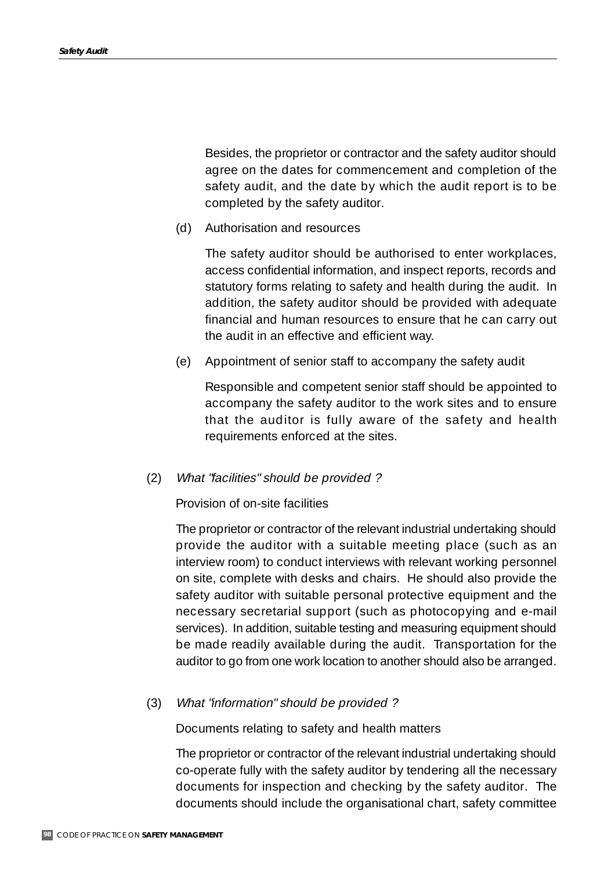Besides, the proprietor or contractor and the safety auditor should agree on the dates for commencement and completion of the safety audit, and the date by which the audit report is to be completed by the safety auditor.

(d) Authorisation and resources

The safety auditor should be authorised to enter workplaces, access confidential information, and inspect reports, records and statutory forms relating to safety and health during the audit. In addition, the safety auditor should be provided with adequate financial and human resources to ensure that he can carry out the audit in an effective and efficient way.

(e) Appointment of senior staff to accompany the safety audit

Responsible and competent senior staff should be appointed to accompany the safety auditor to the work sites and to ensure that the auditor is fully aware of the safety and health requirements enforced at the sites.

(2) What "facilities" should be provided ?

Provision of on-site facilities

The proprietor or contractor of the relevant industrial undertaking should provide the auditor with a suitable meeting place (such as an interview room) to conduct interviews with relevant working personnel on site, complete with desks and chairs. He should also provide the safety auditor with suitable personal protective equipment and the necessary secretarial support (such as photocopying and e-mail services). In addition, suitable testing and measuring equipment should be made readily available during the audit. Transportation for the auditor to go from one work location to another should also be arranged.

#### (3) What "information" should be provided ?

Documents relating to safety and health matters

The proprietor or contractor of the relevant industrial undertaking should co-operate fully with the safety auditor by tendering all the necessary documents for inspection and checking by the safety auditor. The documents should include the organisational chart, safety committee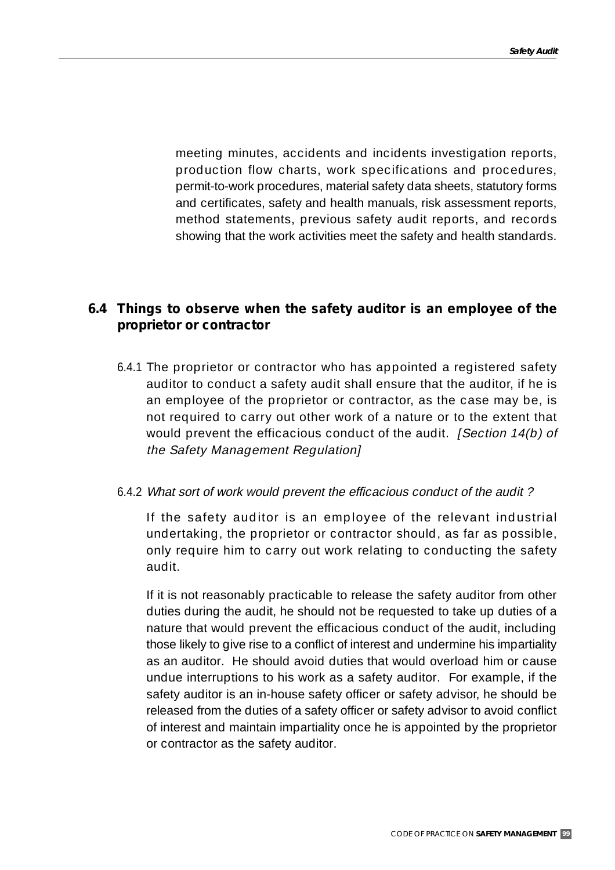meeting minutes, accidents and incidents investigation reports, production flow charts, work specifications and procedures, permit-to-work procedures, material safety data sheets, statutory forms and certificates, safety and health manuals, risk assessment reports, method statements, previous safety audit reports, and records showing that the work activities meet the safety and health standards.

## **6.4 Things to observe when the safety auditor is an employee of the proprietor or contractor**

6.4.1 The proprietor or contractor who has appointed a registered safety auditor to conduct a safety audit shall ensure that the auditor, if he is an employee of the proprietor or contractor, as the case may be, is not required to carry out other work of a nature or to the extent that would prevent the efficacious conduct of the audit. *[Section 14(b) of* the Safety Management Regulation]

## 6.4.2 What sort of work would prevent the efficacious conduct of the audit ?

If the safety auditor is an employee of the relevant industrial undertaking, the proprietor or contractor should, as far as possible, only require him to carry out work relating to conducting the safety audit.

If it is not reasonably practicable to release the safety auditor from other duties during the audit, he should not be requested to take up duties of a nature that would prevent the efficacious conduct of the audit, including those likely to give rise to a conflict of interest and undermine his impartiality as an auditor. He should avoid duties that would overload him or cause undue interruptions to his work as a safety auditor. For example, if the safety auditor is an in-house safety officer or safety advisor, he should be released from the duties of a safety officer or safety advisor to avoid conflict of interest and maintain impartiality once he is appointed by the proprietor or contractor as the safety auditor.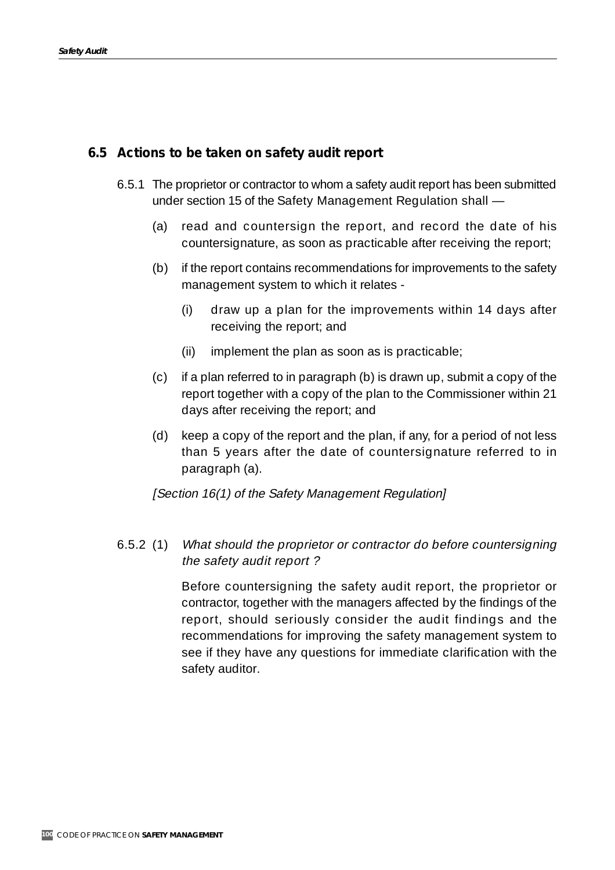## **6.5 Actions to be taken on safety audit report**

- 6.5.1 The proprietor or contractor to whom a safety audit report has been submitted under section 15 of the Safety Management Regulation shall —
	- (a) read and countersign the report, and record the date of his countersignature, as soon as practicable after receiving the report;
	- (b) if the report contains recommendations for improvements to the safety management system to which it relates -
		- (i) draw up a plan for the improvements within 14 days after receiving the report; and
		- (ii) implement the plan as soon as is practicable;
	- (c) if a plan referred to in paragraph (b) is drawn up, submit a copy of the report together with a copy of the plan to the Commissioner within 21 days after receiving the report; and
	- (d) keep a copy of the report and the plan, if any, for a period of not less than 5 years after the date of countersignature referred to in paragraph (a).

[Section 16(1) of the Safety Management Regulation]

6.5.2 (1) What should the proprietor or contractor do before countersigning the safety audit report ?

> Before countersigning the safety audit report, the proprietor or contractor, together with the managers affected by the findings of the report, should seriously consider the audit findings and the recommendations for improving the safety management system to see if they have any questions for immediate clarification with the safety auditor.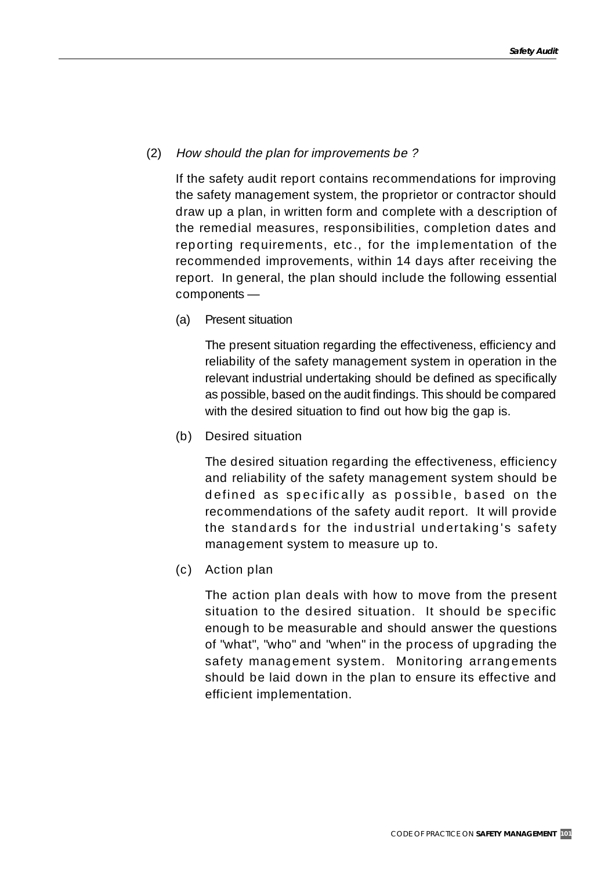## (2) How should the plan for improvements be ?

If the safety audit report contains recommendations for improving the safety management system, the proprietor or contractor should draw up a plan, in written form and complete with a description of the remedial measures, responsibilities, completion dates and reporting requirements, etc., for the implementation of the recommended improvements, within 14 days after receiving the report. In general, the plan should include the following essential components —

(a) Present situation

The present situation regarding the effectiveness, efficiency and reliability of the safety management system in operation in the relevant industrial undertaking should be defined as specifically as possible, based on the audit findings. This should be compared with the desired situation to find out how big the gap is.

(b) Desired situation

The desired situation regarding the effectiveness, efficiency and reliability of the safety management system should be defined as specifically as possible, based on the recommendations of the safety audit report. It will provide the standards for the industrial undertaking's safety management system to measure up to.

(c) Action plan

The action plan deals with how to move from the present situation to the desired situation. It should be specific enough to be measurable and should answer the questions of "what", "who" and "when" in the process of upgrading the safety management system. Monitoring arrangements should be laid down in the plan to ensure its effective and efficient implementation.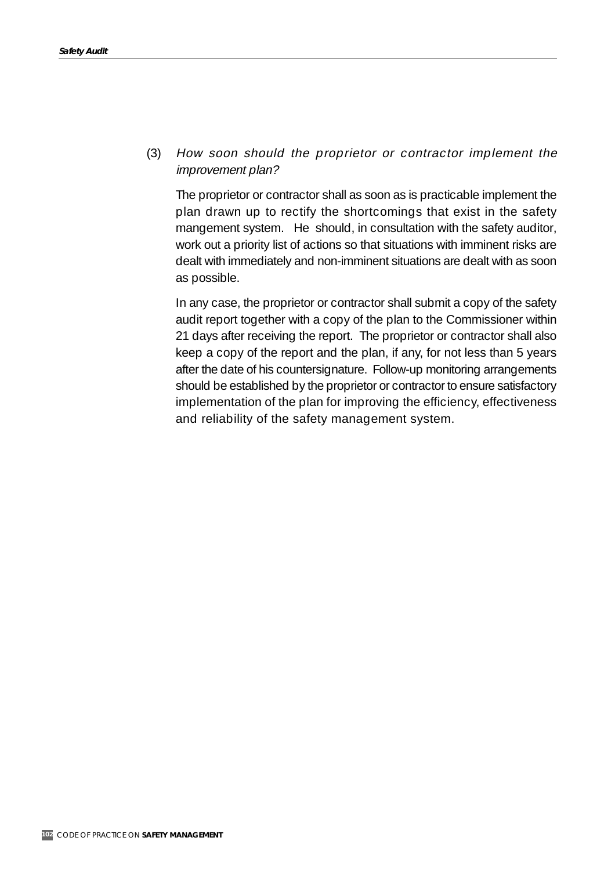(3) How soon should the proprietor or contractor implement the improvement plan?

The proprietor or contractor shall as soon as is practicable implement the plan drawn up to rectify the shortcomings that exist in the safety mangement system. He should, in consultation with the safety auditor, work out a priority list of actions so that situations with imminent risks are dealt with immediately and non-imminent situations are dealt with as soon as possible.

In any case, the proprietor or contractor shall submit a copy of the safety audit report together with a copy of the plan to the Commissioner within 21 days after receiving the report. The proprietor or contractor shall also keep a copy of the report and the plan, if any, for not less than 5 years after the date of his countersignature. Follow-up monitoring arrangements should be established by the proprietor or contractor to ensure satisfactory implementation of the plan for improving the efficiency, effectiveness and reliability of the safety management system.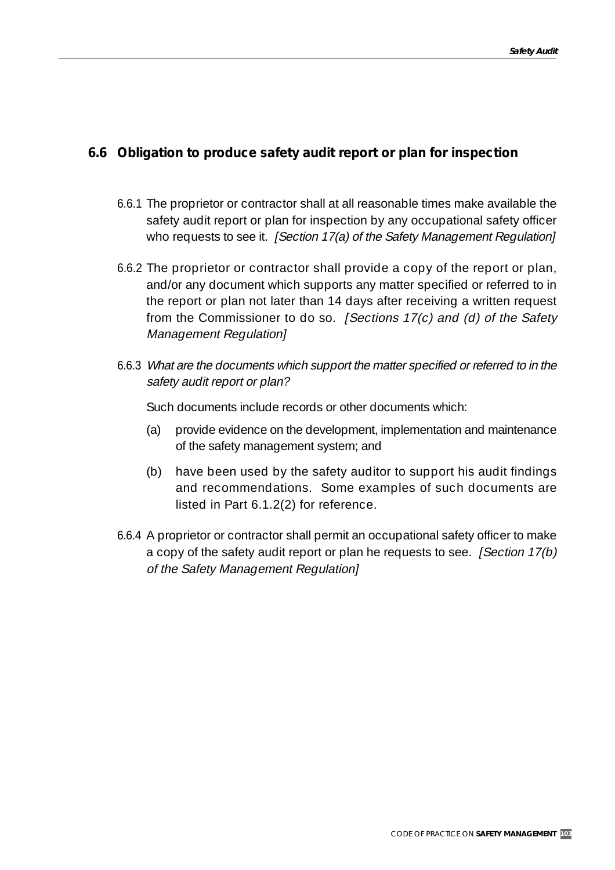## **6.6 Obligation to produce safety audit report or plan for inspection**

- 6.6.1 The proprietor or contractor shall at all reasonable times make available the safety audit report or plan for inspection by any occupational safety officer who requests to see it. [Section 17(a) of the Safety Management Regulation]
- 6.6.2 The proprietor or contractor shall provide a copy of the report or plan, and/or any document which supports any matter specified or referred to in the report or plan not later than 14 days after receiving a written request from the Commissioner to do so. [Sections  $17(c)$  and (d) of the Safety Management Regulation]
- 6.6.3 What are the documents which support the matter specified or referred to in the safety audit report or plan?

Such documents include records or other documents which:

- (a) provide evidence on the development, implementation and maintenance of the safety management system; and
- (b) have been used by the safety auditor to support his audit findings and recommendations. Some examples of such documents are listed in Part 6.1.2(2) for reference.
- 6.6.4 A proprietor or contractor shall permit an occupational safety officer to make a copy of the safety audit report or plan he requests to see. [Section 17(b) of the Safety Management Regulation]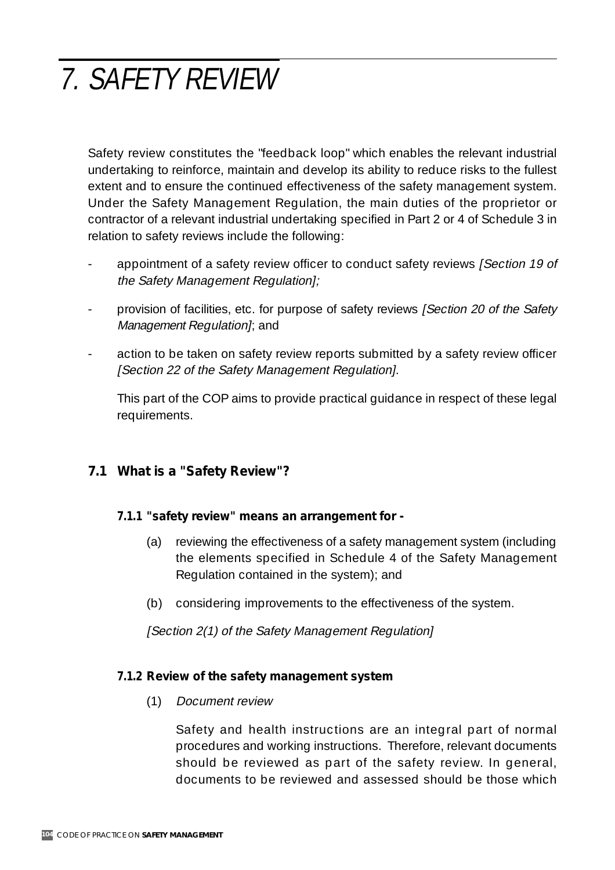# 7. SAFETY REVIEW

Safety review constitutes the "feedback loop" which enables the relevant industrial undertaking to reinforce, maintain and develop its ability to reduce risks to the fullest extent and to ensure the continued effectiveness of the safety management system. Under the Safety Management Regulation, the main duties of the proprietor or contractor of a relevant industrial undertaking specified in Part 2 or 4 of Schedule 3 in relation to safety reviews include the following:

- appointment of a safety review officer to conduct safety reviews [Section 19 of the Safety Management Regulation];
- provision of facilities, etc. for purpose of safety reviews [Section 20 of the Safety Management Regulation]; and
- action to be taken on safety review reports submitted by a safety review officer [Section 22 of the Safety Management Regulation].

This part of the COP aims to provide practical guidance in respect of these legal requirements.

# **7.1 What is a "Safety Review"?**

## **7.1.1 "safety review" means an arrangement for -**

- (a) reviewing the effectiveness of a safety management system (including the elements specified in Schedule 4 of the Safety Management Regulation contained in the system); and
- (b) considering improvements to the effectiveness of the system.

[Section 2(1) of the Safety Management Regulation]

## **7.1.2 Review of the safety management system**

(1) Document review

Safety and health instructions are an integral part of normal procedures and working instructions. Therefore, relevant documents should be reviewed as part of the safety review. In general, documents to be reviewed and assessed should be those which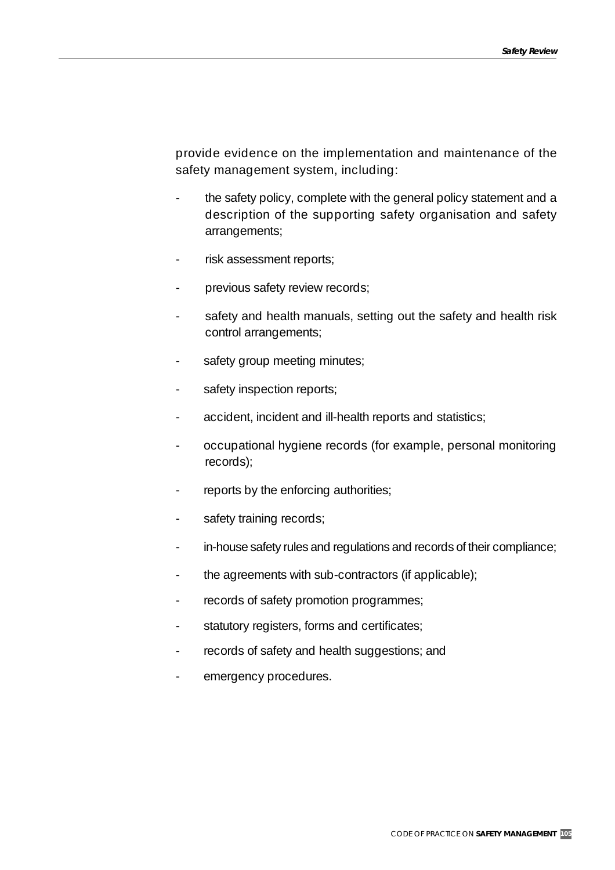provide evidence on the implementation and maintenance of the safety management system, including:

- the safety policy, complete with the general policy statement and a description of the supporting safety organisation and safety arrangements;
- risk assessment reports;
- previous safety review records;
- safety and health manuals, setting out the safety and health risk control arrangements;
- safety group meeting minutes;
- safety inspection reports;
- accident, incident and ill-health reports and statistics;
- occupational hygiene records (for example, personal monitoring records);
- reports by the enforcing authorities;
- safety training records;
- in-house safety rules and regulations and records of their compliance;
- the agreements with sub-contractors (if applicable);
- records of safety promotion programmes;
- statutory registers, forms and certificates;
- records of safety and health suggestions; and
- emergency procedures.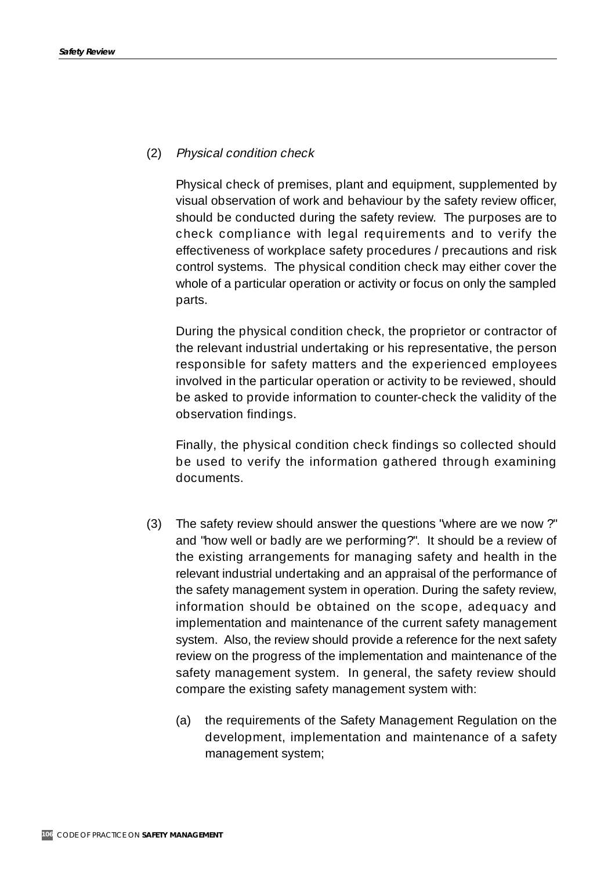## (2) Physical condition check

Physical check of premises, plant and equipment, supplemented by visual observation of work and behaviour by the safety review officer, should be conducted during the safety review. The purposes are to check compliance with legal requirements and to verify the effectiveness of workplace safety procedures / precautions and risk control systems. The physical condition check may either cover the whole of a particular operation or activity or focus on only the sampled parts.

During the physical condition check, the proprietor or contractor of the relevant industrial undertaking or his representative, the person responsible for safety matters and the experienced employees involved in the particular operation or activity to be reviewed, should be asked to provide information to counter-check the validity of the observation findings.

Finally, the physical condition check findings so collected should be used to verify the information gathered through examining documents.

- (3) The safety review should answer the questions "where are we now ?" and "how well or badly are we performing?". It should be a review of the existing arrangements for managing safety and health in the relevant industrial undertaking and an appraisal of the performance of the safety management system in operation. During the safety review, information should be obtained on the scope, adequacy and implementation and maintenance of the current safety management system. Also, the review should provide a reference for the next safety review on the progress of the implementation and maintenance of the safety management system. In general, the safety review should compare the existing safety management system with:
	- (a) the requirements of the Safety Management Regulation on the development, implementation and maintenance of a safety management system;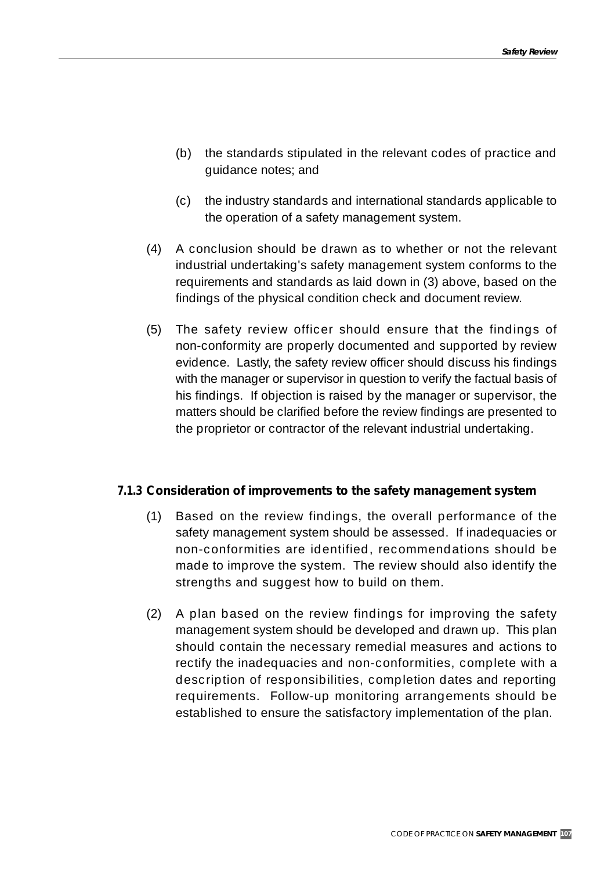- (b) the standards stipulated in the relevant codes of practice and guidance notes; and
- (c) the industry standards and international standards applicable to the operation of a safety management system.
- (4) A conclusion should be drawn as to whether or not the relevant industrial undertaking's safety management system conforms to the requirements and standards as laid down in (3) above, based on the findings of the physical condition check and document review.
- (5) The safety review officer should ensure that the findings of non-conformity are properly documented and supported by review evidence. Lastly, the safety review officer should discuss his findings with the manager or supervisor in question to verify the factual basis of his findings. If objection is raised by the manager or supervisor, the matters should be clarified before the review findings are presented to the proprietor or contractor of the relevant industrial undertaking.

## **7.1.3 Consideration of improvements to the safety management system**

- (1) Based on the review findings, the overall performance of the safety management system should be assessed. If inadequacies or non-conformities are identified, recommendations should be made to improve the system. The review should also identify the strengths and suggest how to build on them.
- (2) A plan based on the review findings for improving the safety management system should be developed and drawn up. This plan should contain the necessary remedial measures and actions to rectify the inadequacies and non-conformities, complete with a description of responsibilities, completion dates and reporting requirements. Follow-up monitoring arrangements should be established to ensure the satisfactory implementation of the plan.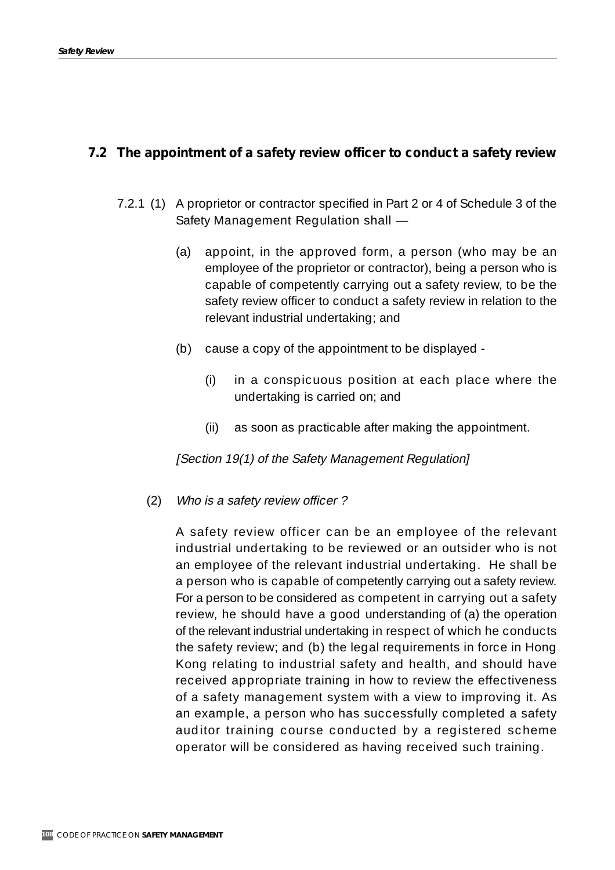#### **7.2 The appointment of a safety review officer to conduct a safety review**

- 7.2.1 (1) A proprietor or contractor specified in Part 2 or 4 of Schedule 3 of the Safety Management Regulation shall —
	- (a) appoint, in the approved form, a person (who may be an employee of the proprietor or contractor), being a person who is capable of competently carrying out a safety review, to be the safety review officer to conduct a safety review in relation to the relevant industrial undertaking; and
	- (b) cause a copy of the appointment to be displayed
		- (i) in a conspicuous position at each place where the undertaking is carried on; and
		- (ii) as soon as practicable after making the appointment.

[Section 19(1) of the Safety Management Regulation]

(2) Who is a safety review officer ?

A safety review officer can be an employee of the relevant industrial undertaking to be reviewed or an outsider who is not an employee of the relevant industrial undertaking. He shall be a person who is capable of competently carrying out a safety review. For a person to be considered as competent in carrying out a safety review, he should have a good understanding of (a) the operation of the relevant industrial undertaking in respect of which he conducts the safety review; and (b) the legal requirements in force in Hong Kong relating to industrial safety and health, and should have received appropriate training in how to review the effectiveness of a safety management system with a view to improving it. As an example, a person who has successfully completed a safety auditor training course conducted by a registered scheme operator will be considered as having received such training.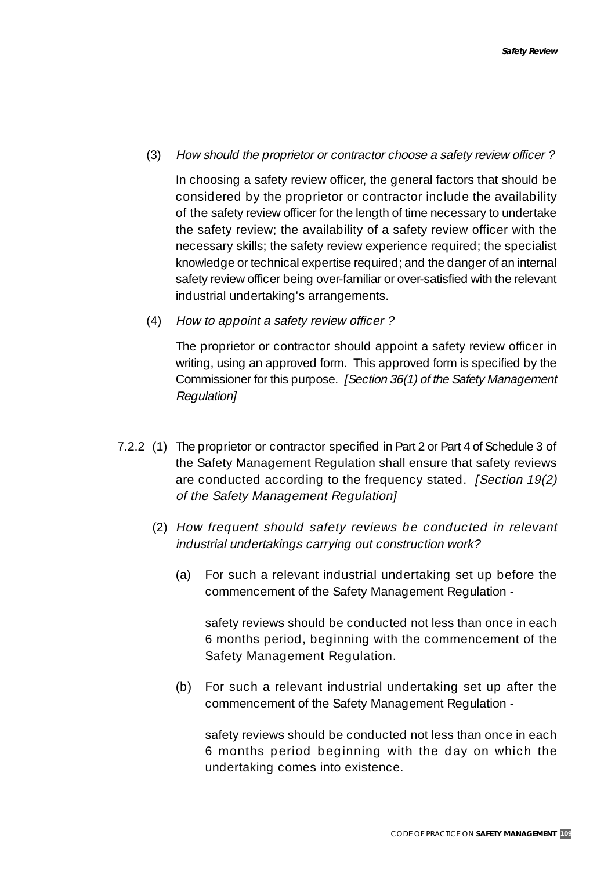(3) How should the proprietor or contractor choose a safety review officer ?

In choosing a safety review officer, the general factors that should be considered by the proprietor or contractor include the availability of the safety review officer for the length of time necessary to undertake the safety review; the availability of a safety review officer with the necessary skills; the safety review experience required; the specialist knowledge or technical expertise required; and the danger of an internal safety review officer being over-familiar or over-satisfied with the relevant industrial undertaking's arrangements.

(4) How to appoint a safety review officer ?

The proprietor or contractor should appoint a safety review officer in writing, using an approved form. This approved form is specified by the Commissioner for this purpose. [Section 36(1) of the Safety Management Regulation]

- 7.2.2 (1) The proprietor or contractor specified in Part 2 or Part 4 of Schedule 3 of the Safety Management Regulation shall ensure that safety reviews are conducted according to the frequency stated. [Section 19(2)] of the Safety Management Regulation]
	- (2) How frequent should safety reviews be conducted in relevant industrial undertakings carrying out construction work?
		- (a) For such a relevant industrial undertaking set up before the commencement of the Safety Management Regulation -

safety reviews should be conducted not less than once in each 6 months period, beginning with the commencement of the Safety Management Regulation.

(b) For such a relevant industrial undertaking set up after the commencement of the Safety Management Regulation -

safety reviews should be conducted not less than once in each 6 months period beginning with the day on which the undertaking comes into existence.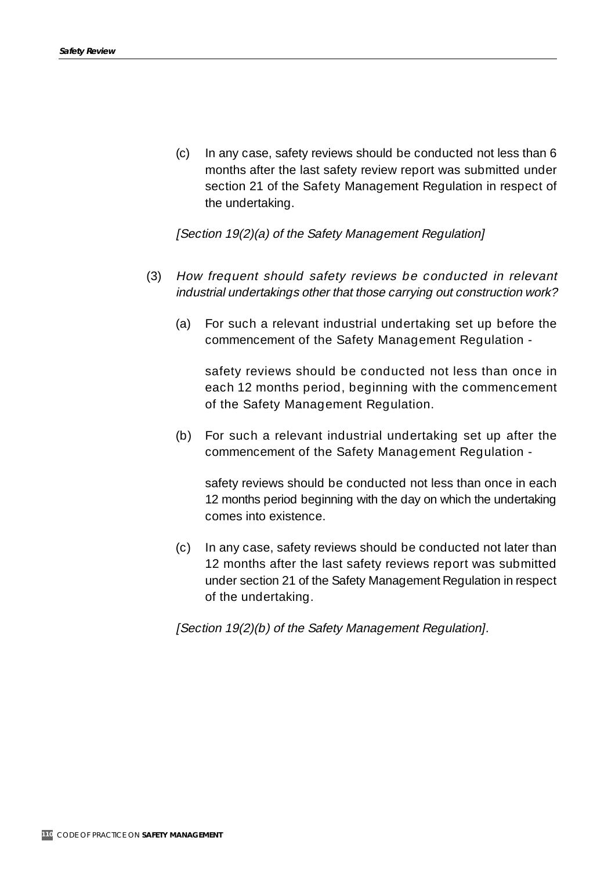(c) In any case, safety reviews should be conducted not less than 6 months after the last safety review report was submitted under section 21 of the Safety Management Regulation in respect of the undertaking.

[Section 19(2)(a) of the Safety Management Regulation]

- (3) How frequent should safety reviews be conducted in relevant industrial undertakings other that those carrying out construction work?
	- (a) For such a relevant industrial undertaking set up before the commencement of the Safety Management Regulation -

safety reviews should be conducted not less than once in each 12 months period, beginning with the commencement of the Safety Management Regulation.

(b) For such a relevant industrial undertaking set up after the commencement of the Safety Management Regulation -

safety reviews should be conducted not less than once in each 12 months period beginning with the day on which the undertaking comes into existence.

(c) In any case, safety reviews should be conducted not later than 12 months after the last safety reviews report was submitted under section 21 of the Safety Management Regulation in respect of the undertaking.

[Section 19(2)(b) of the Safety Management Regulation].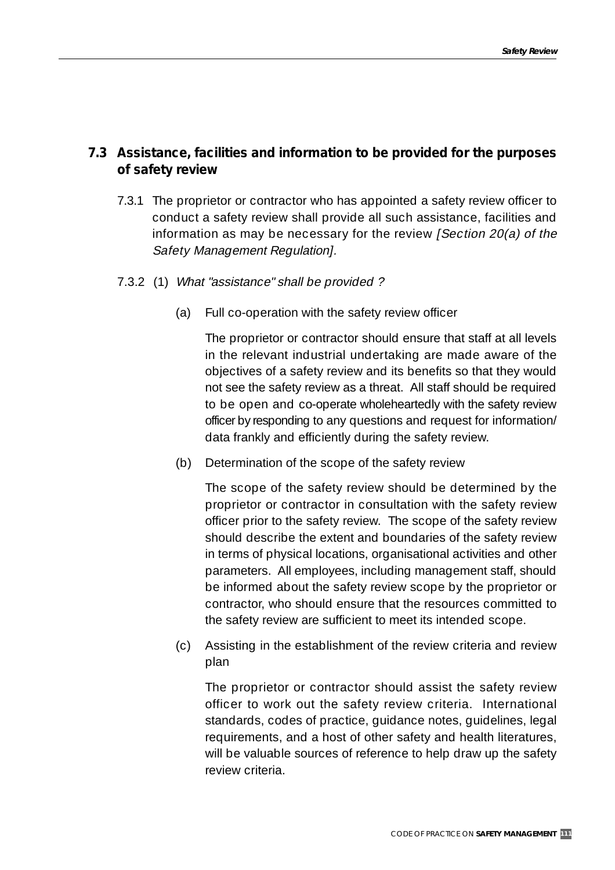## **7.3 Assistance, facilities and information to be provided for the purposes of safety review**

- 7.3.1 The proprietor or contractor who has appointed a safety review officer to conduct a safety review shall provide all such assistance, facilities and information as may be necessary for the review [Section 20(a) of the Safety Management Regulation].
- 7.3.2 (1) What "assistance" shall be provided ?
	- (a) Full co-operation with the safety review officer

The proprietor or contractor should ensure that staff at all levels in the relevant industrial undertaking are made aware of the objectives of a safety review and its benefits so that they would not see the safety review as a threat. All staff should be required to be open and co-operate wholeheartedly with the safety review officer by responding to any questions and request for information/ data frankly and efficiently during the safety review.

(b) Determination of the scope of the safety review

The scope of the safety review should be determined by the proprietor or contractor in consultation with the safety review officer prior to the safety review. The scope of the safety review should describe the extent and boundaries of the safety review in terms of physical locations, organisational activities and other parameters. All employees, including management staff, should be informed about the safety review scope by the proprietor or contractor, who should ensure that the resources committed to the safety review are sufficient to meet its intended scope.

(c) Assisting in the establishment of the review criteria and review plan

The proprietor or contractor should assist the safety review officer to work out the safety review criteria. International standards, codes of practice, guidance notes, guidelines, legal requirements, and a host of other safety and health literatures, will be valuable sources of reference to help draw up the safety review criteria.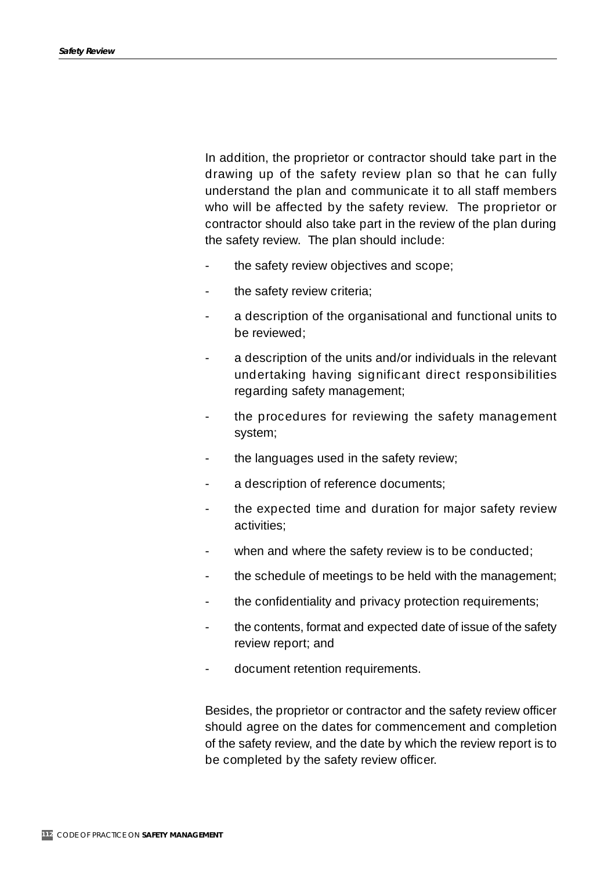In addition, the proprietor or contractor should take part in the drawing up of the safety review plan so that he can fully understand the plan and communicate it to all staff members who will be affected by the safety review. The proprietor or contractor should also take part in the review of the plan during the safety review. The plan should include:

- the safety review objectives and scope;
- the safety review criteria;
- a description of the organisational and functional units to be reviewed;
- a description of the units and/or individuals in the relevant undertaking having significant direct responsibilities regarding safety management;
- the procedures for reviewing the safety management system;
- the languages used in the safety review;
- a description of reference documents;
- the expected time and duration for major safety review activities;
- when and where the safety review is to be conducted;
- the schedule of meetings to be held with the management;
- the confidentiality and privacy protection requirements;
- the contents, format and expected date of issue of the safety review report; and
- document retention requirements.

Besides, the proprietor or contractor and the safety review officer should agree on the dates for commencement and completion of the safety review, and the date by which the review report is to be completed by the safety review officer.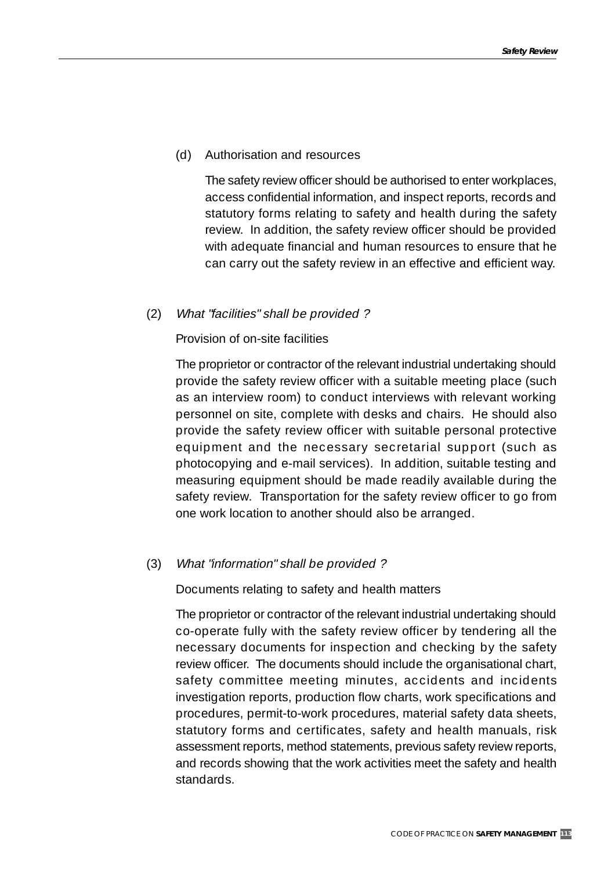#### (d) Authorisation and resources

The safety review officer should be authorised to enter workplaces, access confidential information, and inspect reports, records and statutory forms relating to safety and health during the safety review. In addition, the safety review officer should be provided with adequate financial and human resources to ensure that he can carry out the safety review in an effective and efficient way.

#### (2) What "facilities" shall be provided ?

Provision of on-site facilities

The proprietor or contractor of the relevant industrial undertaking should provide the safety review officer with a suitable meeting place (such as an interview room) to conduct interviews with relevant working personnel on site, complete with desks and chairs. He should also provide the safety review officer with suitable personal protective equipment and the necessary secretarial support (such as photocopying and e-mail services). In addition, suitable testing and measuring equipment should be made readily available during the safety review. Transportation for the safety review officer to go from one work location to another should also be arranged.

#### (3) What "information" shall be provided ?

Documents relating to safety and health matters

The proprietor or contractor of the relevant industrial undertaking should co-operate fully with the safety review officer by tendering all the necessary documents for inspection and checking by the safety review officer. The documents should include the organisational chart, safety committee meeting minutes, accidents and incidents investigation reports, production flow charts, work specifications and procedures, permit-to-work procedures, material safety data sheets, statutory forms and certificates, safety and health manuals, risk assessment reports, method statements, previous safety review reports, and records showing that the work activities meet the safety and health standards.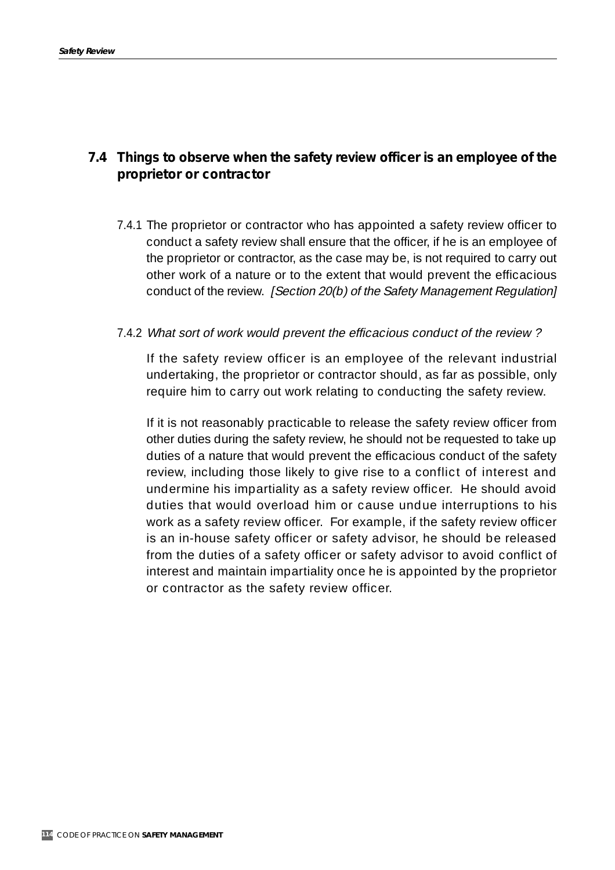## **7.4 Things to observe when the safety review officer is an employee of the proprietor or contractor**

7.4.1 The proprietor or contractor who has appointed a safety review officer to conduct a safety review shall ensure that the officer, if he is an employee of the proprietor or contractor, as the case may be, is not required to carry out other work of a nature or to the extent that would prevent the efficacious conduct of the review. [Section 20(b) of the Safety Management Regulation]

#### 7.4.2 What sort of work would prevent the efficacious conduct of the review ?

If the safety review officer is an employee of the relevant industrial undertaking, the proprietor or contractor should, as far as possible, only require him to carry out work relating to conducting the safety review.

If it is not reasonably practicable to release the safety review officer from other duties during the safety review, he should not be requested to take up duties of a nature that would prevent the efficacious conduct of the safety review, including those likely to give rise to a conflict of interest and undermine his impartiality as a safety review officer. He should avoid duties that would overload him or cause undue interruptions to his work as a safety review officer. For example, if the safety review officer is an in-house safety officer or safety advisor, he should be released from the duties of a safety officer or safety advisor to avoid conflict of interest and maintain impartiality once he is appointed by the proprietor or contractor as the safety review officer.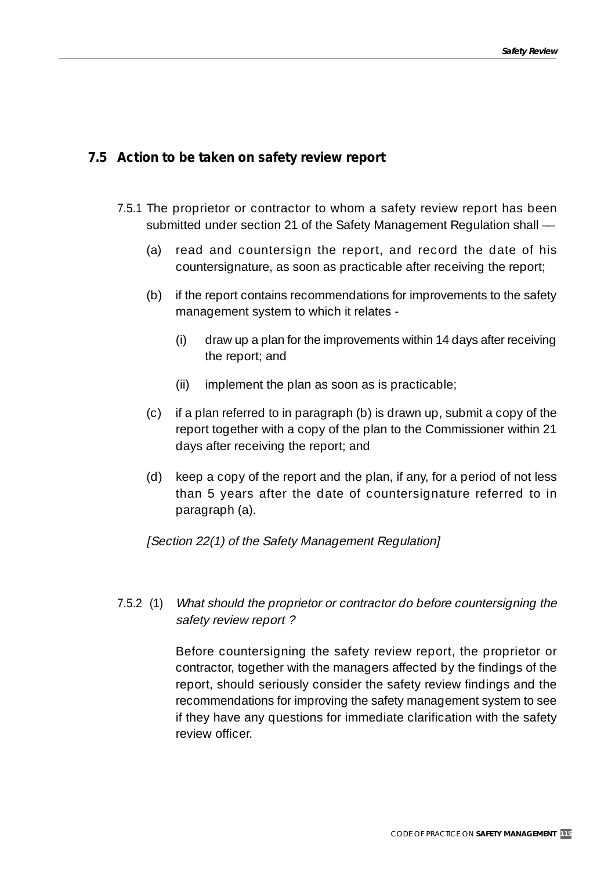## **7.5 Action to be taken on safety review report**

- 7.5.1 The proprietor or contractor to whom a safety review report has been submitted under section 21 of the Safety Management Regulation shall ––
	- (a) read and countersign the report, and record the date of his countersignature, as soon as practicable after receiving the report;
	- (b) if the report contains recommendations for improvements to the safety management system to which it relates -
		- (i) draw up a plan for the improvements within 14 days after receiving the report; and
		- (ii) implement the plan as soon as is practicable;
	- (c) if a plan referred to in paragraph (b) is drawn up, submit a copy of the report together with a copy of the plan to the Commissioner within 21 days after receiving the report; and
	- (d) keep a copy of the report and the plan, if any, for a period of not less than 5 years after the date of countersignature referred to in paragraph (a).

#### [Section 22(1) of the Safety Management Regulation]

## 7.5.2 (1) What should the proprietor or contractor do before countersigning the safety review report ?

Before countersigning the safety review report, the proprietor or contractor, together with the managers affected by the findings of the report, should seriously consider the safety review findings and the recommendations for improving the safety management system to see if they have any questions for immediate clarification with the safety review officer.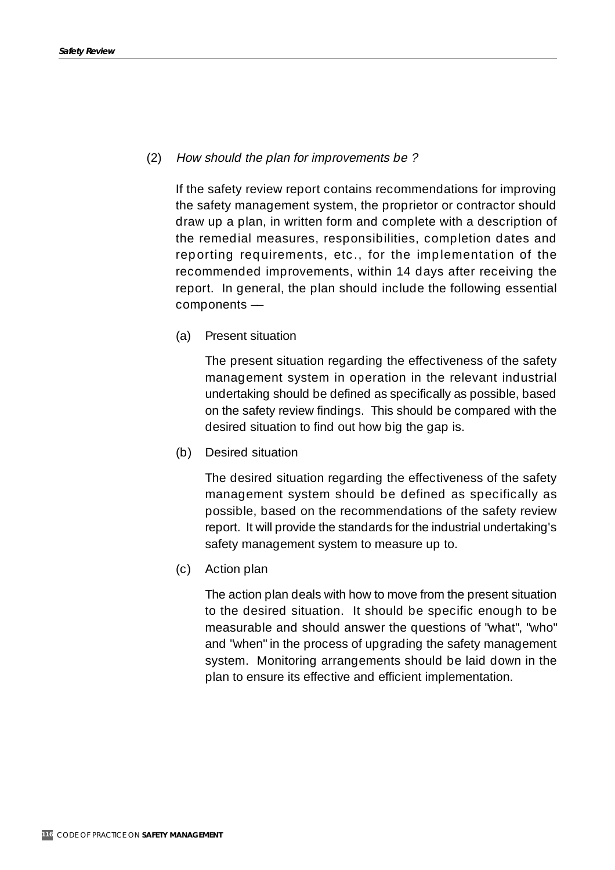#### (2) How should the plan for improvements be ?

If the safety review report contains recommendations for improving the safety management system, the proprietor or contractor should draw up a plan, in written form and complete with a description of the remedial measures, responsibilities, completion dates and reporting requirements, etc., for the implementation of the recommended improvements, within 14 days after receiving the report. In general, the plan should include the following essential components ––

(a) Present situation

The present situation regarding the effectiveness of the safety management system in operation in the relevant industrial undertaking should be defined as specifically as possible, based on the safety review findings. This should be compared with the desired situation to find out how big the gap is.

(b) Desired situation

The desired situation regarding the effectiveness of the safety management system should be defined as specifically as possible, based on the recommendations of the safety review report. It will provide the standards for the industrial undertaking's safety management system to measure up to.

(c) Action plan

The action plan deals with how to move from the present situation to the desired situation. It should be specific enough to be measurable and should answer the questions of "what", "who" and "when" in the process of upgrading the safety management system. Monitoring arrangements should be laid down in the plan to ensure its effective and efficient implementation.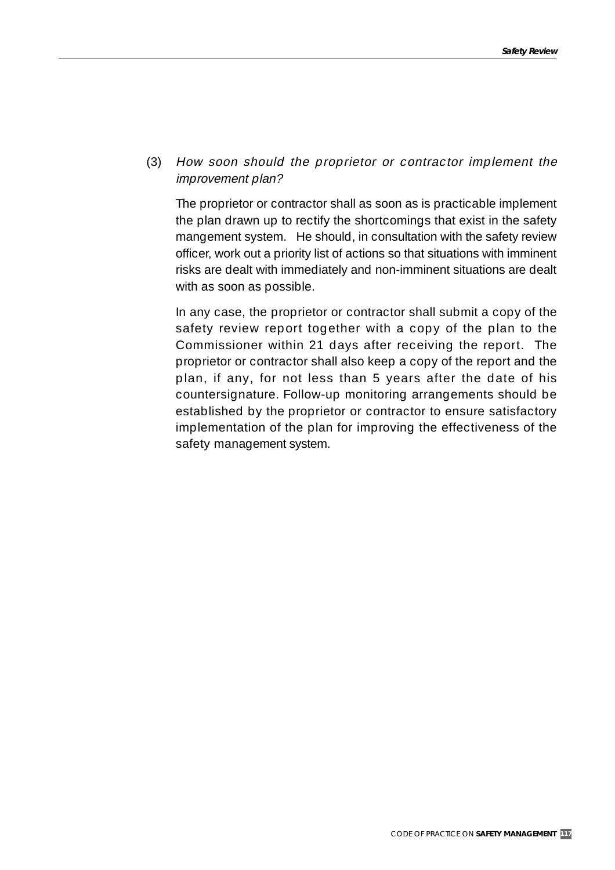(3) How soon should the proprietor or contractor implement the improvement plan?

The proprietor or contractor shall as soon as is practicable implement the plan drawn up to rectify the shortcomings that exist in the safety mangement system. He should, in consultation with the safety review officer, work out a priority list of actions so that situations with imminent risks are dealt with immediately and non-imminent situations are dealt with as soon as possible.

In any case, the proprietor or contractor shall submit a copy of the safety review report together with a copy of the plan to the Commissioner within 21 days after receiving the report. The proprietor or contractor shall also keep a copy of the report and the plan, if any, for not less than 5 years after the date of his countersignature. Follow-up monitoring arrangements should be established by the proprietor or contractor to ensure satisfactory implementation of the plan for improving the effectiveness of the safety management system.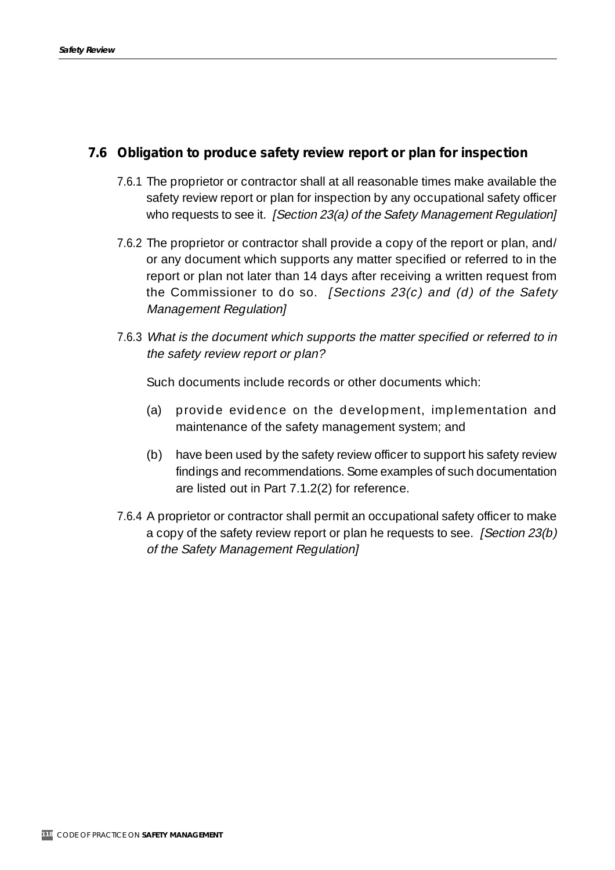## **7.6 Obligation to produce safety review report or plan for inspection**

- 7.6.1 The proprietor or contractor shall at all reasonable times make available the safety review report or plan for inspection by any occupational safety officer who requests to see it. [Section 23(a) of the Safety Management Regulation]
- 7.6.2 The proprietor or contractor shall provide a copy of the report or plan, and/ or any document which supports any matter specified or referred to in the report or plan not later than 14 days after receiving a written request from the Commissioner to do so. *[Sections 23(c) and (d) of the Safety* Management Regulation]
- 7.6.3 What is the document which supports the matter specified or referred to in the safety review report or plan?

Such documents include records or other documents which:

- (a) provide evidence on the development, implementation and maintenance of the safety management system; and
- (b) have been used by the safety review officer to support his safety review findings and recommendations. Some examples of such documentation are listed out in Part 7.1.2(2) for reference.
- 7.6.4 A proprietor or contractor shall permit an occupational safety officer to make a copy of the safety review report or plan he requests to see. [Section 23(b) of the Safety Management Regulation]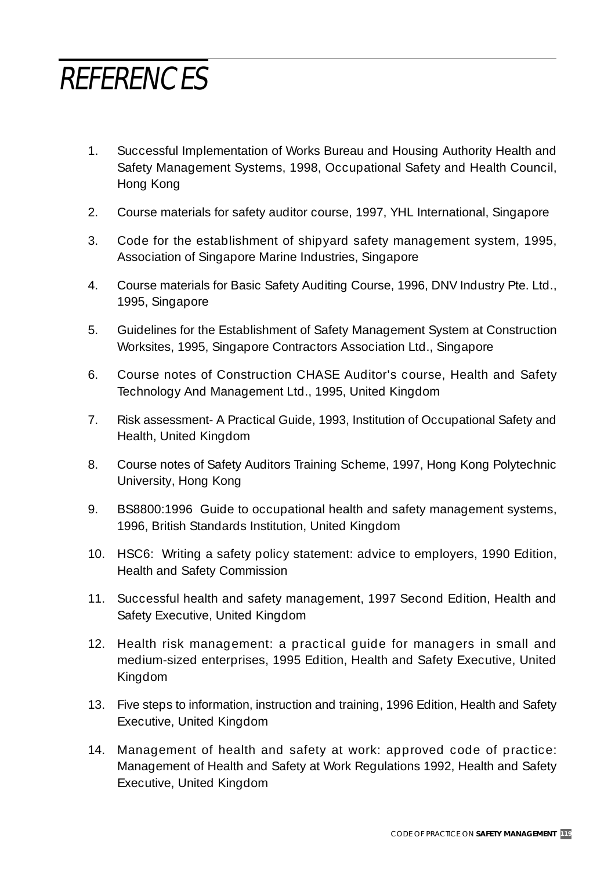## REFERENCES

- 1. Successful Implementation of Works Bureau and Housing Authority Health and Safety Management Systems, 1998, Occupational Safety and Health Council, Hong Kong
- 2. Course materials for safety auditor course, 1997, YHL International, Singapore
- 3. Code for the establishment of shipyard safety management system, 1995, Association of Singapore Marine Industries, Singapore
- 4. Course materials for Basic Safety Auditing Course, 1996, DNV Industry Pte. Ltd., 1995, Singapore
- 5. Guidelines for the Establishment of Safety Management System at Construction Worksites, 1995, Singapore Contractors Association Ltd., Singapore
- 6. Course notes of Construction CHASE Auditor's course, Health and Safety Technology And Management Ltd., 1995, United Kingdom
- 7. Risk assessment- A Practical Guide, 1993, Institution of Occupational Safety and Health, United Kingdom
- 8. Course notes of Safety Auditors Training Scheme, 1997, Hong Kong Polytechnic University, Hong Kong
- 9. BS8800:1996 Guide to occupational health and safety management systems, 1996, British Standards Institution, United Kingdom
- 10. HSC6: Writing a safety policy statement: advice to employers, 1990 Edition, Health and Safety Commission
- 11. Successful health and safety management, 1997 Second Edition, Health and Safety Executive, United Kingdom
- 12. Health risk management: a practical guide for managers in small and medium-sized enterprises, 1995 Edition, Health and Safety Executive, United Kingdom
- 13. Five steps to information, instruction and training, 1996 Edition, Health and Safety Executive, United Kingdom
- 14. Management of health and safety at work: approved code of practice: Management of Health and Safety at Work Regulations 1992, Health and Safety Executive, United Kingdom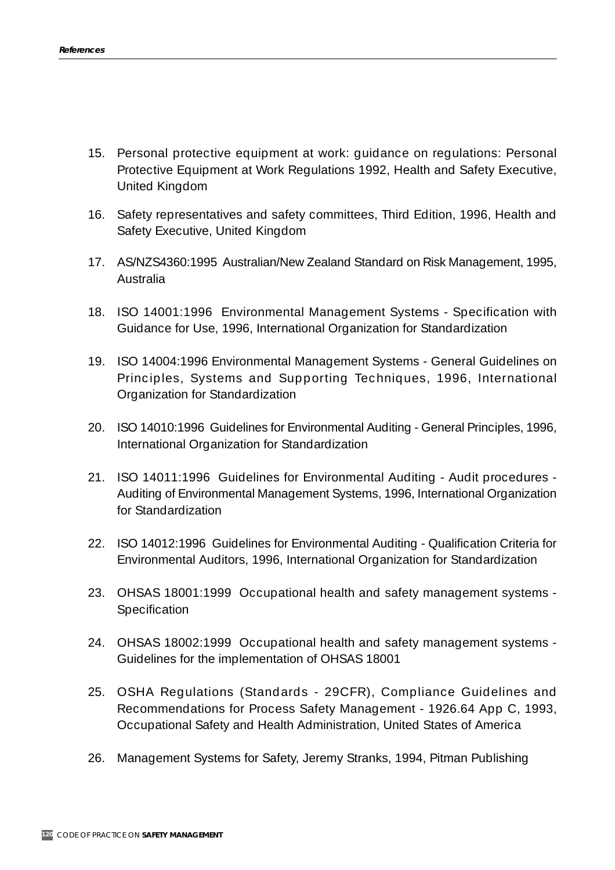- 15. Personal protective equipment at work: guidance on regulations: Personal Protective Equipment at Work Regulations 1992, Health and Safety Executive, United Kingdom
- 16. Safety representatives and safety committees, Third Edition, 1996, Health and Safety Executive, United Kingdom
- 17. AS/NZS4360:1995 Australian/New Zealand Standard on Risk Management, 1995, Australia
- 18. ISO 14001:1996 Environmental Management Systems Specification with Guidance for Use, 1996, International Organization for Standardization
- 19. ISO 14004:1996 Environmental Management Systems General Guidelines on Principles, Systems and Supporting Techniques, 1996, International Organization for Standardization
- 20. ISO 14010:1996 Guidelines for Environmental Auditing General Principles, 1996, International Organization for Standardization
- 21. ISO 14011:1996 Guidelines for Environmental Auditing Audit procedures Auditing of Environmental Management Systems, 1996, International Organization for Standardization
- 22. ISO 14012:1996 Guidelines for Environmental Auditing Qualification Criteria for Environmental Auditors, 1996, International Organization for Standardization
- 23. OHSAS 18001:1999 Occupational health and safety management systems Specification
- 24. OHSAS 18002:1999 Occupational health and safety management systems Guidelines for the implementation of OHSAS 18001
- 25. OSHA Regulations (Standards 29CFR), Compliance Guidelines and Recommendations for Process Safety Management - 1926.64 App C, 1993, Occupational Safety and Health Administration, United States of America
- 26. Management Systems for Safety, Jeremy Stranks, 1994, Pitman Publishing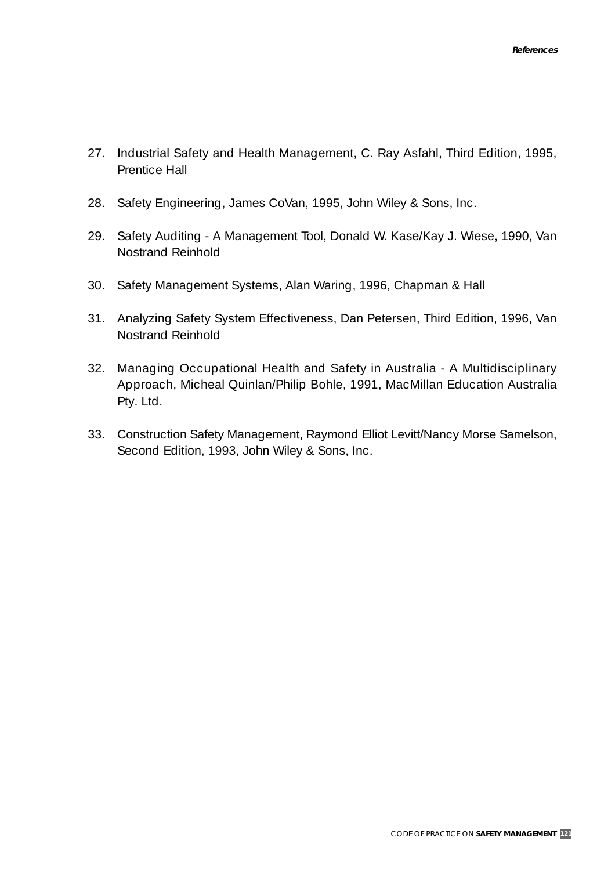- 27. Industrial Safety and Health Management, C. Ray Asfahl, Third Edition, 1995, Prentice Hall
- 28. Safety Engineering, James CoVan, 1995, John Wiley & Sons, Inc.
- 29. Safety Auditing A Management Tool, Donald W. Kase/Kay J. Wiese, 1990, Van Nostrand Reinhold
- 30. Safety Management Systems, Alan Waring, 1996, Chapman & Hall
- 31. Analyzing Safety System Effectiveness, Dan Petersen, Third Edition, 1996, Van Nostrand Reinhold
- 32. Managing Occupational Health and Safety in Australia A Multidisciplinary Approach, Micheal Quinlan/Philip Bohle, 1991, MacMillan Education Australia Pty. Ltd.
- 33. Construction Safety Management, Raymond Elliot Levitt/Nancy Morse Samelson, Second Edition, 1993, John Wiley & Sons, Inc.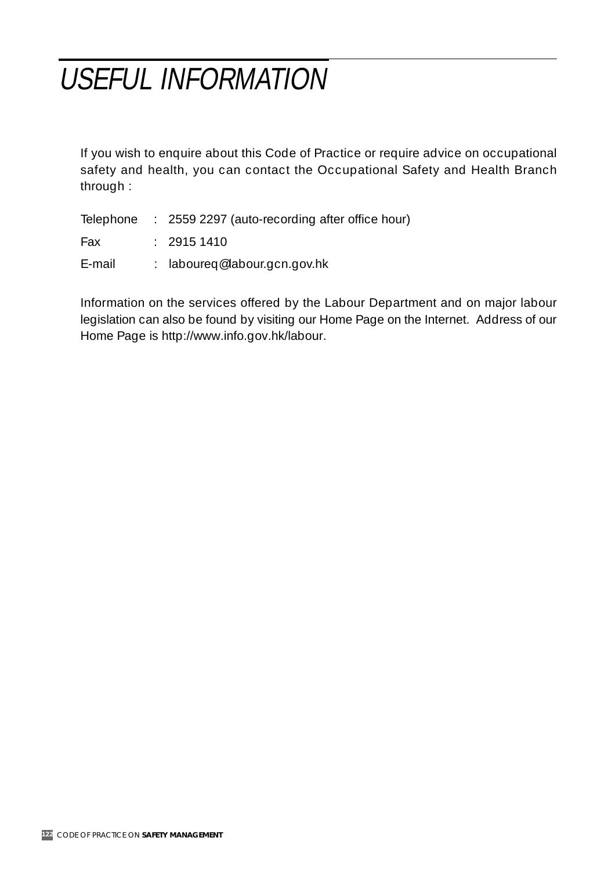# USEFUL INFORMATION

If you wish to enquire about this Code of Practice or require advice on occupational safety and health, you can contact the Occupational Safety and Health Branch through :

|        | Telephone : 2559 2297 (auto-recording after office hour) |
|--------|----------------------------------------------------------|
| Fax    | : 29151410                                               |
| E-mail | : laboureg@labour.gcn.gov.hk                             |

Information on the services offered by the Labour Department and on major labour legislation can also be found by visiting our Home Page on the Internet. Address of our Home Page is http://www.info.gov.hk/labour.